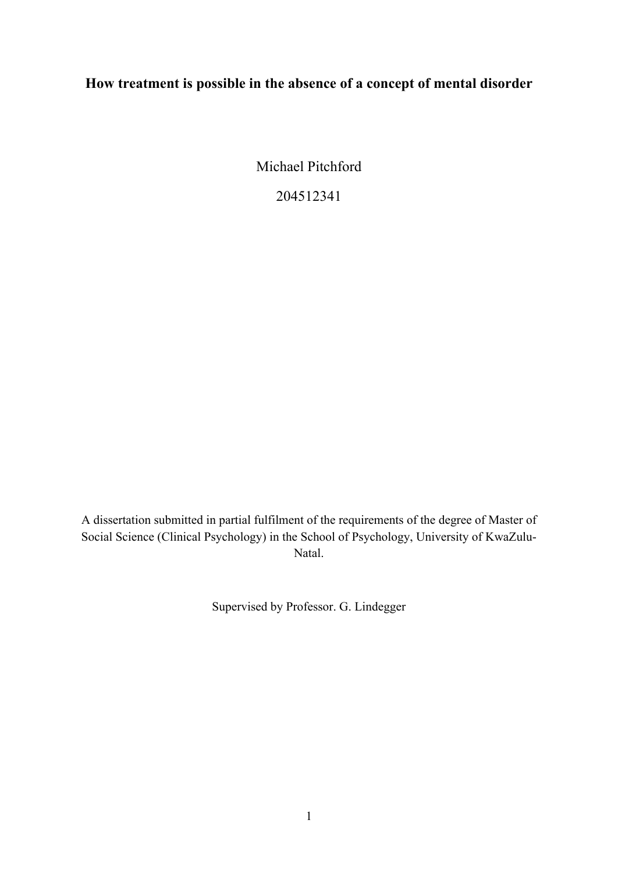## **How treatment is possible in the absence of a concept of mental disorder**

Michael Pitchford

204512341

A dissertation submitted in partial fulfilment of the requirements of the degree of Master of Social Science (Clinical Psychology) in the School of Psychology, University of KwaZulu-Natal.

Supervised by Professor. G. Lindegger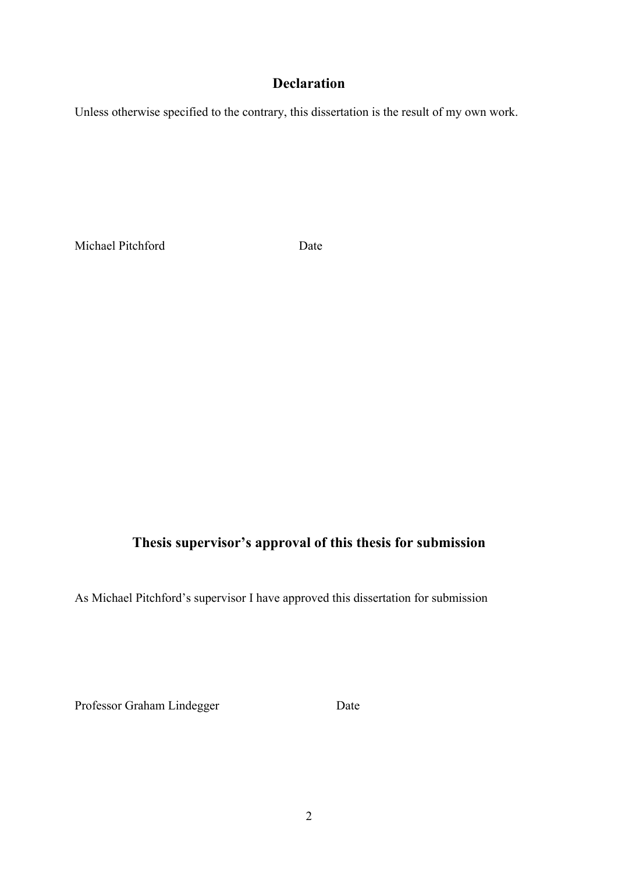### **Declaration**

Unless otherwise specified to the contrary, this dissertation is the result of my own work.

Michael Pitchford Date

## **Thesis supervisor's approval of this thesis for submission**

As Michael Pitchford's supervisor I have approved this dissertation for submission

Professor Graham Lindegger Date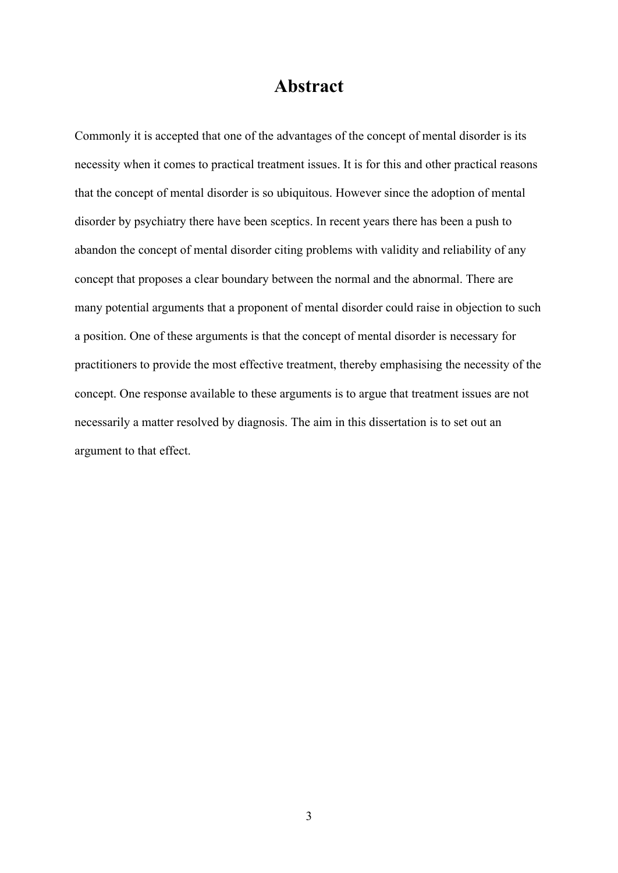# **Abstract**

Commonly it is accepted that one of the advantages of the concept of mental disorder is its necessity when it comes to practical treatment issues. It is for this and other practical reasons that the concept of mental disorder is so ubiquitous. However since the adoption of mental disorder by psychiatry there have been sceptics. In recent years there has been a push to abandon the concept of mental disorder citing problems with validity and reliability of any concept that proposes a clear boundary between the normal and the abnormal. There are many potential arguments that a proponent of mental disorder could raise in objection to such a position. One of these arguments is that the concept of mental disorder is necessary for practitioners to provide the most effective treatment, thereby emphasising the necessity of the concept. One response available to these arguments is to argue that treatment issues are not necessarily a matter resolved by diagnosis. The aim in this dissertation is to set out an argument to that effect.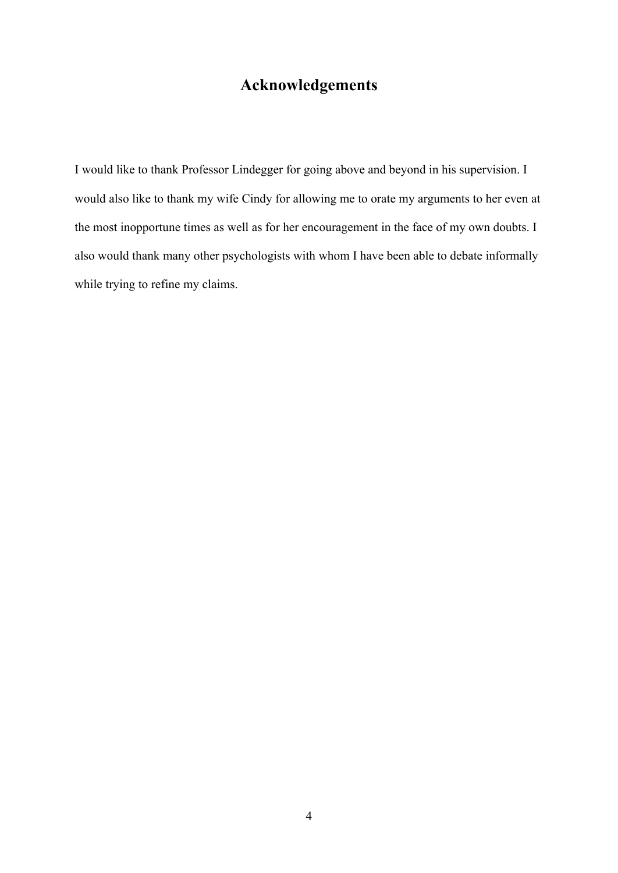# **Acknowledgements**

I would like to thank Professor Lindegger for going above and beyond in his supervision. I would also like to thank my wife Cindy for allowing me to orate my arguments to her even at the most inopportune times as well as for her encouragement in the face of my own doubts. I also would thank many other psychologists with whom I have been able to debate informally while trying to refine my claims.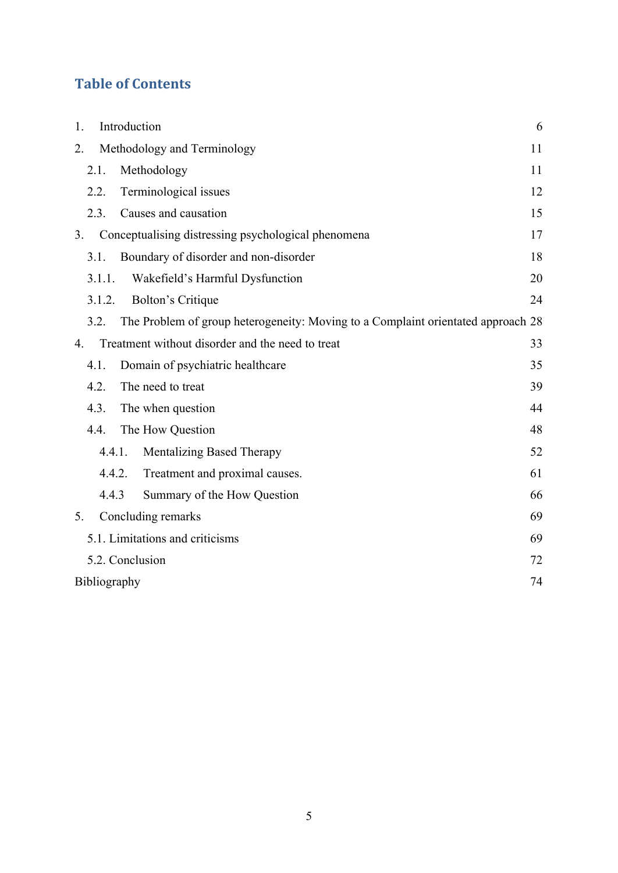# **Table of Contents**

| <b>Table of Contents</b>                                                                 |    |
|------------------------------------------------------------------------------------------|----|
|                                                                                          |    |
| Introduction<br>1.                                                                       | 6  |
| Methodology and Terminology<br>2.                                                        | 11 |
| 2.1.<br>Methodology                                                                      | 11 |
| Terminological issues<br>2.2.                                                            | 12 |
| Causes and causation<br>2.3.                                                             | 15 |
| Conceptualising distressing psychological phenomena<br>3.                                | 17 |
| Boundary of disorder and non-disorder<br>3.1.                                            | 18 |
| Wakefield's Harmful Dysfunction<br>3.1.1.                                                | 20 |
| <b>Bolton's Critique</b><br>3.1.2.                                                       | 24 |
| The Problem of group heterogeneity: Moving to a Complaint orientated approach 28<br>3.2. |    |
| Treatment without disorder and the need to treat<br>4.                                   | 33 |
| Domain of psychiatric healthcare<br>4.1.                                                 | 35 |
| The need to treat<br>4.2.                                                                | 39 |
| The when question<br>4.3.                                                                | 44 |
| The How Question<br>4.4.                                                                 | 48 |
| Mentalizing Based Therapy<br>4.4.1.                                                      | 52 |
| Treatment and proximal causes.<br>4.4.2.                                                 | 61 |
| 4.4.3<br>Summary of the How Question                                                     | 66 |
| Concluding remarks<br>5.                                                                 | 69 |
| 5.1. Limitations and criticisms                                                          | 69 |
| 5.2. Conclusion                                                                          | 72 |
| Bibliography                                                                             | 74 |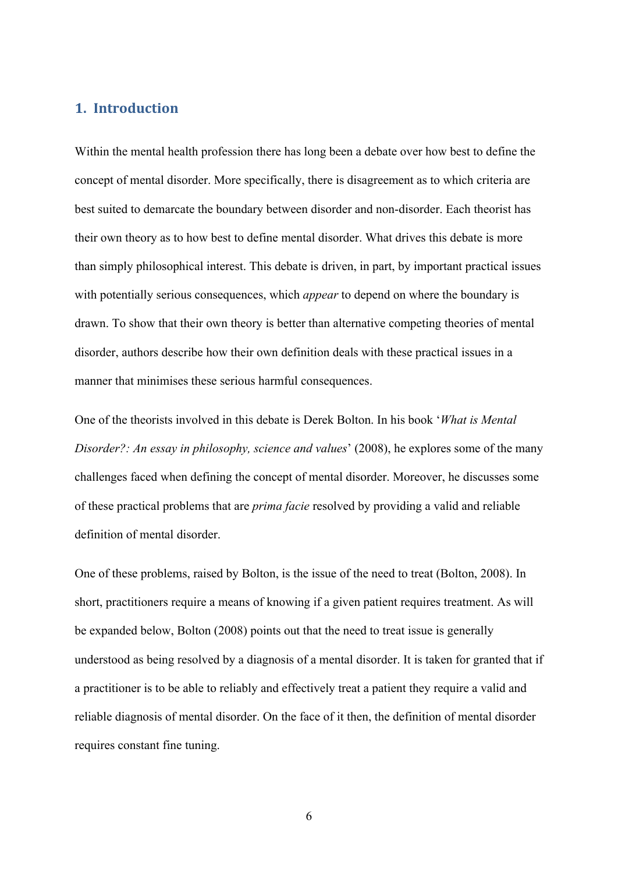**1. Introduction**<br>Within the mental health profession there has long been a debated by the state of the state of the state of the state of the state of the state of the state of the state of the state of the state of the s Within the mental health profession there has long been a debate over how best to define the concept of mental disorder. More specifically, there is disagreement as to which criteria are best suited to demarcate the boundary between disorder and non-disorder. Each theorist has their own theory as to how best to define mental disorder. What drives this debate is more than simply philosophical interest. This debate is driven, in part, by important practical issues with potentially serious consequences, which *appear* to depend on where the boundary is drawn. To show that their own theory is better than alternative competing theories of mental disorder, authors describe how their own definition deals with these practical issues in a manner that minimises these serious harmful consequences.

One of the theorists involved in this debate is Derek Bolton. In his book '*What is Mental Disorder?: An essay in philosophy, science and values*' (2008), he explores some of the many challenges faced when defining the concept of mental disorder. Moreover, he discusses some of these practical problems that are *prima facie* resolved by providing a valid and reliable definition of mental disorder.

One of these problems, raised by Bolton, is the issue of the need to treat (Bolton, 2008). In short, practitioners require a means of knowing if a given patient requires treatment. As will be expanded below, Bolton (2008) points out that the need to treat issue is generally understood as being resolved by a diagnosis of a mental disorder. It is taken for granted that if a practitioner is to be able to reliably and effectively treat a patient they require a valid and reliable diagnosis of mental disorder. On the face of it then, the definition of mental disorder requires constant fine tuning.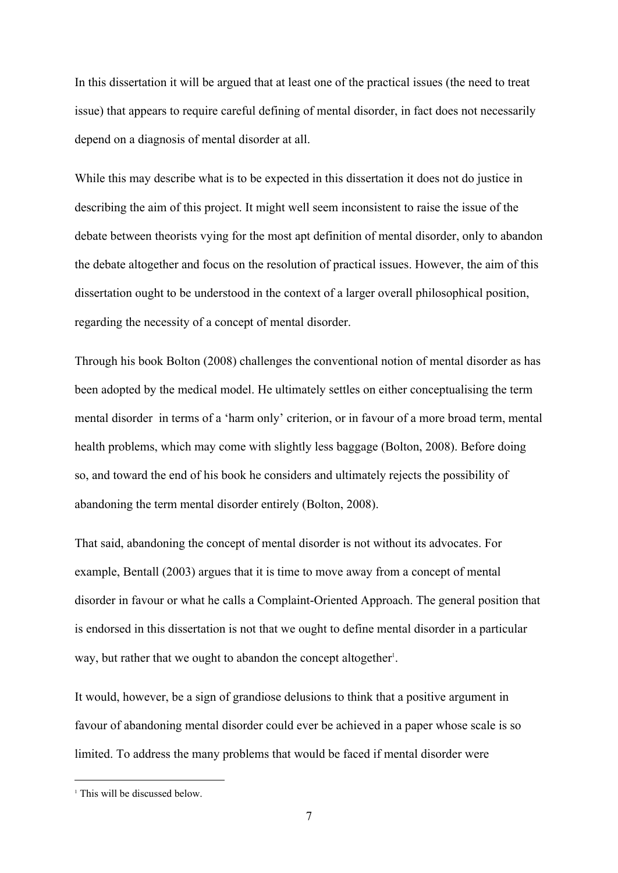In this dissertation it will be argued that at least one of the practical issues (the need to treat issue) that appears to require careful defining of mental disorder, in fact does not necessarily depend on a diagnosis of mental disorder at all.

While this may describe what is to be expected in this dissertation it does not do justice in describing the aim of this project. It might well seem inconsistent to raise the issue of the debate between theorists vying for the most apt definition of mental disorder, only to abandon the debate altogether and focus on the resolution of practical issues. However, the aim of this dissertation ought to be understood in the context of a larger overall philosophical position, regarding the necessity of a concept of mental disorder.

Through his book Bolton (2008) challenges the conventional notion of mental disorder as has been adopted by the medical model. He ultimately settles on either conceptualising the term mental disorder in terms of a 'harm only' criterion, or in favour of a more broad term, mental health problems, which may come with slightly less baggage (Bolton, 2008). Before doing so, and toward the end of his book he considers and ultimately rejects the possibility of abandoning the term mental disorder entirely (Bolton, 2008).

That said, abandoning the concept of mental disorder is not without its advocates. For example, Bentall (2003) argues that it is time to move away from a concept of mental disorder in favour or what he calls a Complaint-Oriented Approach. The general position that is endorsed in this dissertation is not that we ought to define mental disorder in a particular way, but rather that we ought to abandon the concept altogether<sup>1</sup>. .

It would, however, be a sign of grandiose delusions to think that a positive argument in favour of abandoning mental disorder could ever be achieved in a paper whose scale is so limited. To address the many problems that would be faced if mental disorder were

<sup>&</sup>lt;sup>1</sup> This will be discussed below.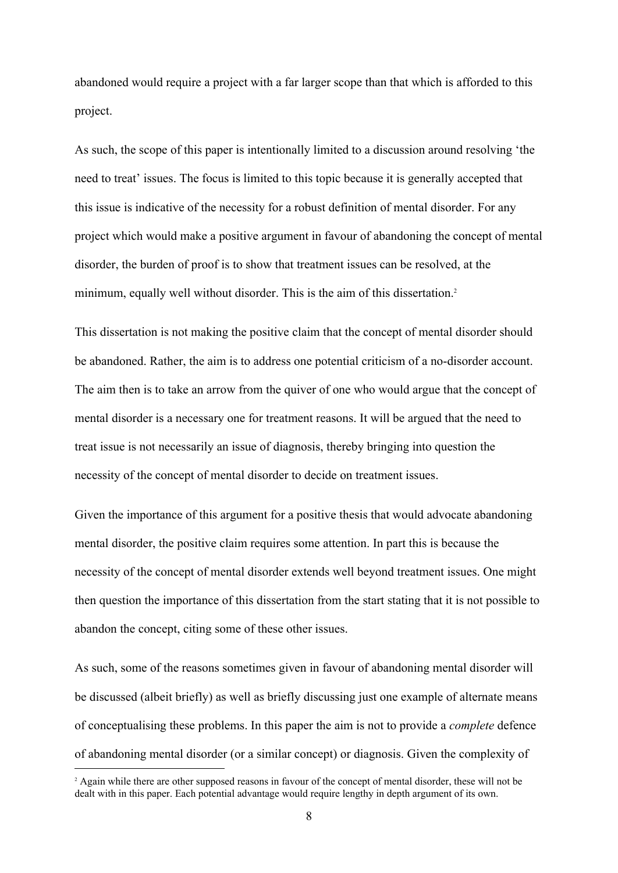abandoned would require a project with a far larger scope than that which is afforded to this project.

As such, the scope of this paper is intentionally limited to a discussion around resolving 'the need to treat' issues. The focus is limited to this topic because it is generally accepted that this issue is indicative of the necessity for a robust definition of mental disorder. For any project which would make a positive argument in favour of abandoning the concept of mental disorder, the burden of proof is to show that treatment issues can be resolved, at the minimum, equally well without disorder. This is the aim of this dissertation.<sup>2</sup>

This dissertation is not making the positive claim that the concept of mental disorder should be abandoned. Rather, the aim is to address one potential criticism of a no-disorder account. The aim then is to take an arrow from the quiver of one who would argue that the concept of mental disorder is a necessary one for treatment reasons. It will be argued that the need to treat issue is not necessarily an issue of diagnosis, thereby bringing into question the necessity of the concept of mental disorder to decide on treatment issues.

Given the importance of this argument for a positive thesis that would advocate abandoning mental disorder, the positive claim requires some attention. In part this is because the necessity of the concept of mental disorder extends well beyond treatment issues. One might then question the importance of this dissertation from the start stating that it is not possible to abandon the concept, citing some of these other issues.

As such, some of the reasons sometimes given in favour of abandoning mental disorder will be discussed (albeit briefly) as well as briefly discussing just one example of alternate means of conceptualising these problems. In this paper the aim is not to provide a *complete* defence of abandoning mental disorder (or a similar concept) or diagnosis. Given the complexity of

<sup>2</sup> Again while there are other supposed reasons in favour of the concept of mental disorder, these will not be dealt with in this paper. Each potential advantage would require lengthy in depth argument of its own.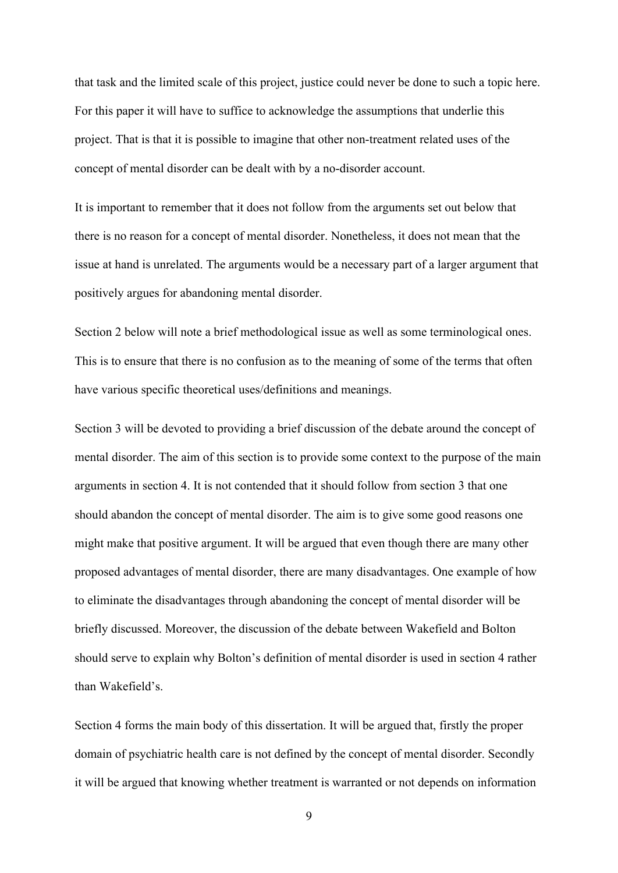that task and the limited scale of this project, justice could never be done to such a topic here. For this paper it will have to suffice to acknowledge the assumptions that underlie this project. That is that it is possible to imagine that other non-treatment related uses of the concept of mental disorder can be dealt with by a no-disorder account.

It is important to remember that it does not follow from the arguments set out below that there is no reason for a concept of mental disorder. Nonetheless, it does not mean that the issue at hand is unrelated. The arguments would be a necessary part of a larger argument that positively argues for abandoning mental disorder.

Section 2 below will note a brief methodological issue as well as some terminological ones. This is to ensure that there is no confusion as to the meaning of some of the terms that often have various specific theoretical uses/definitions and meanings.

Section 3 will be devoted to providing a brief discussion of the debate around the concept of mental disorder. The aim of this section is to provide some context to the purpose of the main arguments in section 4. It is not contended that it should follow from section 3 that one should abandon the concept of mental disorder. The aim is to give some good reasons one might make that positive argument. It will be argued that even though there are many other proposed advantages of mental disorder, there are many disadvantages. One example of how to eliminate the disadvantages through abandoning the concept of mental disorder will be briefly discussed. Moreover, the discussion of the debate between Wakefield and Bolton should serve to explain why Bolton's definition of mental disorder is used in section 4 rather than Wakefield's.

Section 4 forms the main body of this dissertation. It will be argued that, firstly the proper domain of psychiatric health care is not defined by the concept of mental disorder. Secondly it will be argued that knowing whether treatment is warranted or not depends on information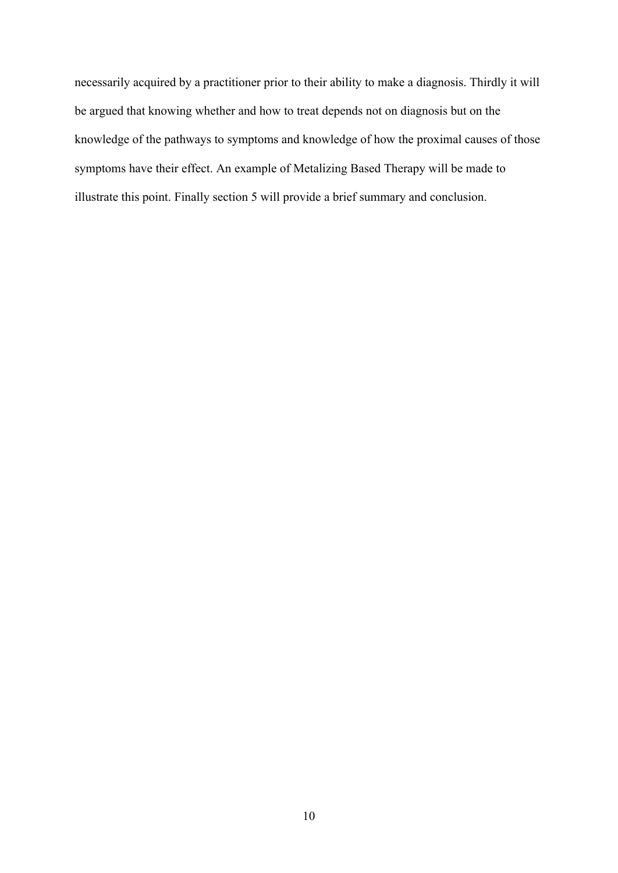necessarily acquired by a practitioner prior to their ability to make a diagnosis. Thirdly it will be argued that knowing whether and how to treat depends not on diagnosis but on the knowledge of the pathways to symptoms and knowledge of how the proximal causes of those symptoms have their effect. An example of Metalizing Based Therapy will be made to illustrate this point. Finally section 5 will provide a brief summary and conclusion.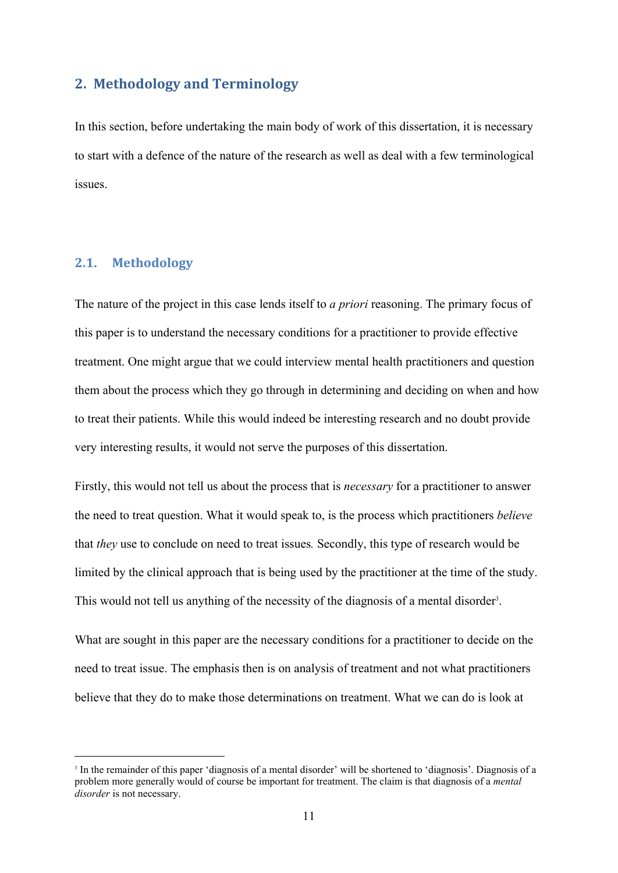#### **2. Methodology and Terminology**

In this section, before undertaking the main body of work of this dissertation, it is necessary to start with a defence of the nature of the research as well as deal with a few terminological issues. 2. Methodology and Terminology<br>In this section, before undertaking the main body of work of t<br>to start with a defence of the nature of the research as well as<br>issues.<br>2.1. Methodology<br>The nature of the project in this case

The nature of the project in this case lends itself to *a priori* reasoning. The primary focus of this paper is to understand the necessary conditions for a practitioner to provide effective treatment. One might argue that we could interview mental health practitioners and question them about the process which they go through in determining and deciding on when and how to treat their patients. While this would indeed be interesting research and no doubt provide very interesting results, it would not serve the purposes of this dissertation.

Firstly, this would not tell us about the process that is *necessary* for a practitioner to answer the need to treat question. What it would speak to, is the process which practitioners *believe*  that *they* use to conclude on need to treat issues*.* Secondly, this type of research would be limited by the clinical approach that is being used by the practitioner at the time of the study. This would not tell us anything of the necessity of the diagnosis of a mental disorder<sup>3</sup>. .

What are sought in this paper are the necessary conditions for a practitioner to decide on the need to treat issue. The emphasis then is on analysis of treatment and not what practitioners believe that they do to make those determinations on treatment. What we can do is look at

<sup>&</sup>lt;sup>3</sup> In the remainder of this paper 'diagnosis of a mental disorder' will be shortened to 'diagnosis'. Diagnosis of a problem more generally would of course be important for treatment. The claim is that diagnosis of a *mental disorder* is not necessary.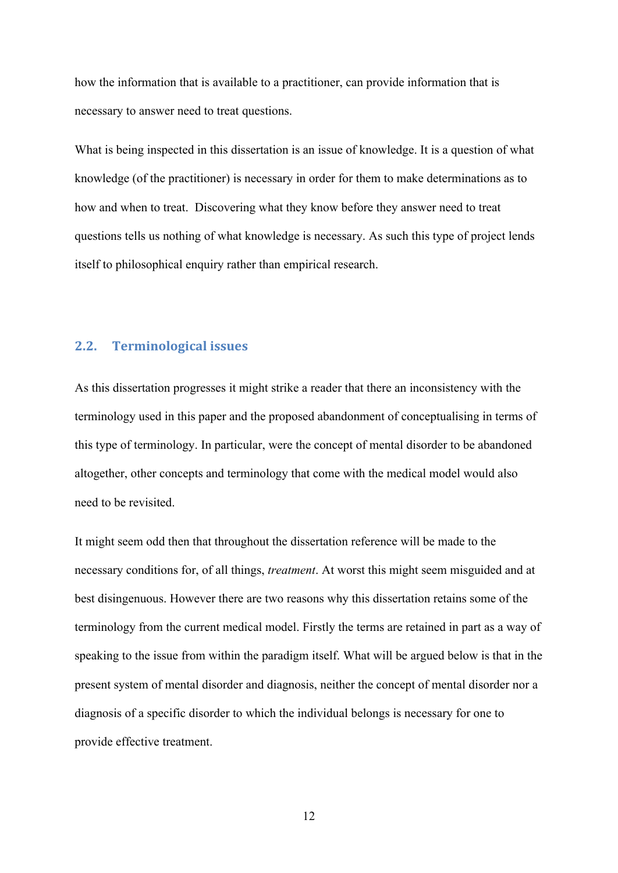how the information that is available to a practitioner, can provide information that is necessary to answer need to treat questions.

What is being inspected in this dissertation is an issue of knowledge. It is a question of what knowledge (of the practitioner) is necessary in order for them to make determinations as to how and when to treat. Discovering what they know before they answer need to treat questions tells us nothing of what knowledge is necessary. As such this type of project lends itself to philosophical enquiry rather than empirical research.

#### **2.2. Terminological issues**

As this dissertation progresses it might strike a reader that there an inconsistency with the terminology used in this paper and the proposed abandonment of conceptualising in terms of this type of terminology. In particular, were the concept of mental disorder to be abandoned altogether, other concepts and terminology that come with the medical model would also need to be revisited.

It might seem odd then that throughout the dissertation reference will be made to the necessary conditions for, of all things, *treatment*. At worst this might seem misguided and at best disingenuous. However there are two reasons why this dissertation retains some of the terminology from the current medical model. Firstly the terms are retained in part as a way of speaking to the issue from within the paradigm itself. What will be argued below is that in the present system of mental disorder and diagnosis, neither the concept of mental disorder nor a diagnosis of a specific disorder to which the individual belongs is necessary for one to provide effective treatment.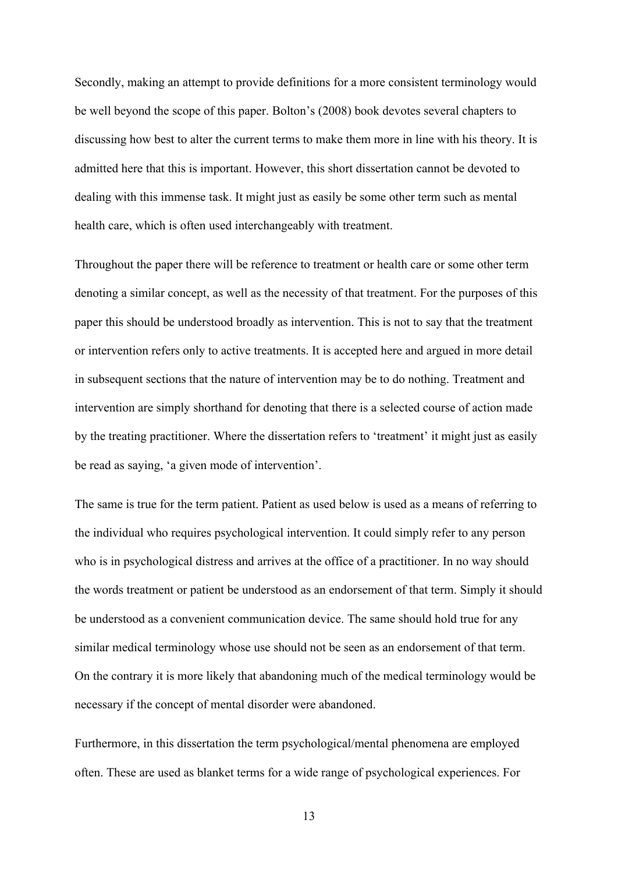Secondly, making an attempt to provide definitions for a more consistent terminology would be well beyond the scope of this paper. Bolton's (2008) book devotes several chapters to discussing how best to alter the current terms to make them more in line with his theory. It is admitted here that this is important. However, this short dissertation cannot be devoted to dealing with this immense task. It might just as easily be some other term such as mental health care, which is often used interchangeably with treatment.

Throughout the paper there will be reference to treatment or health care or some other term denoting a similar concept, as well as the necessity of that treatment. For the purposes of this paper this should be understood broadly as intervention. This is not to say that the treatment or intervention refers only to active treatments. It is accepted here and argued in more detail in subsequent sections that the nature of intervention may be to do nothing. Treatment and intervention are simply shorthand for denoting that there is a selected course of action made by the treating practitioner. Where the dissertation refers to 'treatment' it might just as easily be read as saying, 'a given mode of intervention'.

The same is true for the term patient. Patient as used below is used as a means of referring to the individual who requires psychological intervention. It could simply refer to any person who is in psychological distress and arrives at the office of a practitioner. In no way should the words treatment or patient be understood as an endorsement of that term. Simply it should be understood as a convenient communication device. The same should hold true for any similar medical terminology whose use should not be seen as an endorsement of that term. On the contrary it is more likely that abandoning much of the medical terminology would be necessary if the concept of mental disorder were abandoned.

Furthermore, in this dissertation the term psychological/mental phenomena are employed often. These are used as blanket terms for a wide range of psychological experiences. For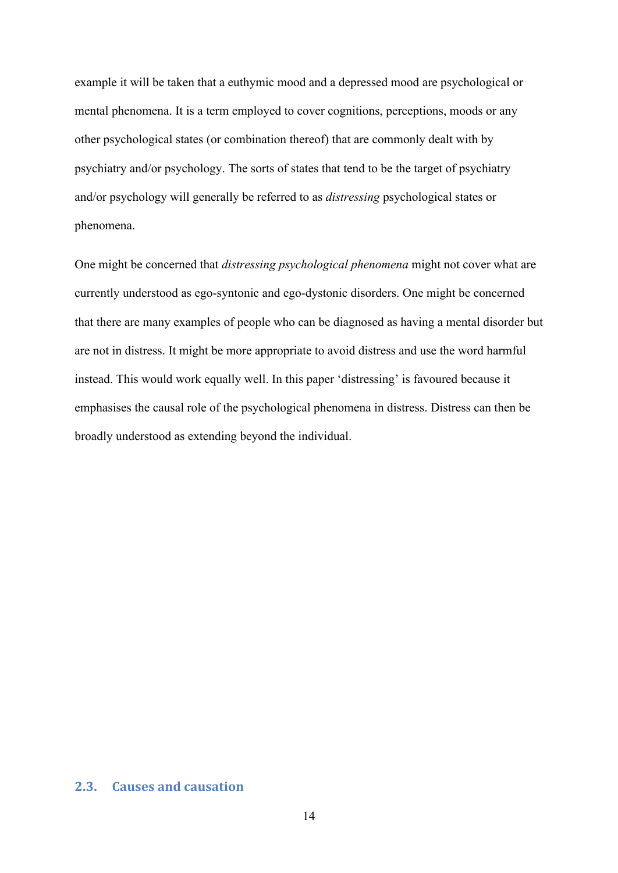example it will be taken that a euthymic mood and a depressed mood are psychological or mental phenomena. It is a term employed to cover cognitions, perceptions, moods or any other psychological states (or combination thereof) that are commonly dealt with by psychiatry and/or psychology. The sorts of states that tend to be the target of psychiatry and/or psychology will generally be referred to as *distressing* psychological states or phenomena.

One might be concerned that *distressing psychological phenomena* might not cover what are currently understood as ego-syntonic and ego-dystonic disorders. One might be concerned that there are many examples of people who can be diagnosed as having a mental disorder but are not in distress. It might be more appropriate to avoid distress and use the word harmful instead. This would work equally well. In this paper 'distressing' is favoured because it emphasises the causal role of the psychological phenomena in distress. Distress can then be broadly understood as extending beyond the individual.

### **2.3. Causes and causation**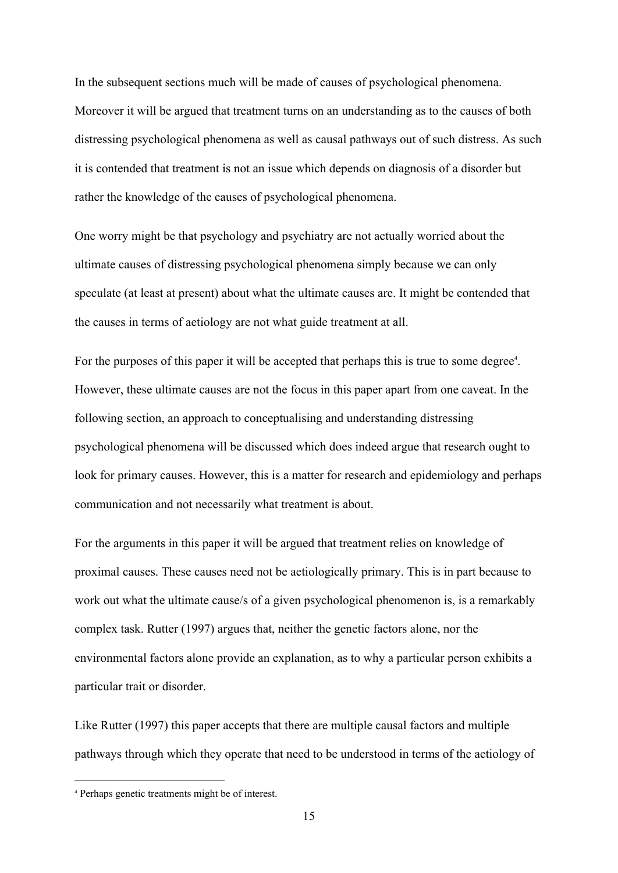In the subsequent sections much will be made of causes of psychological phenomena. Moreover it will be argued that treatment turns on an understanding as to the causes of both distressing psychological phenomena as well as causal pathways out of such distress. As such it is contended that treatment is not an issue which depends on diagnosis of a disorder but rather the knowledge of the causes of psychological phenomena.

One worry might be that psychology and psychiatry are not actually worried about the ultimate causes of distressing psychological phenomena simply because we can only speculate (at least at present) about what the ultimate causes are. It might be contended that the causes in terms of aetiology are not what guide treatment at all.

For the purposes of this paper it will be accepted that perhaps this is true to some degree<sup>4</sup>. . However, these ultimate causes are not the focus in this paper apart from one caveat. In the following section, an approach to conceptualising and understanding distressing psychological phenomena will be discussed which does indeed argue that research ought to look for primary causes. However, this is a matter for research and epidemiology and perhaps communication and not necessarily what treatment is about.

For the arguments in this paper it will be argued that treatment relies on knowledge of proximal causes. These causes need not be aetiologically primary. This is in part because to work out what the ultimate cause/s of a given psychological phenomenon is, is a remarkably complex task. Rutter (1997) argues that, neither the genetic factors alone, nor the environmental factors alone provide an explanation, as to why a particular person exhibits a particular trait or disorder.

Like Rutter (1997) this paper accepts that there are multiple causal factors and multiple pathways through which they operate that need to be understood in terms of the aetiology of

<sup>4</sup> Perhaps genetic treatments might be of interest.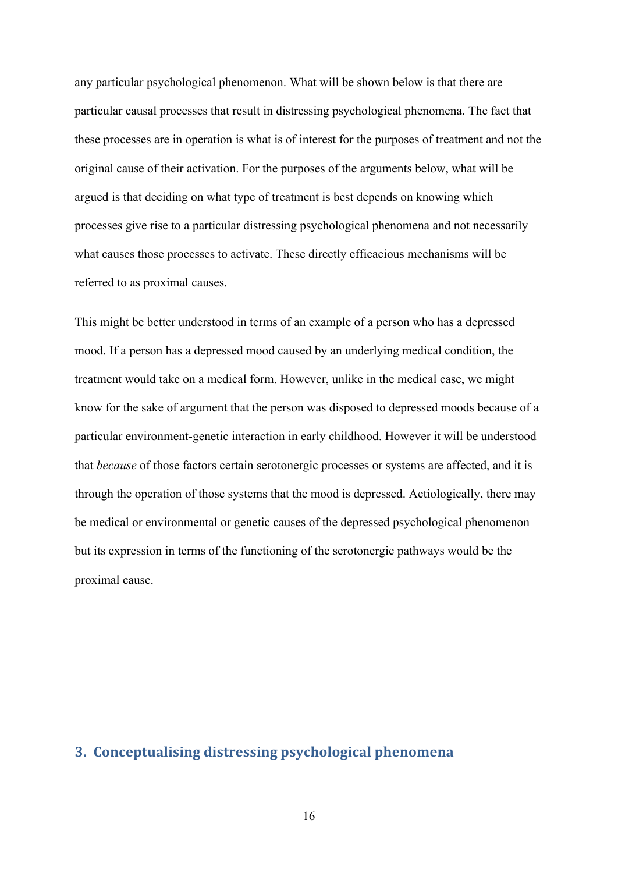any particular psychological phenomenon. What will be shown below is that there are particular causal processes that result in distressing psychological phenomena. The fact that these processes are in operation is what is of interest for the purposes of treatment and not the original cause of their activation. For the purposes of the arguments below, what will be argued is that deciding on what type of treatment is best depends on knowing which processes give rise to a particular distressing psychological phenomena and not necessarily what causes those processes to activate. These directly efficacious mechanisms will be referred to as proximal causes.

This might be better understood in terms of an example of a person who has a depressed mood. If a person has a depressed mood caused by an underlying medical condition, the treatment would take on a medical form. However, unlike in the medical case, we might know for the sake of argument that the person was disposed to depressed moods because of a particular environment-genetic interaction in early childhood. However it will be understood that *because* of those factors certain serotonergic processes or systems are affected, and it is through the operation of those systems that the mood is depressed. Aetiologically, there may be medical or environmental or genetic causes of the depressed psychological phenomenon but its expression in terms of the functioning of the serotonergic pathways would be the proximal cause.

#### **3. Conceptualising distressing psychological phenomena**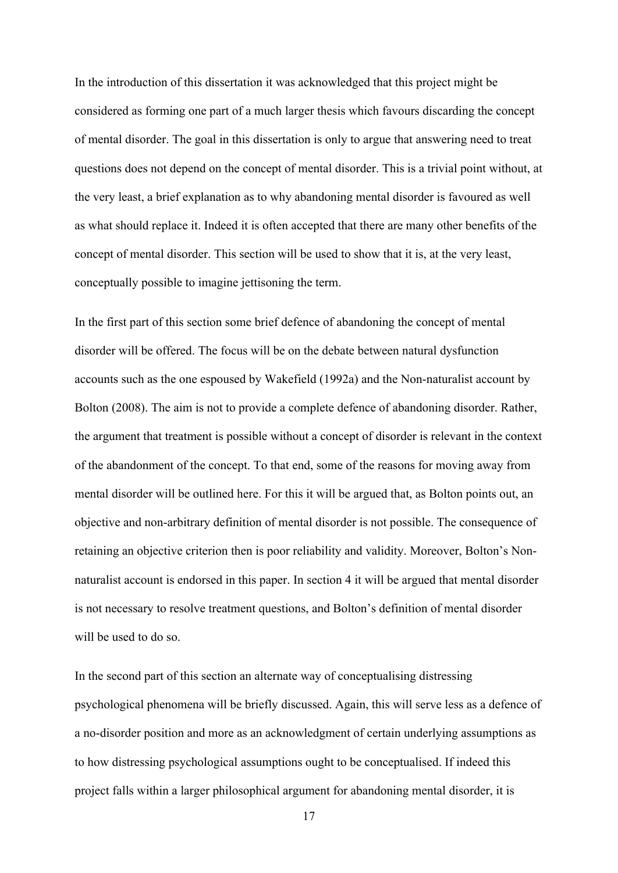In the introduction of this dissertation it was acknowledged that this project might be considered as forming one part of a much larger thesis which favours discarding the concept of mental disorder. The goal in this dissertation is only to argue that answering need to treat questions does not depend on the concept of mental disorder. This is a trivial point without, at the very least, a brief explanation as to why abandoning mental disorder is favoured as well as what should replace it. Indeed it is often accepted that there are many other benefits of the concept of mental disorder. This section will be used to show that it is, at the very least, conceptually possible to imagine jettisoning the term.

In the first part of this section some brief defence of abandoning the concept of mental disorder will be offered. The focus will be on the debate between natural dysfunction accounts such as the one espoused by Wakefield (1992a) and the Non-naturalist account by Bolton (2008). The aim is not to provide a complete defence of abandoning disorder. Rather, the argument that treatment is possible without a concept of disorder is relevant in the context of the abandonment of the concept. To that end, some of the reasons for moving away from mental disorder will be outlined here. For this it will be argued that, as Bolton points out, an objective and non-arbitrary definition of mental disorder is not possible. The consequence of retaining an objective criterion then is poor reliability and validity. Moreover, Bolton's Nonnaturalist account is endorsed in this paper. In section 4 it will be argued that mental disorder is not necessary to resolve treatment questions, and Bolton's definition of mental disorder will be used to do so.

In the second part of this section an alternate way of conceptualising distressing psychological phenomena will be briefly discussed. Again, this will serve less as a defence of a no-disorder position and more as an acknowledgment of certain underlying assumptions as to how distressing psychological assumptions ought to be conceptualised. If indeed this project falls within a larger philosophical argument for abandoning mental disorder, it is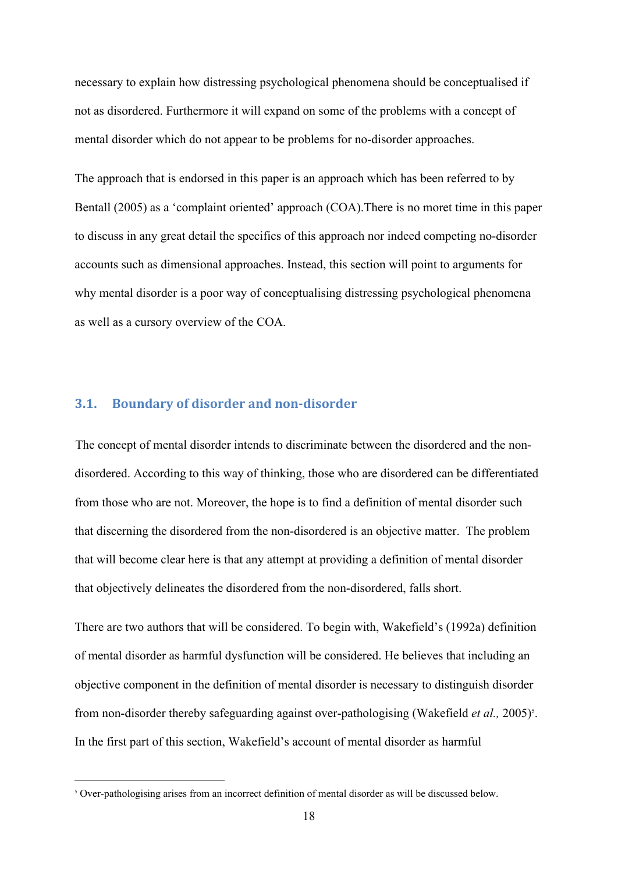necessary to explain how distressing psychological phenomena should be conceptualised if not as disordered. Furthermore it will expand on some of the problems with a concept of mental disorder which do not appear to be problems for no-disorder approaches.

The approach that is endorsed in this paper is an approach which has been referred to by Bentall (2005) as a 'complaint oriented' approach (COA).There is no moret time in this paper to discuss in any great detail the specifics of this approach nor indeed competing no-disorder accounts such as dimensional approaches. Instead, this section will point to arguments for why mental disorder is a poor way of conceptualising distressing psychological phenomena as well as a cursory overview of the COA.

#### **3.1.** Boundary of disorder and non-disorder

The concept of mental disorder intends to discriminate between the disordered and the nondisordered. According to this way of thinking, those who are disordered can be differentiated from those who are not. Moreover, the hope is to find a definition of mental disorder such that discerning the disordered from the non-disordered is an objective matter. The problem that will become clear here is that any attempt at providing a definition of mental disorder that objectively delineates the disordered from the non-disordered, falls short.

There are two authors that will be considered. To begin with, Wakefield's (1992a) definition of mental disorder as harmful dysfunction will be considered. He believes that including an objective component in the definition of mental disorder is necessary to distinguish disorder from non-disorder thereby safeguarding against over-pathologising (Wakefield *et al.*, 2005)<sup>5</sup>. . In the first part of this section, Wakefield's account of mental disorder as harmful

 $5$  Over-pathologising arises from an incorrect definition of mental disorder as will be discussed below.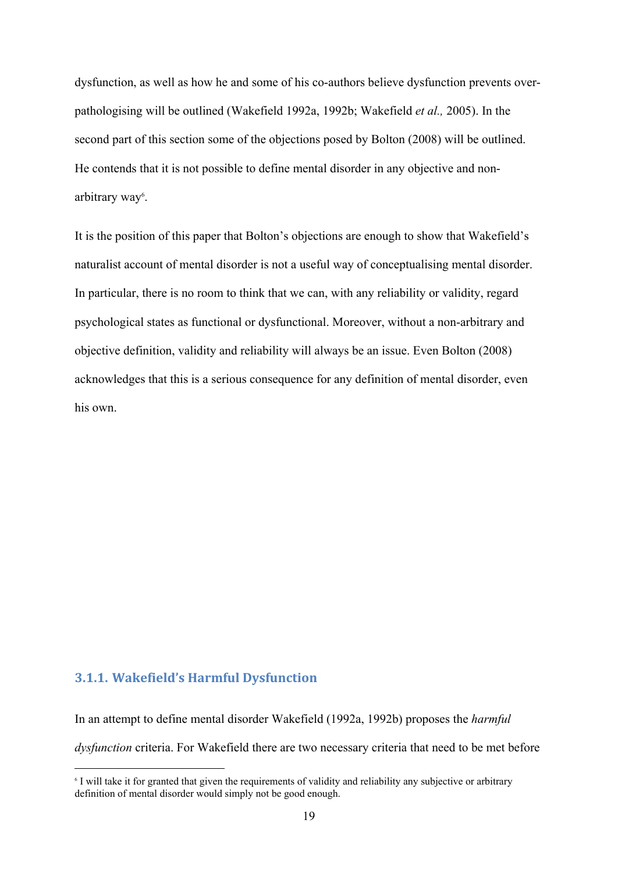dysfunction, as well as how he and some of his co-authors believe dysfunction prevents overpathologising will be outlined (Wakefield 1992a, 1992b; Wakefield *et al.,* 2005). In the second part of this section some of the objections posed by Bolton (2008) will be outlined. He contends that it is not possible to define mental disorder in any objective and nonarbitrary way<sup>6</sup>. .

It is the position of this paper that Bolton's objections are enough to show that Wakefield's naturalist account of mental disorder is not a useful way of conceptualising mental disorder. In particular, there is no room to think that we can, with any reliability or validity, regard psychological states as functional or dysfunctional. Moreover, without a non-arbitrary and objective definition, validity and reliability will always be an issue. Even Bolton (2008) acknowledges that this is a serious consequence for any definition of mental disorder, even his own.

### **3.1.1. Wakefield's Harmful Dysfunction**

In an attempt to define mental disorder Wakefield (1992a, 1992b) proposes the *harmful dysfunction* criteria. For Wakefield there are two necessary criteria that need to be met before

<sup>6</sup> I will take it for granted that given the requirements of validity and reliability any subjective or arbitrary definition of mental disorder would simply not be good enough.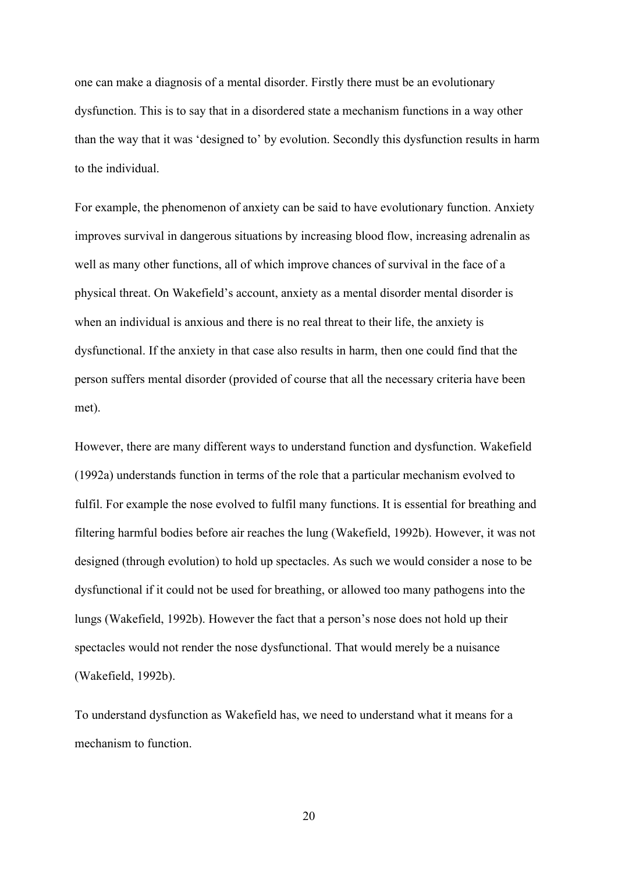one can make a diagnosis of a mental disorder. Firstly there must be an evolutionary dysfunction. This is to say that in a disordered state a mechanism functions in a way other than the way that it was 'designed to' by evolution. Secondly this dysfunction results in harm to the individual.

For example, the phenomenon of anxiety can be said to have evolutionary function. Anxiety improves survival in dangerous situations by increasing blood flow, increasing adrenalin as well as many other functions, all of which improve chances of survival in the face of a physical threat. On Wakefield's account, anxiety as a mental disorder mental disorder is when an individual is anxious and there is no real threat to their life, the anxiety is dysfunctional. If the anxiety in that case also results in harm, then one could find that the person suffers mental disorder (provided of course that all the necessary criteria have been met).

However, there are many different ways to understand function and dysfunction. Wakefield (1992a) understands function in terms of the role that a particular mechanism evolved to fulfil. For example the nose evolved to fulfil many functions. It is essential for breathing and filtering harmful bodies before air reaches the lung (Wakefield, 1992b). However, it was not designed (through evolution) to hold up spectacles. As such we would consider a nose to be dysfunctional if it could not be used for breathing, or allowed too many pathogens into the lungs (Wakefield, 1992b). However the fact that a person's nose does not hold up their spectacles would not render the nose dysfunctional. That would merely be a nuisance (Wakefield, 1992b).

To understand dysfunction as Wakefield has, we need to understand what it means for a mechanism to function.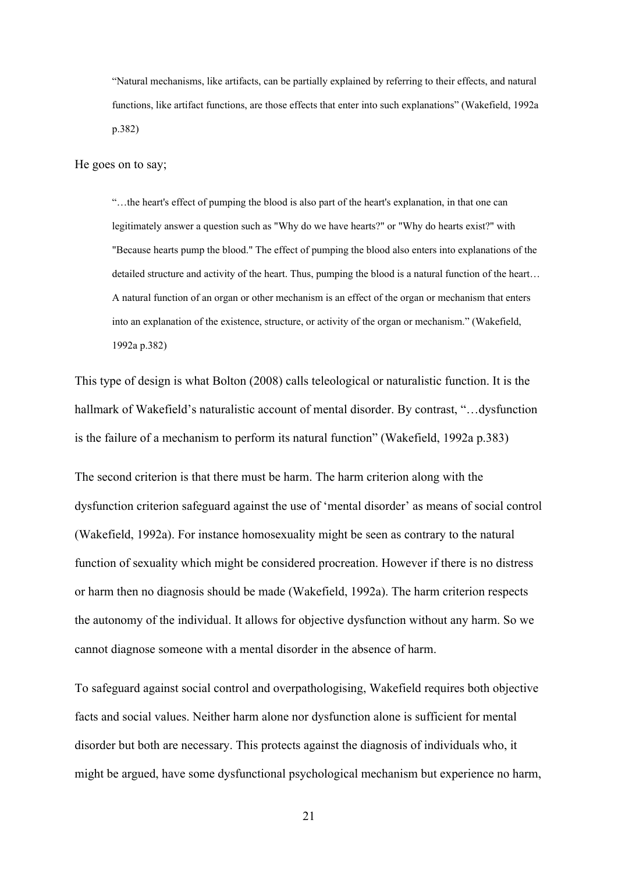"Natural mechanisms, like artifacts, can be partially explained by referring to their effects, and natural functions, like artifact functions, are those effects that enter into such explanations" (Wakefield, 1992a p.382)

He goes on to say;

"…the heart's effect of pumping the blood is also part of the heart's explanation, in that one can legitimately answer a question such as "Why do we have hearts?" or "Why do hearts exist?" with "Because hearts pump the blood." The effect of pumping the blood also enters into explanations of the detailed structure and activity of the heart. Thus, pumping the blood is a natural function of the heart… A natural function of an organ or other mechanism is an effect of the organ or mechanism that enters into an explanation of the existence, structure, or activity of the organ or mechanism." (Wakefield, 1992a p.382)

This type of design is what Bolton (2008) calls teleological or naturalistic function. It is the hallmark of Wakefield's naturalistic account of mental disorder. By contrast, "…dysfunction is the failure of a mechanism to perform its natural function" (Wakefield, 1992a p.383)

The second criterion is that there must be harm. The harm criterion along with the dysfunction criterion safeguard against the use of 'mental disorder' as means of social control (Wakefield, 1992a). For instance homosexuality might be seen as contrary to the natural function of sexuality which might be considered procreation. However if there is no distress or harm then no diagnosis should be made (Wakefield, 1992a). The harm criterion respects the autonomy of the individual. It allows for objective dysfunction without any harm. So we cannot diagnose someone with a mental disorder in the absence of harm.

To safeguard against social control and overpathologising, Wakefield requires both objective facts and social values. Neither harm alone nor dysfunction alone is sufficient for mental disorder but both are necessary. This protects against the diagnosis of individuals who, it might be argued, have some dysfunctional psychological mechanism but experience no harm,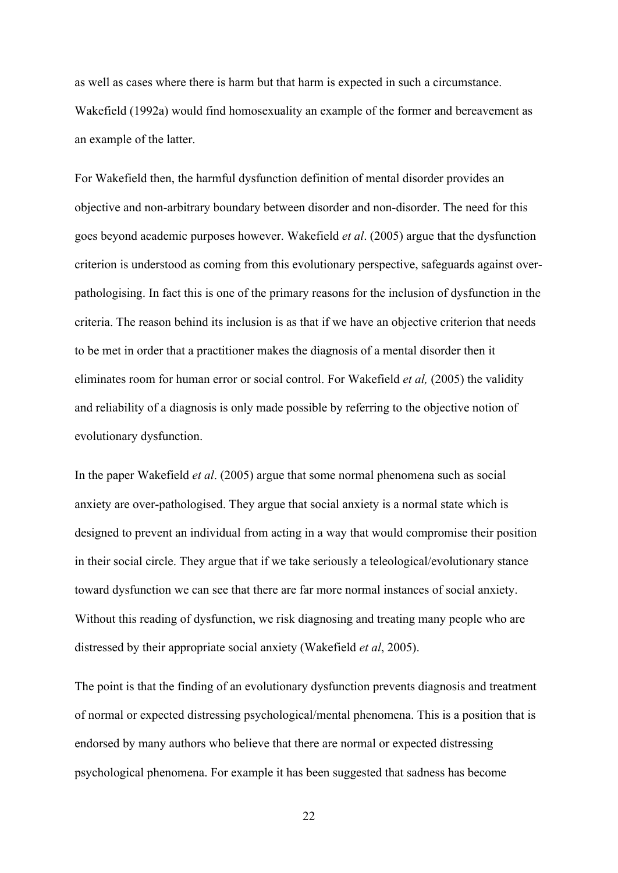as well as cases where there is harm but that harm is expected in such a circumstance. Wakefield (1992a) would find homosexuality an example of the former and bereavement as an example of the latter.

For Wakefield then, the harmful dysfunction definition of mental disorder provides an objective and non-arbitrary boundary between disorder and non-disorder. The need for this goes beyond academic purposes however. Wakefield *et al*. (2005) argue that the dysfunction criterion is understood as coming from this evolutionary perspective, safeguards against overpathologising. In fact this is one of the primary reasons for the inclusion of dysfunction in the criteria. The reason behind its inclusion is as that if we have an objective criterion that needs to be met in order that a practitioner makes the diagnosis of a mental disorder then it eliminates room for human error or social control. For Wakefield *et al,* (2005) the validity and reliability of a diagnosis is only made possible by referring to the objective notion of evolutionary dysfunction.

In the paper Wakefield *et al*. (2005) argue that some normal phenomena such as social anxiety are over-pathologised. They argue that social anxiety is a normal state which is designed to prevent an individual from acting in a way that would compromise their position in their social circle. They argue that if we take seriously a teleological/evolutionary stance toward dysfunction we can see that there are far more normal instances of social anxiety. Without this reading of dysfunction, we risk diagnosing and treating many people who are distressed by their appropriate social anxiety (Wakefield *et al*, 2005).

The point is that the finding of an evolutionary dysfunction prevents diagnosis and treatment of normal or expected distressing psychological/mental phenomena. This is a position that is endorsed by many authors who believe that there are normal or expected distressing psychological phenomena. For example it has been suggested that sadness has become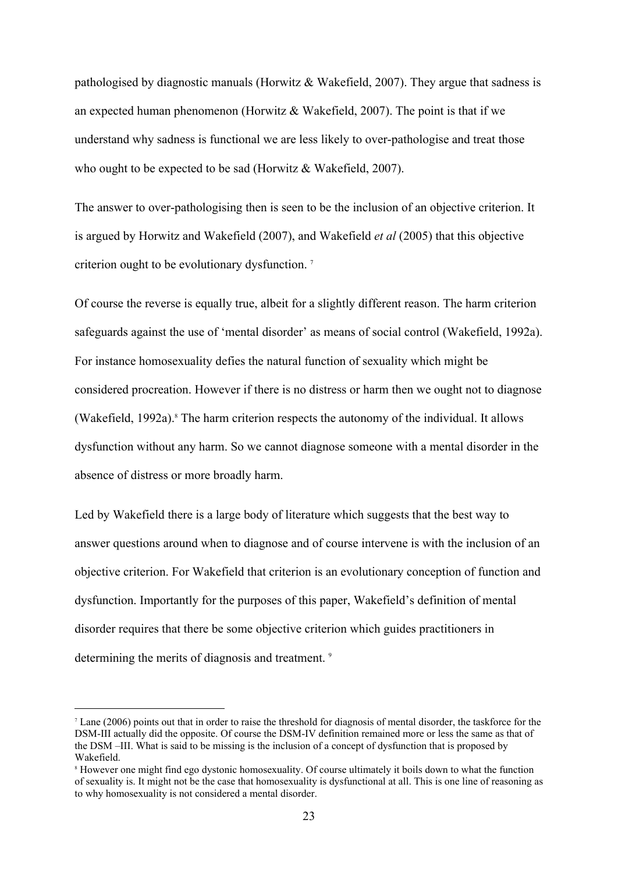pathologised by diagnostic manuals (Horwitz & Wakefield, 2007). They argue that sadness is an expected human phenomenon (Horwitz & Wakefield, 2007). The point is that if we understand why sadness is functional we are less likely to over-pathologise and treat those who ought to be expected to be sad (Horwitz & Wakefield, 2007).

The answer to over-pathologising then is seen to be the inclusion of an objective criterion. It is argued by Horwitz and Wakefield (2007), and Wakefield *et al* (2005) that this objective criterion ought to be evolutionary dysfunction. <sup>7</sup>

Of course the reverse is equally true, albeit for a slightly different reason. The harm criterion safeguards against the use of 'mental disorder' as means of social control (Wakefield, 1992a). For instance homosexuality defies the natural function of sexuality which might be considered procreation. However if there is no distress or harm then we ought not to diagnose (Wakefield, 1992a).<sup>8</sup> The harm criterion respects the autonomy of the individual. It allows dysfunction without any harm. So we cannot diagnose someone with a mental disorder in the absence of distress or more broadly harm.

Led by Wakefield there is a large body of literature which suggests that the best way to answer questions around when to diagnose and of course intervene is with the inclusion of an objective criterion. For Wakefield that criterion is an evolutionary conception of function and dysfunction. Importantly for the purposes of this paper, Wakefield's definition of mental disorder requires that there be some objective criterion which guides practitioners in determining the merits of diagnosis and treatment.<sup>9</sup>

<sup>7</sup> Lane (2006) points out that in order to raise the threshold for diagnosis of mental disorder, the taskforce for the DSM-III actually did the opposite. Of course the DSM-IV definition remained more or less the same as that of the DSM –III. What is said to be missing is the inclusion of a concept of dysfunction that is proposed by Wakefield.

<sup>8</sup> However one might find ego dystonic homosexuality. Of course ultimately it boils down to what the function of sexuality is. It might not be the case that homosexuality is dysfunctional at all. This is one line of reasoning as to why homosexuality is not considered a mental disorder.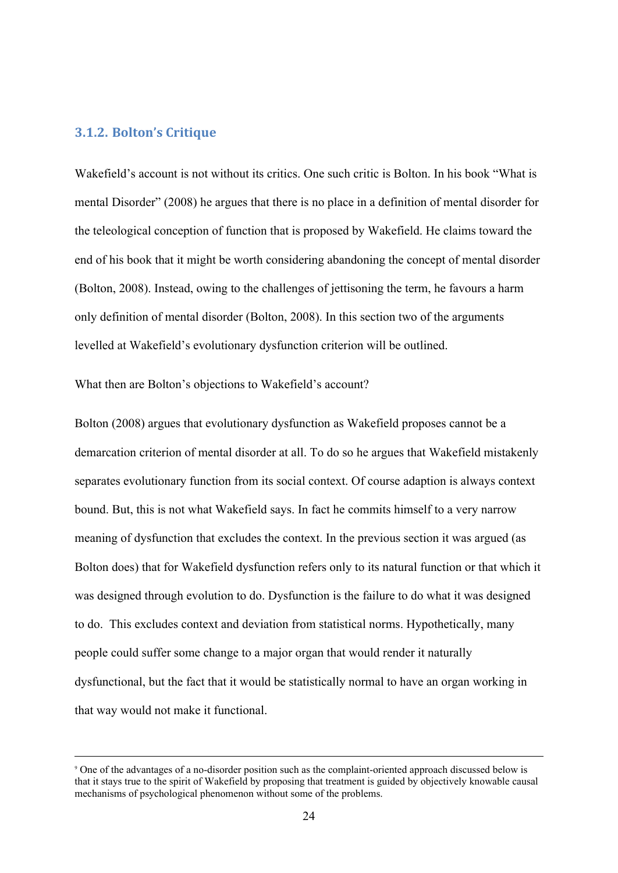#### **3.1.2. Bolton's Critique**

Wakefield's account is not without its critics. One such critic is Bolton. In his book "What is mental Disorder" (2008) he argues that there is no place in a definition of mental disorder for the teleological conception of function that is proposed by Wakefield. He claims toward the end of his book that it might be worth considering abandoning the concept of mental disorder (Bolton, 2008). Instead, owing to the challenges of jettisoning the term, he favours a harm only definition of mental disorder (Bolton, 2008). In this section two of the arguments levelled at Wakefield's evolutionary dysfunction criterion will be outlined.

What then are Bolton's objections to Wakefield's account?

Bolton (2008) argues that evolutionary dysfunction as Wakefield proposes cannot be a demarcation criterion of mental disorder at all. To do so he argues that Wakefield mistakenly separates evolutionary function from its social context. Of course adaption is always context bound. But, this is not what Wakefield says. In fact he commits himself to a very narrow meaning of dysfunction that excludes the context. In the previous section it was argued (as Bolton does) that for Wakefield dysfunction refers only to its natural function or that which it was designed through evolution to do. Dysfunction is the failure to do what it was designed to do. This excludes context and deviation from statistical norms. Hypothetically, many people could suffer some change to a major organ that would render it naturally dysfunctional, but the fact that it would be statistically normal to have an organ working in that way would not make it functional.

<sup>&</sup>lt;sup>9</sup> One of the advantages of a no-disorder position such as the complaint-oriented approach discussed below is that it stays true to the spirit of Wakefield by proposing that treatment is guided by objectively knowable causal mechanisms of psychological phenomenon without some of the problems.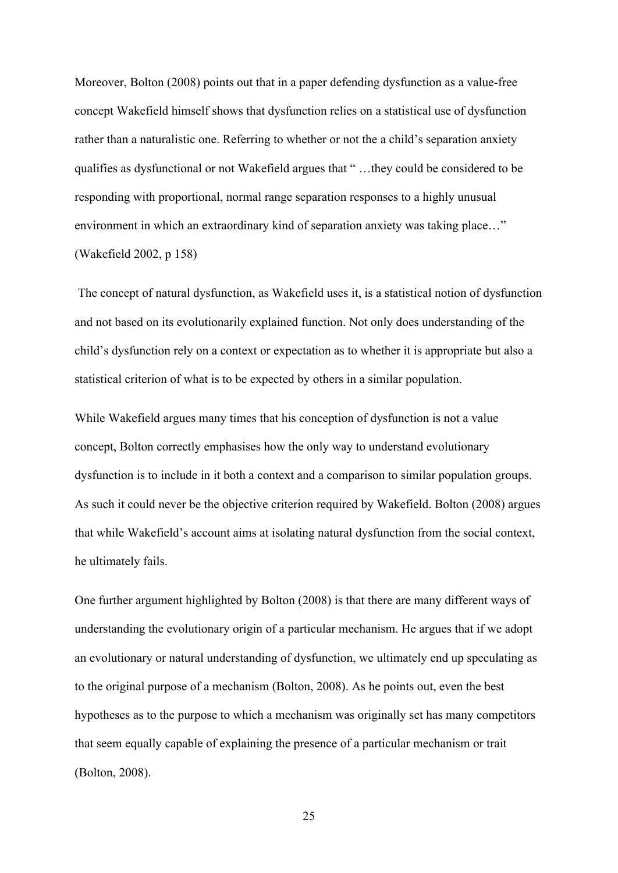Moreover, Bolton (2008) points out that in a paper defending dysfunction as a value-free concept Wakefield himself shows that dysfunction relies on a statistical use of dysfunction rather than a naturalistic one. Referring to whether or not the a child's separation anxiety qualifies as dysfunctional or not Wakefield argues that " …they could be considered to be responding with proportional, normal range separation responses to a highly unusual environment in which an extraordinary kind of separation anxiety was taking place…" (Wakefield 2002, p 158)

 The concept of natural dysfunction, as Wakefield uses it, is a statistical notion of dysfunction and not based on its evolutionarily explained function. Not only does understanding of the child's dysfunction rely on a context or expectation as to whether it is appropriate but also a statistical criterion of what is to be expected by others in a similar population.

While Wakefield argues many times that his conception of dysfunction is not a value concept, Bolton correctly emphasises how the only way to understand evolutionary dysfunction is to include in it both a context and a comparison to similar population groups. As such it could never be the objective criterion required by Wakefield. Bolton (2008) argues that while Wakefield's account aims at isolating natural dysfunction from the social context, he ultimately fails.

One further argument highlighted by Bolton (2008) is that there are many different ways of understanding the evolutionary origin of a particular mechanism. He argues that if we adopt an evolutionary or natural understanding of dysfunction, we ultimately end up speculating as to the original purpose of a mechanism (Bolton, 2008). As he points out, even the best hypotheses as to the purpose to which a mechanism was originally set has many competitors that seem equally capable of explaining the presence of a particular mechanism or trait (Bolton, 2008).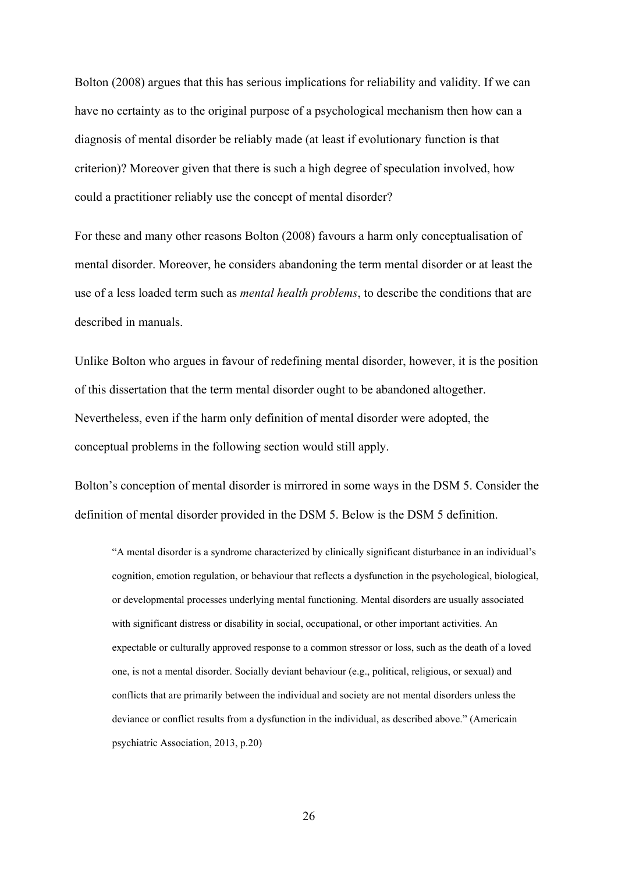Bolton (2008) argues that this has serious implications for reliability and validity. If we can have no certainty as to the original purpose of a psychological mechanism then how can a diagnosis of mental disorder be reliably made (at least if evolutionary function is that criterion)? Moreover given that there is such a high degree of speculation involved, how could a practitioner reliably use the concept of mental disorder?

For these and many other reasons Bolton (2008) favours a harm only conceptualisation of mental disorder. Moreover, he considers abandoning the term mental disorder or at least the use of a less loaded term such as *mental health problems*, to describe the conditions that are described in manuals.

Unlike Bolton who argues in favour of redefining mental disorder, however, it is the position of this dissertation that the term mental disorder ought to be abandoned altogether. Nevertheless, even if the harm only definition of mental disorder were adopted, the conceptual problems in the following section would still apply.

Bolton's conception of mental disorder is mirrored in some ways in the DSM 5. Consider the definition of mental disorder provided in the DSM 5. Below is the DSM 5 definition.

"A mental disorder is a syndrome characterized by clinically significant disturbance in an individual's cognition, emotion regulation, or behaviour that reflects a dysfunction in the psychological, biological, or developmental processes underlying mental functioning. Mental disorders are usually associated with significant distress or disability in social, occupational, or other important activities. An expectable or culturally approved response to a common stressor or loss, such as the death of a loved one, is not a mental disorder. Socially deviant behaviour (e.g., political, religious, or sexual) and conflicts that are primarily between the individual and society are not mental disorders unless the deviance or conflict results from a dysfunction in the individual, as described above." (Americain psychiatric Association, 2013, p.20)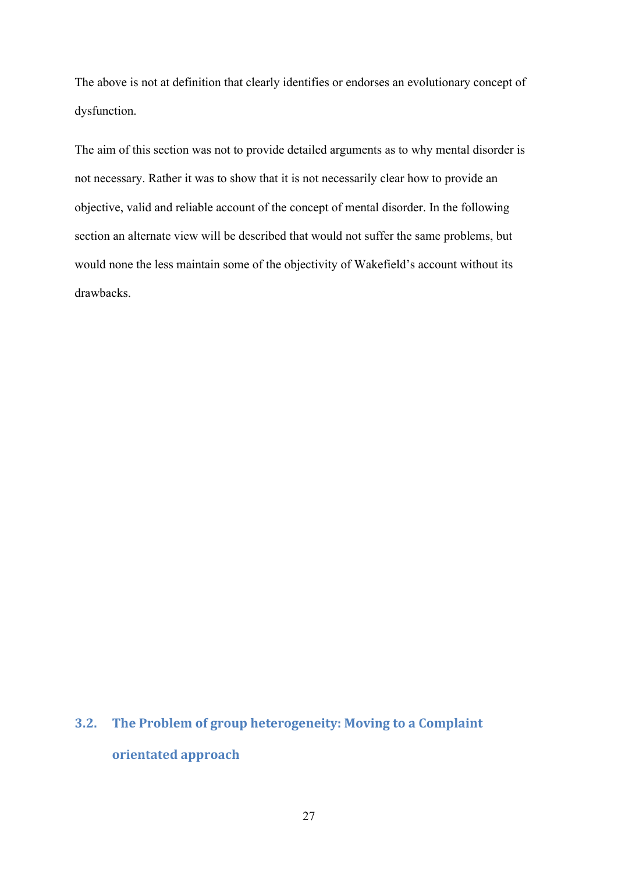The above is not at definition that clearly identifies or endorses an evolutionary concept of dysfunction.

The aim of this section was not to provide detailed arguments as to why mental disorder is not necessary. Rather it was to show that it is not necessarily clear how to provide an objective, valid and reliable account of the concept of mental disorder. In the following section an alternate view will be described that would not suffer the same problems, but would none the less maintain some of the objectivity of Wakefield's account without its drawbacks.

# **3.2. The Problem of group heterogeneity: Moving to a Complaint orientated approach**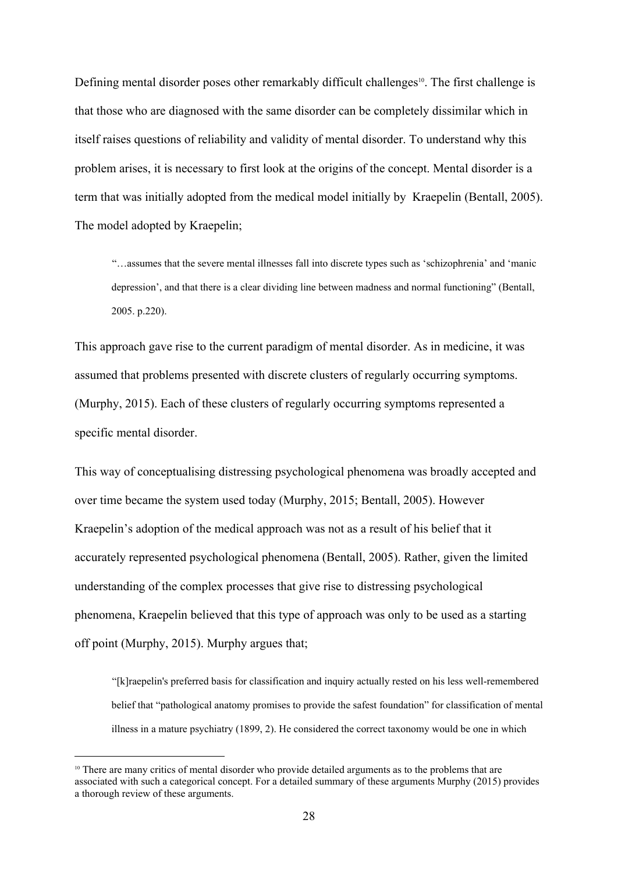Defining mental disorder poses other remarkably difficult challenges<sup>10</sup>. The first challenge is that those who are diagnosed with the same disorder can be completely dissimilar which in itself raises questions of reliability and validity of mental disorder. To understand why this problem arises, it is necessary to first look at the origins of the concept. Mental disorder is a term that was initially adopted from the medical model initially by Kraepelin (Bentall, 2005). The model adopted by Kraepelin;

"…assumes that the severe mental illnesses fall into discrete types such as 'schizophrenia' and 'manic depression', and that there is a clear dividing line between madness and normal functioning" (Bentall, 2005. p.220).

This approach gave rise to the current paradigm of mental disorder. As in medicine, it was assumed that problems presented with discrete clusters of regularly occurring symptoms. (Murphy, 2015). Each of these clusters of regularly occurring symptoms represented a specific mental disorder.

This way of conceptualising distressing psychological phenomena was broadly accepted and over time became the system used today (Murphy, 2015; Bentall, 2005). However Kraepelin's adoption of the medical approach was not as a result of his belief that it accurately represented psychological phenomena (Bentall, 2005). Rather, given the limited understanding of the complex processes that give rise to distressing psychological phenomena, Kraepelin believed that this type of approach was only to be used as a starting off point (Murphy, 2015). Murphy argues that;

"[k]raepelin's preferred basis for classification and inquiry actually rested on his less wellremembered belief that "pathological anatomy promises to provide the safest foundation" for classification of mental illness in a mature psychiatry (1899, 2). He considered the correct taxonomy would be one in which

<sup>&</sup>lt;sup>10</sup> There are many critics of mental disorder who provide detailed arguments as to the problems that are associated with such a categorical concept. For a detailed summary of these arguments Murphy (2015) provides a thorough review of these arguments.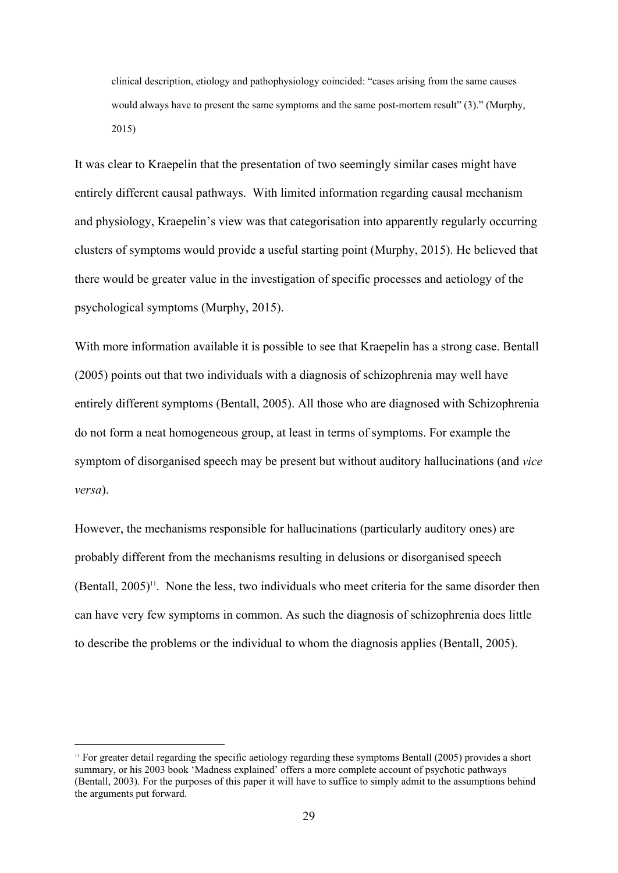clinical description, etiology and pathophysiology coincided: "cases arising from the same causes would always have to present the same symptoms and the same post-mortem result" (3)." (Murphy, 2015)

It was clear to Kraepelin that the presentation of two seemingly similar cases might have entirely different causal pathways. With limited information regarding causal mechanism and physiology, Kraepelin's view was that categorisation into apparently regularly occurring clusters of symptoms would provide a useful starting point (Murphy, 2015). He believed that there would be greater value in the investigation of specific processes and aetiology of the psychological symptoms (Murphy, 2015).

With more information available it is possible to see that Kraepelin has a strong case. Bentall (2005) points out that two individuals with a diagnosis of schizophrenia may well have entirely different symptoms (Bentall, 2005). All those who are diagnosed with Schizophrenia do not form a neat homogeneous group, at least in terms of symptoms. For example the symptom of disorganised speech may be present but without auditory hallucinations (and *vice versa*).

However, the mechanisms responsible for hallucinations (particularly auditory ones) are probably different from the mechanisms resulting in delusions or disorganised speech  $(Bentall, 2005)^{11}$ . None the less, two individuals who meet criteria for the same disorder then can have very few symptoms in common. As such the diagnosis of schizophrenia does little to describe the problems or the individual to whom the diagnosis applies (Bentall, 2005).

<sup>&</sup>lt;sup>11</sup> For greater detail regarding the specific aetiology regarding these symptoms Bentall (2005) provides a short summary, or his 2003 book 'Madness explained' offers a more complete account of psychotic pathways (Bentall, 2003). For the purposes of this paper it will have to suffice to simply admit to the assumptions behind the arguments put forward.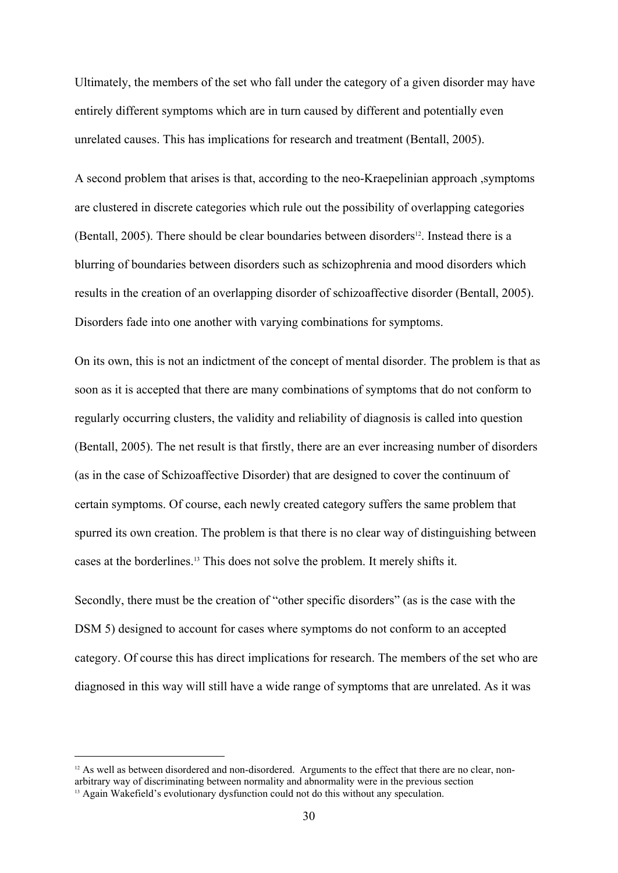Ultimately, the members of the set who fall under the category of a given disorder may have entirely different symptoms which are in turn caused by different and potentially even unrelated causes. This has implications for research and treatment (Bentall, 2005).

A second problem that arises is that, according to the neo-Kraepelinian approach, symptoms are clustered in discrete categories which rule out the possibility of overlapping categories (Bentall, 2005). There should be clear boundaries between disorders<sup>12</sup>. Instead there is a blurring of boundaries between disorders such as schizophrenia and mood disorders which results in the creation of an overlapping disorder of schizoaffective disorder (Bentall, 2005). Disorders fade into one another with varying combinations for symptoms.

On its own, this is not an indictment of the concept of mental disorder. The problem is that as soon as it is accepted that there are many combinations of symptoms that do not conform to regularly occurring clusters, the validity and reliability of diagnosis is called into question (Bentall, 2005). The net result is that firstly, there are an ever increasing number of disorders (as in the case of Schizoaffective Disorder) that are designed to cover the continuum of certain symptoms. Of course, each newly created category suffers the same problem that spurred its own creation. The problem is that there is no clear way of distinguishing between cases at the borderlines.13 This does not solve the problem. It merely shifts it.

Secondly, there must be the creation of "other specific disorders" (as is the case with the DSM 5) designed to account for cases where symptoms do not conform to an accepted category. Of course this has direct implications for research. The members of the set who are diagnosed in this way will still have a wide range of symptoms that are unrelated. As it was

 $12$  As well as between disordered and non-disordered. Arguments to the effect that there are no clear, nonarbitrary way of discriminating between normality and abnormality were in the previous section

<sup>&</sup>lt;sup>13</sup> Again Wakefield's evolutionary dysfunction could not do this without any speculation.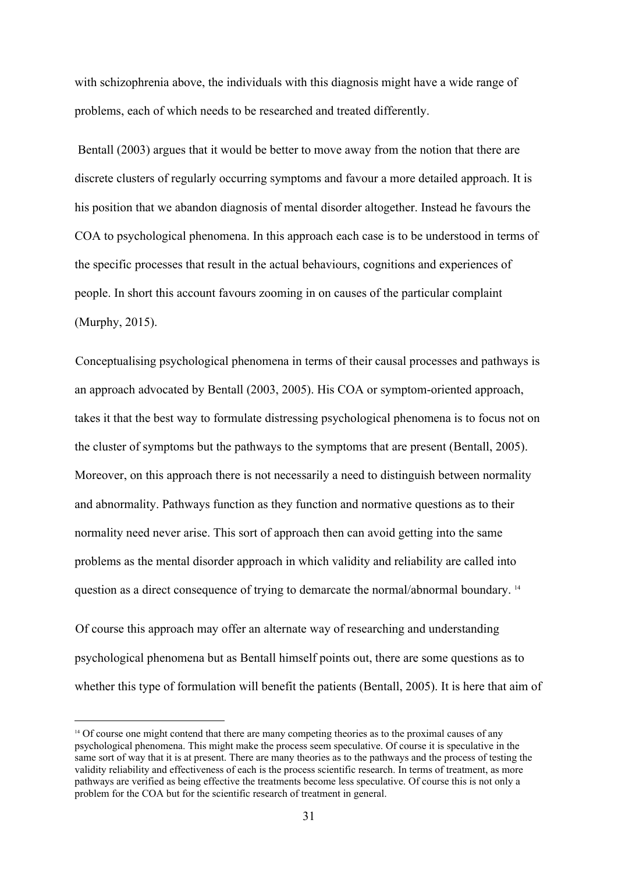with schizophrenia above, the individuals with this diagnosis might have a wide range of problems, each of which needs to be researched and treated differently.

 Bentall (2003) argues that it would be better to move away from the notion that there are discrete clusters of regularly occurring symptoms and favour a more detailed approach. It is his position that we abandon diagnosis of mental disorder altogether. Instead he favours the COA to psychological phenomena. In this approach each case is to be understood in terms of the specific processes that result in the actual behaviours, cognitions and experiences of people. In short this account favours zooming in on causes of the particular complaint (Murphy, 2015).

Conceptualising psychological phenomena in terms of their causal processes and pathways is an approach advocated by Bentall (2003, 2005). His COA or symptom-oriented approach, takes it that the best way to formulate distressing psychological phenomena is to focus not on the cluster of symptoms but the pathways to the symptoms that are present (Bentall, 2005). Moreover, on this approach there is not necessarily a need to distinguish between normality and abnormality. Pathways function as they function and normative questions as to their normality need never arise. This sort of approach then can avoid getting into the same problems as the mental disorder approach in which validity and reliability are called into question as a direct consequence of trying to demarcate the normal/abnormal boundary. <sup>14</sup>

Of course this approach may offer an alternate way of researching and understanding psychological phenomena but as Bentall himself points out, there are some questions as to whether this type of formulation will benefit the patients (Bentall, 2005). It is here that aim of

<sup>&</sup>lt;sup>14</sup> Of course one might contend that there are many competing theories as to the proximal causes of any psychological phenomena. This might make the process seem speculative. Of course it is speculative in the same sort of way that it is at present. There are many theories as to the pathways and the process of testing the validity reliability and effectiveness of each is the process scientific research. In terms of treatment, as more pathways are verified as being effective the treatments become less speculative. Of course this is not only a problem for the COA but for the scientific research of treatment in general.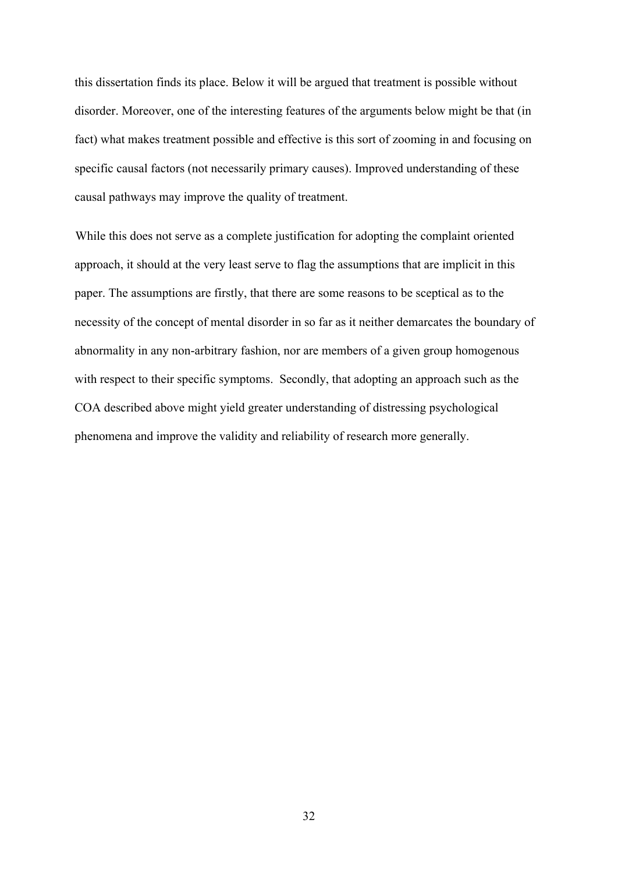this dissertation finds its place. Below it will be argued that treatment is possible without disorder. Moreover, one of the interesting features of the arguments below might be that (in fact) what makes treatment possible and effective is this sort of zooming in and focusing on specific causal factors (not necessarily primary causes). Improved understanding of these causal pathways may improve the quality of treatment.

While this does not serve as a complete justification for adopting the complaint oriented approach, it should at the very least serve to flag the assumptions that are implicit in this paper. The assumptions are firstly, that there are some reasons to be sceptical as to the necessity of the concept of mental disorder in so far as it neither demarcates the boundary of abnormality in any non-arbitrary fashion, nor are members of a given group homogenous with respect to their specific symptoms. Secondly, that adopting an approach such as the COA described above might yield greater understanding of distressing psychological phenomena and improve the validity and reliability of research more generally.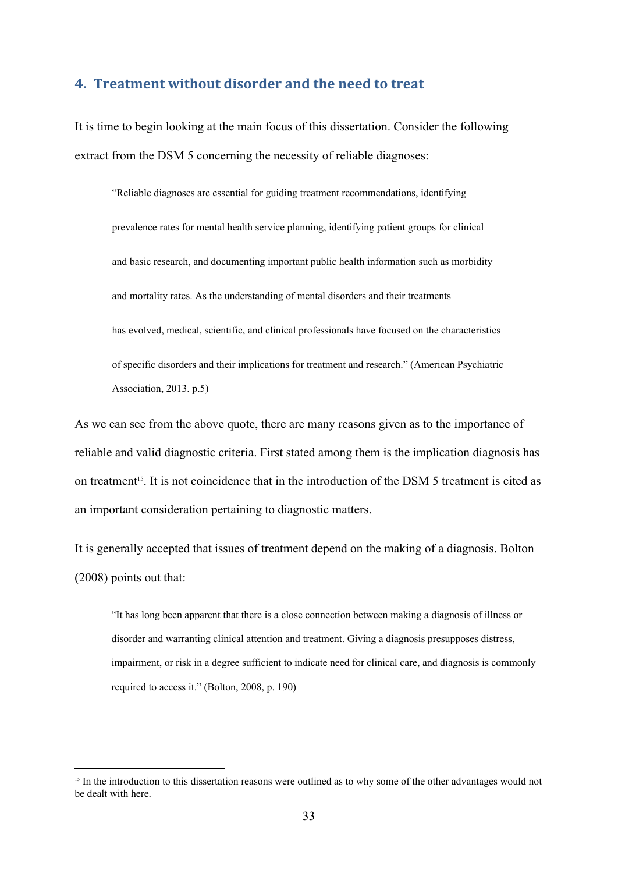#### **4. Treatment without disorder and the need to treat**

It is time to begin looking at the main focus of this dissertation. Consider the following extract from the DSM 5 concerning the necessity of reliable diagnoses:

"Reliable diagnoses are essential for guiding treatment recommendations, identifying prevalence rates for mental health service planning, identifying patient groups for clinical and basic research, and documenting important public health information such as morbidity and mortality rates. As the understanding of mental disorders and their treatments has evolved, medical, scientific, and clinical professionals have focused on the characteristics of specific disorders and their implications for treatment and research." (American Psychiatric Association, 2013. p.5)

As we can see from the above quote, there are many reasons given as to the importance of reliable and valid diagnostic criteria. First stated among them is the implication diagnosis has on treatment<sup>15</sup>. It is not coincidence that in the introduction of the DSM 5 treatment is cited as an important consideration pertaining to diagnostic matters.

It is generally accepted that issues of treatment depend on the making of a diagnosis. Bolton (2008) points out that:

"It has long been apparent that there is a close connection between making a diagnosis of illness or disorder and warranting clinical attention and treatment. Giving a diagnosis presupposes distress, impairment, or risk in a degree sufficient to indicate need for clinical care, and diagnosis is commonly required to access it." (Bolton, 2008, p. 190)

<sup>&</sup>lt;sup>15</sup> In the introduction to this dissertation reasons were outlined as to why some of the other advantages would not be dealt with here.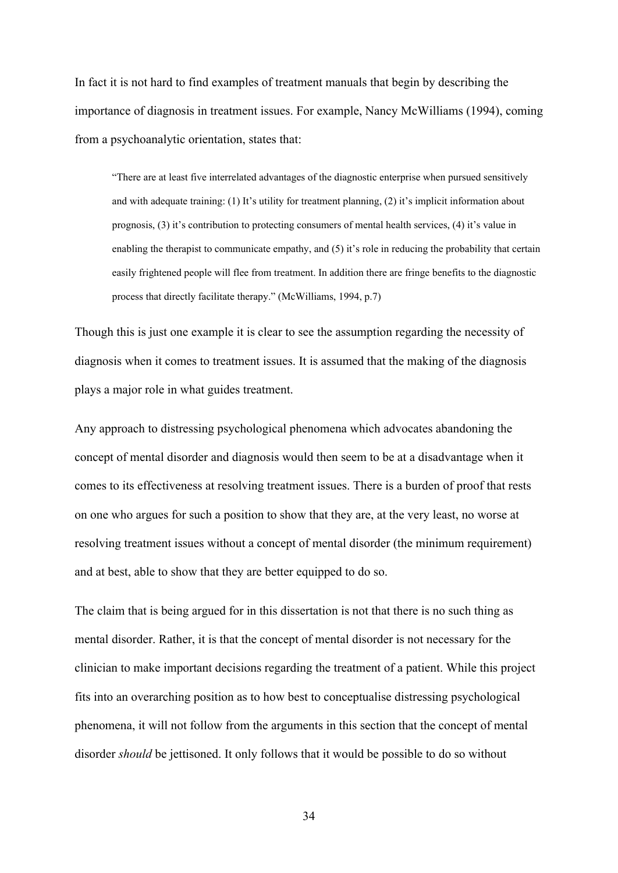In fact it is not hard to find examples of treatment manuals that begin by describing the importance of diagnosis in treatment issues. For example, Nancy McWilliams (1994), coming from a psychoanalytic orientation, states that:

"There are at least five interrelated advantages of the diagnostic enterprise when pursued sensitively and with adequate training: (1) It's utility for treatment planning, (2) it's implicit information about prognosis, (3) it's contribution to protecting consumers of mental health services, (4) it's value in enabling the therapist to communicate empathy, and (5) it's role in reducing the probability that certain easily frightened people will flee from treatment. In addition there are fringe benefits to the diagnostic process that directly facilitate therapy." (McWilliams, 1994, p.7)

Though this is just one example it is clear to see the assumption regarding the necessity of diagnosis when it comes to treatment issues. It is assumed that the making of the diagnosis plays a major role in what guides treatment.

Any approach to distressing psychological phenomena which advocates abandoning the concept of mental disorder and diagnosis would then seem to be at a disadvantage when it comes to its effectiveness at resolving treatment issues. There is a burden of proof that rests on one who argues for such a position to show that they are, at the very least, no worse at resolving treatment issues without a concept of mental disorder (the minimum requirement) and at best, able to show that they are better equipped to do so.

The claim that is being argued for in this dissertation is not that there is no such thing as mental disorder. Rather, it is that the concept of mental disorder is not necessary for the clinician to make important decisions regarding the treatment of a patient. While this project fits into an overarching position as to how best to conceptualise distressing psychological phenomena, it will not follow from the arguments in this section that the concept of mental disorder *should* be jettisoned. It only follows that it would be possible to do so without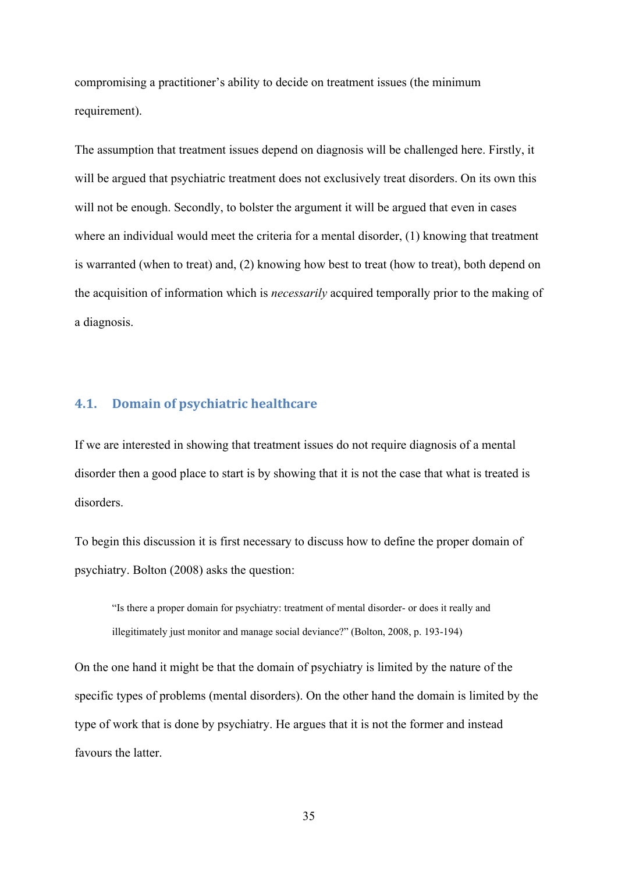compromising a practitioner's ability to decide on treatment issues (the minimum requirement).

The assumption that treatment issues depend on diagnosis will be challenged here. Firstly, it will be argued that psychiatric treatment does not exclusively treat disorders. On its own this will not be enough. Secondly, to bolster the argument it will be argued that even in cases where an individual would meet the criteria for a mental disorder, (1) knowing that treatment is warranted (when to treat) and, (2) knowing how best to treat (how to treat), both depend on the acquisition of information which is *necessarily* acquired temporally prior to the making of a diagnosis.

#### **4.1. Domain of psychiatric healthcare**

If we are interested in showing that treatment issues do not require diagnosis of a mental disorder then a good place to start is by showing that it is not the case that what is treated is disorders.

To begin this discussion it is first necessary to discuss how to define the proper domain of psychiatry. Bolton (2008) asks the question:

"Is there a proper domain for psychiatry: treatment of mental disorder or does it really and illegitimately just monitor and manage social deviance?" (Bolton, 2008, p. 193-194)

On the one hand it might be that the domain of psychiatry is limited by the nature of the specific types of problems (mental disorders). On the other hand the domain is limited by the type of work that is done by psychiatry. He argues that it is not the former and instead favours the latter.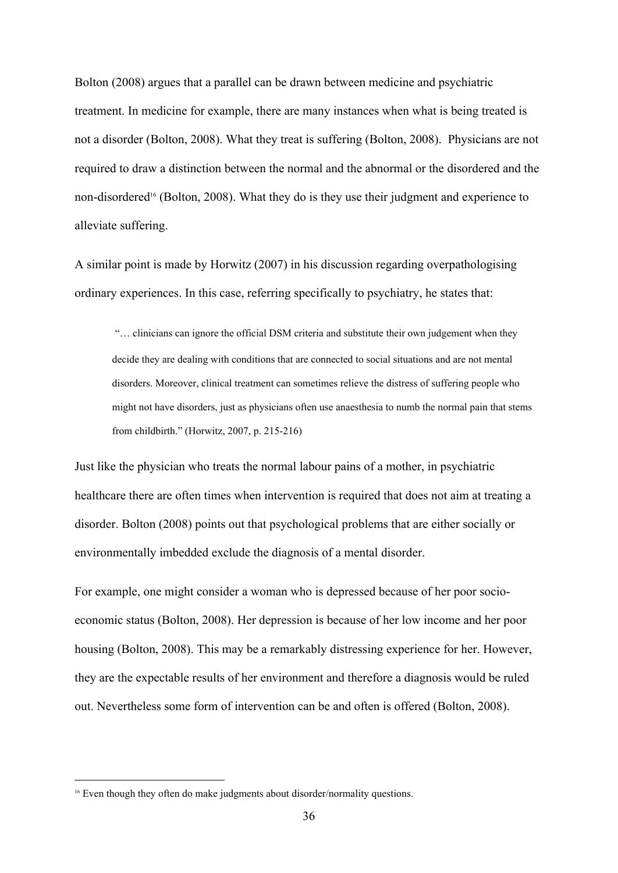Bolton (2008) argues that a parallel can be drawn between medicine and psychiatric treatment. In medicine for example, there are many instances when what is being treated is not a disorder (Bolton, 2008). What they treat is suffering (Bolton, 2008). Physicians are not required to draw a distinction between the normal and the abnormal or the disordered and the non-disordered<sup>16</sup> (Bolton, 2008). What they do is they use their judgment and experience to alleviate suffering.

A similar point is made by Horwitz (2007) in his discussion regarding overpathologising ordinary experiences. In this case, referring specifically to psychiatry, he states that:

"… clinicians can ignore the official DSM criteria and substitute their own judgement when they decide they are dealing with conditions that are connected to social situations and are not mental disorders. Moreover, clinical treatment can sometimes relieve the distress of suffering people who might not have disorders, just as physicians often use anaesthesia to numb the normal pain that stems from childbirth." (Horwitz, 2007, p. 215216)

Just like the physician who treats the normal labour pains of a mother, in psychiatric healthcare there are often times when intervention is required that does not aim at treating a disorder. Bolton (2008) points out that psychological problems that are either socially or environmentally imbedded exclude the diagnosis of a mental disorder.

For example, one might consider a woman who is depressed because of her poor socioeconomic status (Bolton, 2008). Her depression is because of her low income and her poor housing (Bolton, 2008). This may be a remarkably distressing experience for her. However, they are the expectable results of her environment and therefore a diagnosis would be ruled out. Nevertheless some form of intervention can be and often is offered (Bolton, 2008).

<sup>&</sup>lt;sup>16</sup> Even though they often do make judgments about disorder/normality questions.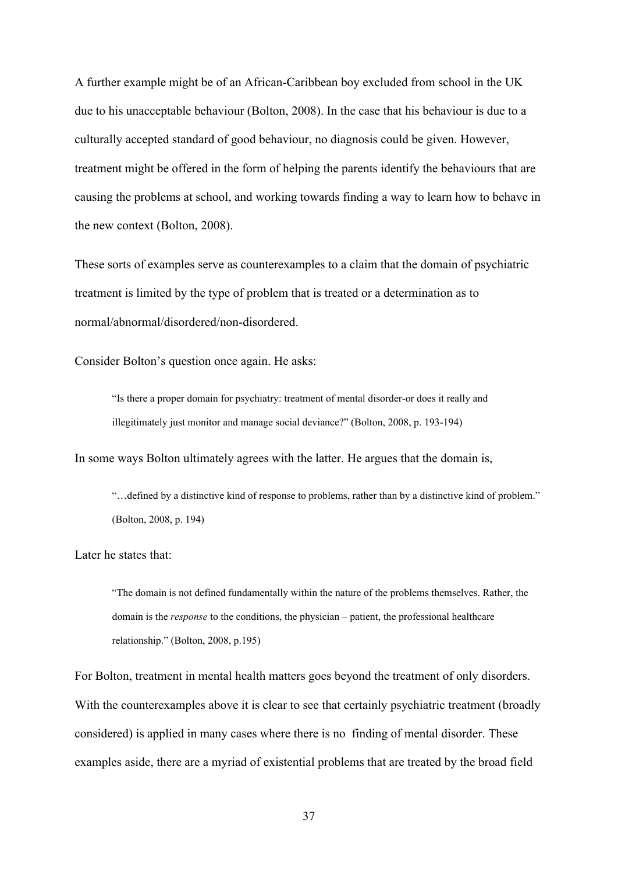A further example might be of an African-Caribbean boy excluded from school in the UK due to his unacceptable behaviour (Bolton, 2008). In the case that his behaviour is due to a culturally accepted standard of good behaviour, no diagnosis could be given. However, treatment might be offered in the form of helping the parents identify the behaviours that are causing the problems at school, and working towards finding a way to learn how to behave in the new context (Bolton, 2008).

These sorts of examples serve as counterexamples to a claim that the domain of psychiatric treatment is limited by the type of problem that is treated or a determination as to normal/abnormal/disordered/non-disordered.

Consider Bolton's question once again. He asks:

"Is there a proper domain for psychiatry: treatment of mental disorder-or does it really and illegitimately just monitor and manage social deviance?" (Bolton, 2008, p. 193-194)

In some ways Bolton ultimately agrees with the latter. He argues that the domain is,

"…defined by a distinctive kind of response to problems, rather than by a distinctive kind of problem." (Bolton, 2008, p. 194)

Later he states that:

"The domain is not defined fundamentally within the nature of the problems themselves. Rather, the domain is the *response* to the conditions, the physician – patient, the professional healthcare relationship." (Bolton, 2008, p.195)

For Bolton, treatment in mental health matters goes beyond the treatment of only disorders. With the counterexamples above it is clear to see that certainly psychiatric treatment (broadly considered) is applied in many cases where there is no finding of mental disorder. These examples aside, there are a myriad of existential problems that are treated by the broad field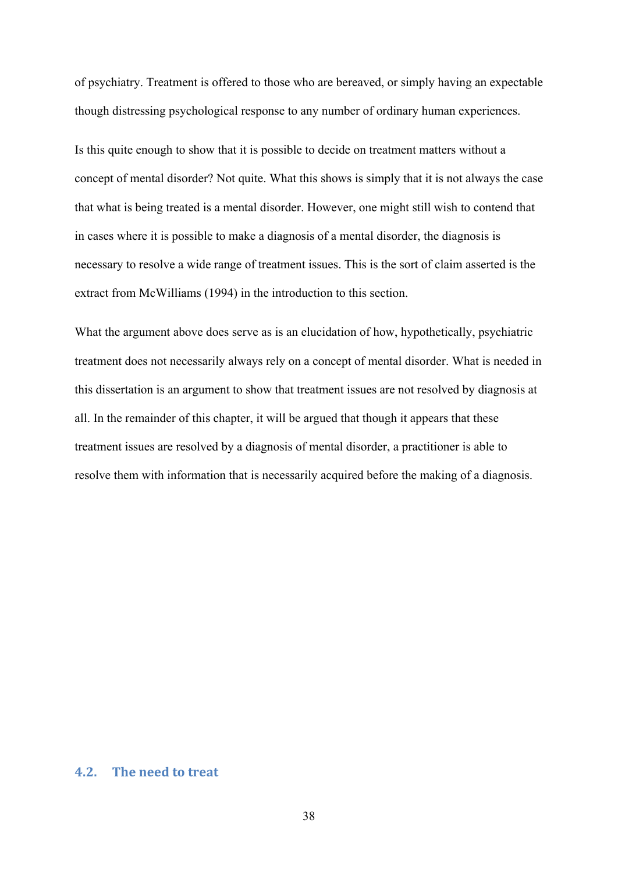of psychiatry. Treatment is offered to those who are bereaved, or simply having an expectable though distressing psychological response to any number of ordinary human experiences.

Is this quite enough to show that it is possible to decide on treatment matters without a concept of mental disorder? Not quite. What this shows is simply that it is not always the case that what is being treated is a mental disorder. However, one might still wish to contend that in cases where it is possible to make a diagnosis of a mental disorder, the diagnosis is necessary to resolve a wide range of treatment issues. This is the sort of claim asserted is the extract from McWilliams (1994) in the introduction to this section.

What the argument above does serve as is an elucidation of how, hypothetically, psychiatric treatment does not necessarily always rely on a concept of mental disorder. What is needed in this dissertation is an argument to show that treatment issues are not resolved by diagnosis at all. In the remainder of this chapter, it will be argued that though it appears that these treatment issues are resolved by a diagnosis of mental disorder, a practitioner is able to resolve them with information that is necessarily acquired before the making of a diagnosis.

#### **4.2. The need to treat**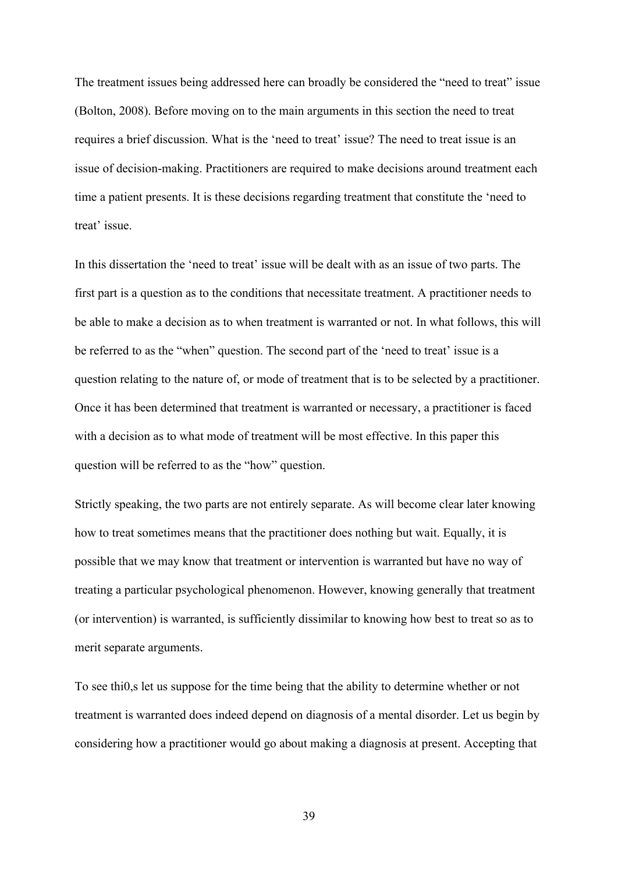The treatment issues being addressed here can broadly be considered the "need to treat" issue (Bolton, 2008). Before moving on to the main arguments in this section the need to treat requires a brief discussion. What is the 'need to treat' issue? The need to treat issue is an issue of decision-making. Practitioners are required to make decisions around treatment each time a patient presents. It is these decisions regarding treatment that constitute the 'need to treat' issue.

In this dissertation the 'need to treat' issue will be dealt with as an issue of two parts. The first part is a question as to the conditions that necessitate treatment. A practitioner needs to be able to make a decision as to when treatment is warranted or not. In what follows, this will be referred to as the "when" question. The second part of the 'need to treat' issue is a question relating to the nature of, or mode of treatment that is to be selected by a practitioner. Once it has been determined that treatment is warranted or necessary, a practitioner is faced with a decision as to what mode of treatment will be most effective. In this paper this question will be referred to as the "how" question.

Strictly speaking, the two parts are not entirely separate. As will become clear later knowing how to treat sometimes means that the practitioner does nothing but wait. Equally, it is possible that we may know that treatment or intervention is warranted but have no way of treating a particular psychological phenomenon. However, knowing generally that treatment (or intervention) is warranted, is sufficiently dissimilar to knowing how best to treat so as to merit separate arguments.

To see thi0,s let us suppose for the time being that the ability to determine whether or not treatment is warranted does indeed depend on diagnosis of a mental disorder. Let us begin by considering how a practitioner would go about making a diagnosis at present. Accepting that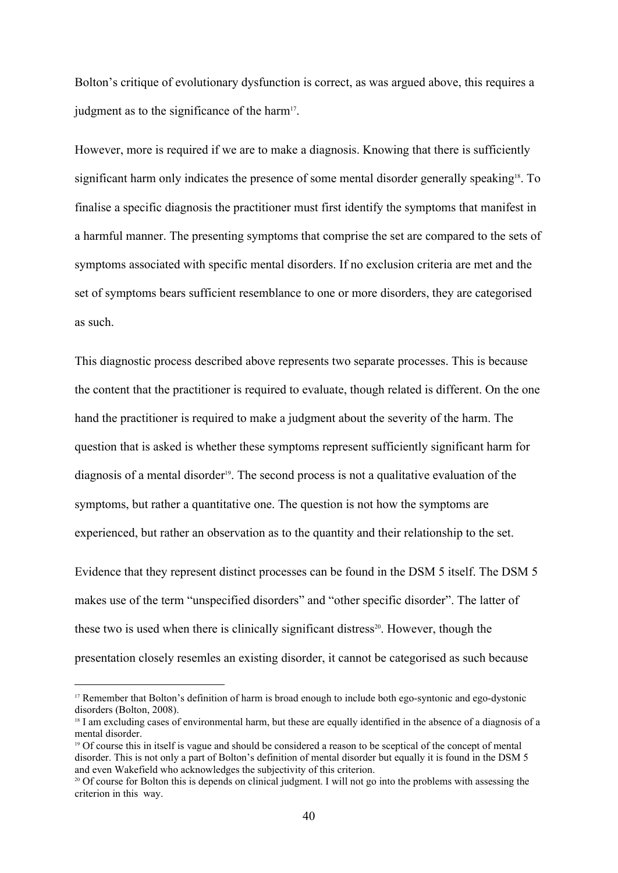Bolton's critique of evolutionary dysfunction is correct, as was argued above, this requires a judgment as to the significance of the harm<sup>17</sup>. .

However, more is required if we are to make a diagnosis. Knowing that there is sufficiently significant harm only indicates the presence of some mental disorder generally speaking<sup>18</sup>. To finalise a specific diagnosis the practitioner must first identify the symptoms that manifest in a harmful manner. The presenting symptoms that comprise the set are compared to the sets of symptoms associated with specific mental disorders. If no exclusion criteria are met and the set of symptoms bears sufficient resemblance to one or more disorders, they are categorised as such.

This diagnostic process described above represents two separate processes. This is because the content that the practitioner is required to evaluate, though related is different. On the one hand the practitioner is required to make a judgment about the severity of the harm. The question that is asked is whether these symptoms represent sufficiently significant harm for diagnosis of a mental disorder<sup>19</sup>. The second process is not a qualitative evaluation of the symptoms, but rather a quantitative one. The question is not how the symptoms are experienced, but rather an observation as to the quantity and their relationship to the set.

Evidence that they represent distinct processes can be found in the DSM 5 itself. The DSM 5 makes use of the term "unspecified disorders" and "other specific disorder". The latter of these two is used when there is clinically significant distress<sup>20</sup>. However, though the presentation closely resemles an existing disorder, it cannot be categorised as such because

<sup>&</sup>lt;sup>17</sup> Remember that Bolton's definition of harm is broad enough to include both ego-syntonic and ego-dystonic disorders (Bolton, 2008).

<sup>&</sup>lt;sup>18</sup> I am excluding cases of environmental harm, but these are equally identified in the absence of a diagnosis of a mental disorder.

<sup>&</sup>lt;sup>19</sup> Of course this in itself is vague and should be considered a reason to be sceptical of the concept of mental disorder. This is not only a part of Bolton's definition of mental disorder but equally it is found in the DSM 5 and even Wakefield who acknowledges the subjectivity of this criterion.

<sup>&</sup>lt;sup>20</sup> Of course for Bolton this is depends on clinical judgment. I will not go into the problems with assessing the criterion in this way.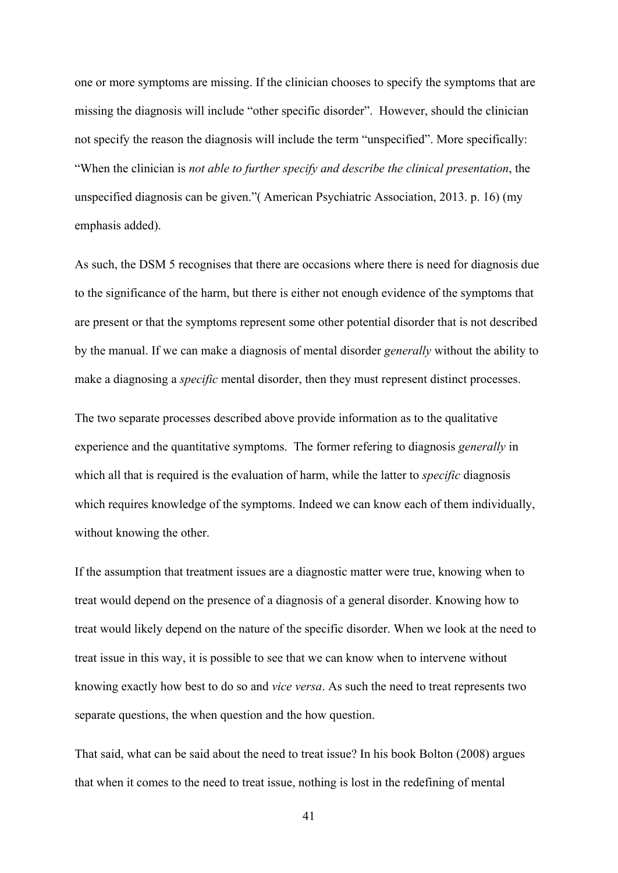one or more symptoms are missing. If the clinician chooses to specify the symptoms that are missing the diagnosis will include "other specific disorder". However, should the clinician not specify the reason the diagnosis will include the term "unspecified". More specifically: "When the clinician is *not able to further specify and describe the clinical presentation*, the unspecified diagnosis can be given."( American Psychiatric Association, 2013. p. 16) (my emphasis added).

As such, the DSM 5 recognises that there are occasions where there is need for diagnosis due to the significance of the harm, but there is either not enough evidence of the symptoms that are present or that the symptoms represent some other potential disorder that is not described by the manual. If we can make a diagnosis of mental disorder *generally* without the ability to make a diagnosing a *specific* mental disorder, then they must represent distinct processes.

The two separate processes described above provide information as to the qualitative experience and the quantitative symptoms. The former refering to diagnosis *generally* in which all that is required is the evaluation of harm, while the latter to *specific* diagnosis which requires knowledge of the symptoms. Indeed we can know each of them individually, without knowing the other.

If the assumption that treatment issues are a diagnostic matter were true, knowing when to treat would depend on the presence of a diagnosis of a general disorder. Knowing how to treat would likely depend on the nature of the specific disorder. When we look at the need to treat issue in this way, it is possible to see that we can know when to intervene without knowing exactly how best to do so and *vice versa*. As such the need to treat represents two separate questions, the when question and the how question.

That said, what can be said about the need to treat issue? In his book Bolton (2008) argues that when it comes to the need to treat issue, nothing is lost in the redefining of mental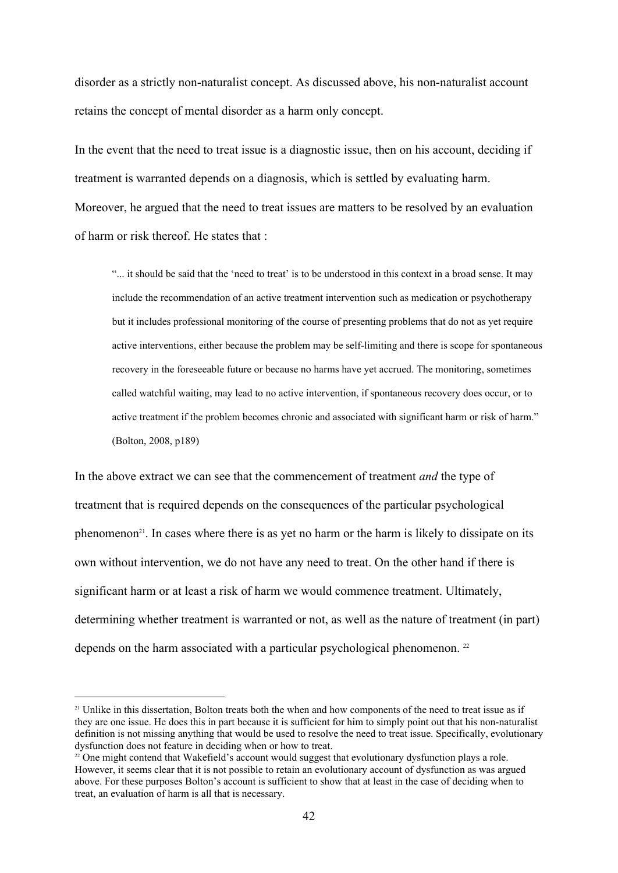disorder as a strictly non-naturalist concept. As discussed above, his non-naturalist account retains the concept of mental disorder as a harm only concept.

In the event that the need to treat issue is a diagnostic issue, then on his account, deciding if treatment is warranted depends on a diagnosis, which is settled by evaluating harm. Moreover, he argued that the need to treat issues are matters to be resolved by an evaluation of harm or risk thereof. He states that :

"... it should be said that the 'need to treat' is to be understood in this context in a broad sense. It may include the recommendation of an active treatment intervention such as medication or psychotherapy but it includes professional monitoring of the course of presenting problems that do not as yet require active interventions, either because the problem may be self-limiting and there is scope for spontaneous recovery in the foreseeable future or because no harms have yet accrued. The monitoring, sometimes called watchful waiting, may lead to no active intervention, if spontaneous recovery does occur, or to active treatment if the problem becomes chronic and associated with significant harm or risk of harm." (Bolton, 2008, p189)

In the above extract we can see that the commencement of treatment *and* the type of treatment that is required depends on the consequences of the particular psychological phenomenon<sup>21</sup>. In cases where there is as yet no harm or the harm is likely to dissipate on its own without intervention, we do not have any need to treat. On the other hand if there is significant harm or at least a risk of harm we would commence treatment. Ultimately, determining whether treatment is warranted or not, as well as the nature of treatment (in part) depends on the harm associated with a particular psychological phenomenon.  $^{22}$ 

<sup>&</sup>lt;sup>21</sup> Unlike in this dissertation, Bolton treats both the when and how components of the need to treat issue as if they are one issue. He does this in part because it is sufficient for him to simply point out that his non-naturalist definition is not missing anything that would be used to resolve the need to treat issue. Specifically, evolutionary dysfunction does not feature in deciding when or how to treat.

<sup>&</sup>lt;sup>22</sup> One might contend that Wakefield's account would suggest that evolutionary dysfunction plays a role. However, it seems clear that it is not possible to retain an evolutionary account of dysfunction as was argued above. For these purposes Bolton's account is sufficient to show that at least in the case of deciding when to treat, an evaluation of harm is all that is necessary.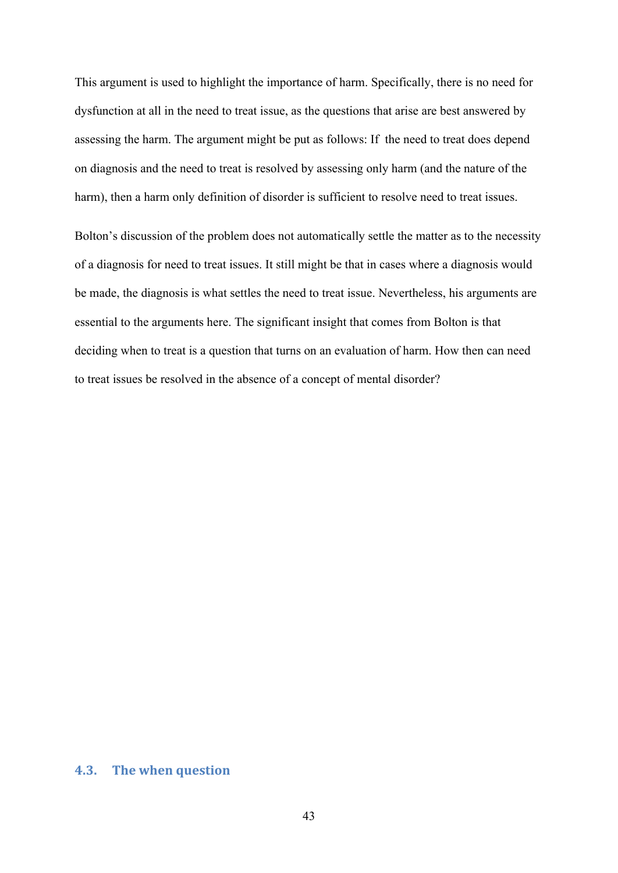This argument is used to highlight the importance of harm. Specifically, there is no need for dysfunction at all in the need to treat issue, as the questions that arise are best answered by assessing the harm. The argument might be put as follows: If the need to treat does depend on diagnosis and the need to treat is resolved by assessing only harm (and the nature of the harm), then a harm only definition of disorder is sufficient to resolve need to treat issues.

Bolton's discussion of the problem does not automatically settle the matter as to the necessity of a diagnosis for need to treat issues. It still might be that in cases where a diagnosis would be made, the diagnosis is what settles the need to treat issue. Nevertheless, his arguments are essential to the arguments here. The significant insight that comes from Bolton is that deciding when to treat is a question that turns on an evaluation of harm. How then can need to treat issues be resolved in the absence of a concept of mental disorder?

# **4.3. The when question**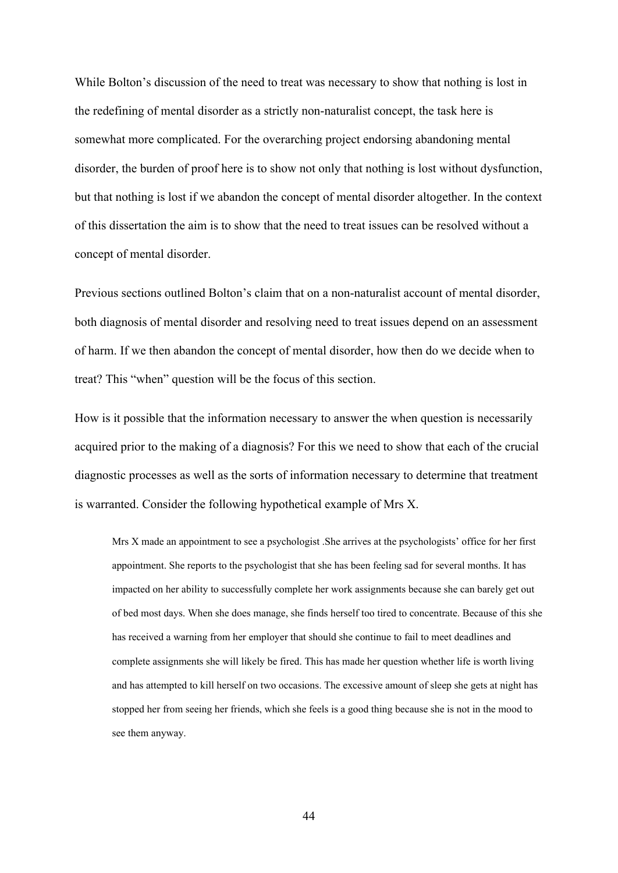While Bolton's discussion of the need to treat was necessary to show that nothing is lost in the redefining of mental disorder as a strictly non-naturalist concept, the task here is somewhat more complicated. For the overarching project endorsing abandoning mental disorder, the burden of proof here is to show not only that nothing is lost without dysfunction, but that nothing is lost if we abandon the concept of mental disorder altogether. In the context of this dissertation the aim is to show that the need to treat issues can be resolved without a concept of mental disorder.

Previous sections outlined Bolton's claim that on a non-naturalist account of mental disorder, both diagnosis of mental disorder and resolving need to treat issues depend on an assessment of harm. If we then abandon the concept of mental disorder, how then do we decide when to treat? This "when" question will be the focus of this section.

How is it possible that the information necessary to answer the when question is necessarily acquired prior to the making of a diagnosis? For this we need to show that each of the crucial diagnostic processes as well as the sorts of information necessary to determine that treatment is warranted. Consider the following hypothetical example of Mrs X.

Mrs X made an appointment to see a psychologist .She arrives at the psychologists' office for her first appointment. She reports to the psychologist that she has been feeling sad for several months. It has impacted on her ability to successfully complete her work assignments because she can barely get out of bed most days. When she does manage, she finds herself too tired to concentrate. Because of this she has received a warning from her employer that should she continue to fail to meet deadlines and complete assignments she will likely be fired. This has made her question whether life is worth living and has attempted to kill herself on two occasions. The excessive amount of sleep she gets at night has stopped her from seeing her friends, which she feels is a good thing because she is not in the mood to see them anyway.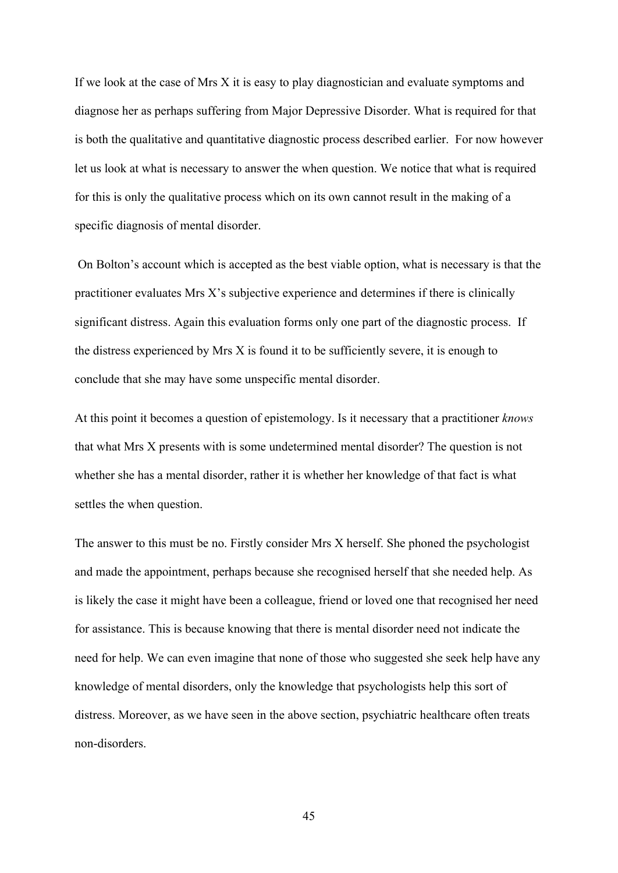If we look at the case of Mrs X it is easy to play diagnostician and evaluate symptoms and diagnose her as perhaps suffering from Major Depressive Disorder. What is required for that is both the qualitative and quantitative diagnostic process described earlier. For now however let us look at what is necessary to answer the when question. We notice that what is required for this is only the qualitative process which on its own cannot result in the making of a specific diagnosis of mental disorder.

 On Bolton's account which is accepted as the best viable option, what is necessary is that the practitioner evaluates Mrs X's subjective experience and determines if there is clinically significant distress. Again this evaluation forms only one part of the diagnostic process. If the distress experienced by Mrs X is found it to be sufficiently severe, it is enough to conclude that she may have some unspecific mental disorder.

At this point it becomes a question of epistemology. Is it necessary that a practitioner *knows* that what Mrs X presents with is some undetermined mental disorder? The question is not whether she has a mental disorder, rather it is whether her knowledge of that fact is what settles the when question.

The answer to this must be no. Firstly consider Mrs X herself. She phoned the psychologist and made the appointment, perhaps because she recognised herself that she needed help. As is likely the case it might have been a colleague, friend or loved one that recognised her need for assistance. This is because knowing that there is mental disorder need not indicate the need for help. We can even imagine that none of those who suggested she seek help have any knowledge of mental disorders, only the knowledge that psychologists help this sort of distress. Moreover, as we have seen in the above section, psychiatric healthcare often treats non-disorders.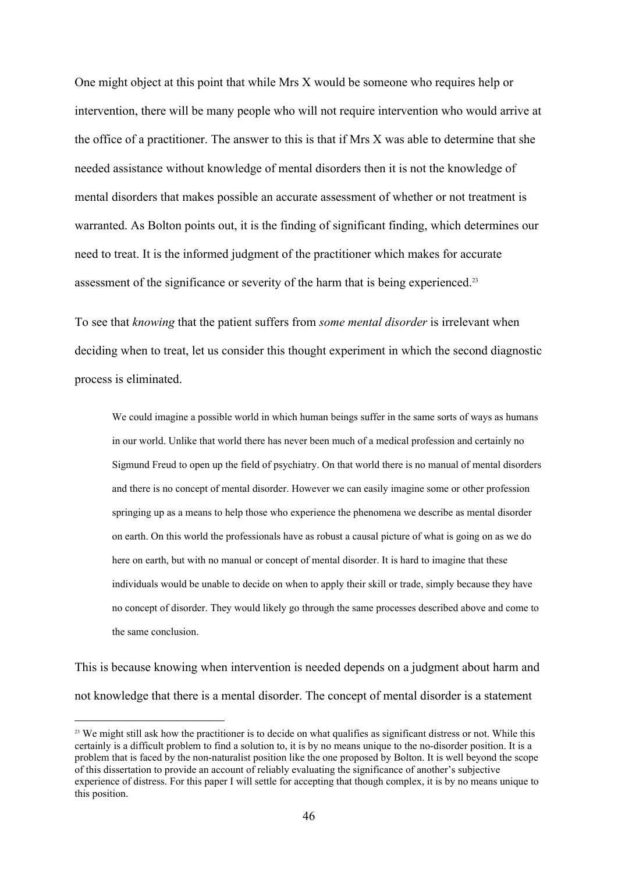One might object at this point that while Mrs X would be someone who requires help or intervention, there will be many people who will not require intervention who would arrive at the office of a practitioner. The answer to this is that if Mrs X was able to determine that she needed assistance without knowledge of mental disorders then it is not the knowledge of mental disorders that makes possible an accurate assessment of whether or not treatment is warranted. As Bolton points out, it is the finding of significant finding, which determines our need to treat. It is the informed judgment of the practitioner which makes for accurate assessment of the significance or severity of the harm that is being experienced.<sup>23</sup>

To see that *knowing* that the patient suffers from *some mental disorder* is irrelevant when deciding when to treat, let us consider this thought experiment in which the second diagnostic process is eliminated.

We could imagine a possible world in which human beings suffer in the same sorts of ways as humans in our world. Unlike that world there has never been much of a medical profession and certainly no Sigmund Freud to open up the field of psychiatry. On that world there is no manual of mental disorders and there is no concept of mental disorder. However we can easily imagine some or other profession springing up as a means to help those who experience the phenomena we describe as mental disorder on earth. On this world the professionals have as robust a causal picture of what is going on as we do here on earth, but with no manual or concept of mental disorder. It is hard to imagine that these individuals would be unable to decide on when to apply their skill or trade, simply because they have no concept of disorder. They would likely go through the same processes described above and come to the same conclusion.

This is because knowing when intervention is needed depends on a judgment about harm and not knowledge that there is a mental disorder. The concept of mental disorder is a statement

<sup>&</sup>lt;sup>23</sup> We might still ask how the practitioner is to decide on what qualifies as significant distress or not. While this certainly is a difficult problem to find a solution to, it is by no means unique to the no-disorder position. It is a problem that is faced by the non-naturalist position like the one proposed by Bolton. It is well beyond the scope of this dissertation to provide an account of reliably evaluating the significance of another's subjective experience of distress. For this paper I will settle for accepting that though complex, it is by no means unique to this position.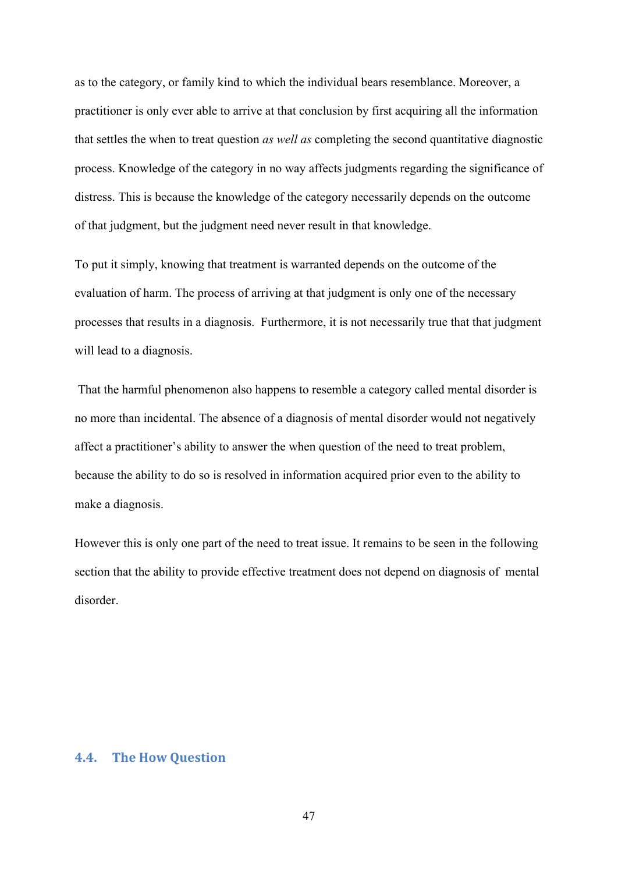as to the category, or family kind to which the individual bears resemblance. Moreover, a practitioner is only ever able to arrive at that conclusion by first acquiring all the information that settles the when to treat question *as well as* completing the second quantitative diagnostic process. Knowledge of the category in no way affects judgments regarding the significance of distress. This is because the knowledge of the category necessarily depends on the outcome of that judgment, but the judgment need never result in that knowledge.

To put it simply, knowing that treatment is warranted depends on the outcome of the evaluation of harm. The process of arriving at that judgment is only one of the necessary processes that results in a diagnosis. Furthermore, it is not necessarily true that that judgment will lead to a diagnosis.

 That the harmful phenomenon also happens to resemble a category called mental disorder is no more than incidental. The absence of a diagnosis of mental disorder would not negatively affect a practitioner's ability to answer the when question of the need to treat problem, because the ability to do so is resolved in information acquired prior even to the ability to make a diagnosis.

However this is only one part of the need to treat issue. It remains to be seen in the following section that the ability to provide effective treatment does not depend on diagnosis of mental disorder.

## **4.4. The How Question**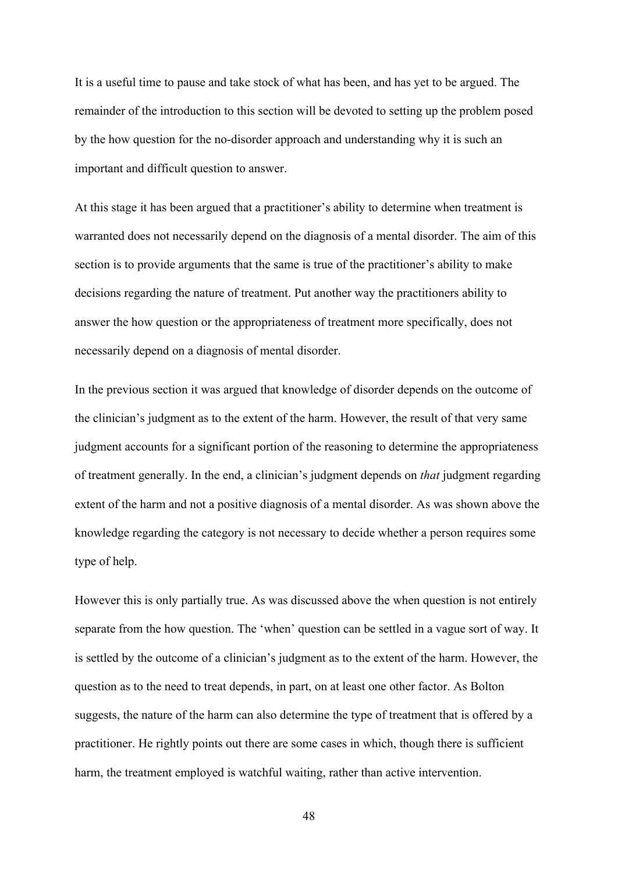It is a useful time to pause and take stock of what has been, and has yet to be argued. The remainder of the introduction to this section will be devoted to setting up the problem posed by the how question for the no-disorder approach and understanding why it is such an important and difficult question to answer.

At this stage it has been argued that a practitioner's ability to determine when treatment is warranted does not necessarily depend on the diagnosis of a mental disorder. The aim of this section is to provide arguments that the same is true of the practitioner's ability to make decisions regarding the nature of treatment. Put another way the practitioners ability to answer the how question or the appropriateness of treatment more specifically, does not necessarily depend on a diagnosis of mental disorder.

In the previous section it was argued that knowledge of disorder depends on the outcome of the clinician's judgment as to the extent of the harm. However, the result of that very same judgment accounts for a significant portion of the reasoning to determine the appropriateness of treatment generally. In the end, a clinician's judgment depends on *that* judgment regarding extent of the harm and not a positive diagnosis of a mental disorder. As was shown above the knowledge regarding the category is not necessary to decide whether a person requires some type of help.

However this is only partially true. As was discussed above the when question is not entirely separate from the how question. The 'when' question can be settled in a vague sort of way. It is settled by the outcome of a clinician's judgment as to the extent of the harm. However, the question as to the need to treat depends, in part, on at least one other factor. As Bolton suggests, the nature of the harm can also determine the type of treatment that is offered by a practitioner. He rightly points out there are some cases in which, though there is sufficient harm, the treatment employed is watchful waiting, rather than active intervention.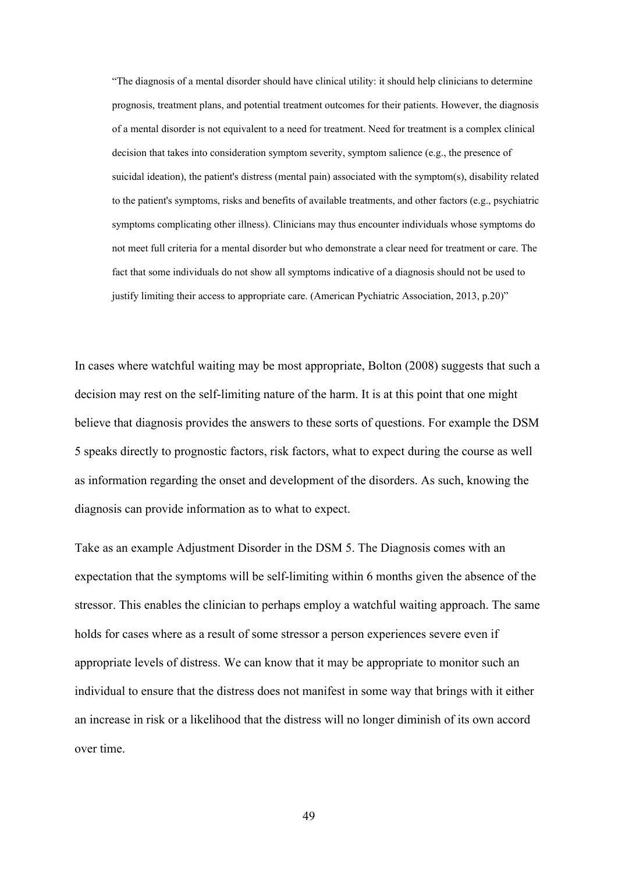"The diagnosis of a mental disorder should have clinical utility: it should help clinicians to determine prognosis, treatment plans, and potential treatment outcomes for their patients. However, the diagnosis of a mental disorder is not equivalent to a need for treatment. Need for treatment is a complex clinical decision that takes into consideration symptom severity, symptom salience (e.g., the presence of suicidal ideation), the patient's distress (mental pain) associated with the symptom(s), disability related to the patient's symptoms, risks and benefits of available treatments, and other factors (e.g., psychiatric symptoms complicating other illness). Clinicians may thus encounter individuals whose symptoms do not meet full criteria for a mental disorder but who demonstrate a clear need for treatment or care. The fact that some individuals do not show all symptoms indicative of a diagnosis should not be used to justify limiting their access to appropriate care. (American Pychiatric Association, 2013, p.20)"

In cases where watchful waiting may be most appropriate, Bolton (2008) suggests that such a decision may rest on the self-limiting nature of the harm. It is at this point that one might believe that diagnosis provides the answers to these sorts of questions. For example the DSM 5 speaks directly to prognostic factors, risk factors, what to expect during the course as well as information regarding the onset and development of the disorders. As such, knowing the diagnosis can provide information as to what to expect.

Take as an example Adjustment Disorder in the DSM 5. The Diagnosis comes with an expectation that the symptoms will be self-limiting within 6 months given the absence of the stressor. This enables the clinician to perhaps employ a watchful waiting approach. The same holds for cases where as a result of some stressor a person experiences severe even if appropriate levels of distress. We can know that it may be appropriate to monitor such an individual to ensure that the distress does not manifest in some way that brings with it either an increase in risk or a likelihood that the distress will no longer diminish of its own accord over time.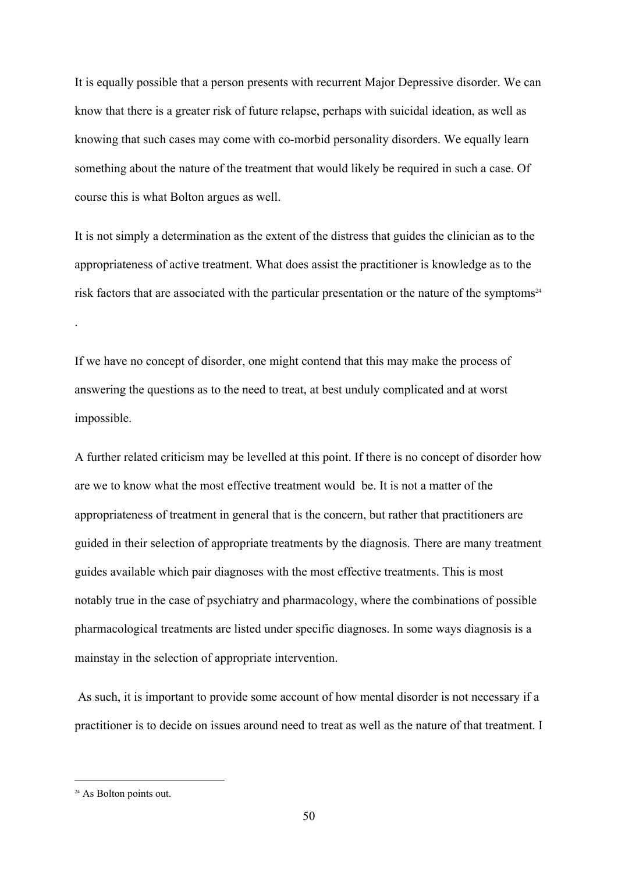It is equally possible that a person presents with recurrent Major Depressive disorder. We can know that there is a greater risk of future relapse, perhaps with suicidal ideation, as well as knowing that such cases may come with co-morbid personality disorders. We equally learn something about the nature of the treatment that would likely be required in such a case. Of course this is what Bolton argues as well.

It is not simply a determination as the extent of the distress that guides the clinician as to the appropriateness of active treatment. What does assist the practitioner is knowledge as to the risk factors that are associated with the particular presentation or the nature of the symptoms $24$ 

If we have no concept of disorder, one might contend that this may make the process of answering the questions as to the need to treat, at best unduly complicated and at worst impossible.

A further related criticism may be levelled at this point. If there is no concept of disorder how are we to know what the most effective treatment would be. It is not a matter of the appropriateness of treatment in general that is the concern, but rather that practitioners are guided in their selection of appropriate treatments by the diagnosis. There are many treatment guides available which pair diagnoses with the most effective treatments. This is most notably true in the case of psychiatry and pharmacology, where the combinations of possible pharmacological treatments are listed under specific diagnoses. In some ways diagnosis is a mainstay in the selection of appropriate intervention.

 As such, it is important to provide some account of how mental disorder is not necessary if a practitioner is to decide on issues around need to treat as well as the nature of that treatment. I

.

<sup>&</sup>lt;sup>24</sup> As Bolton points out.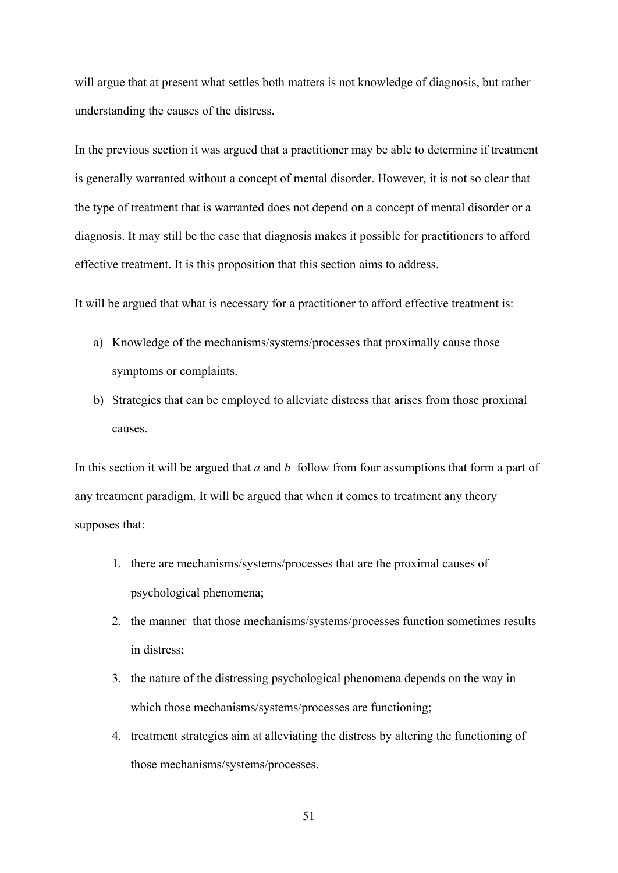will argue that at present what settles both matters is not knowledge of diagnosis, but rather understanding the causes of the distress.

In the previous section it was argued that a practitioner may be able to determine if treatment is generally warranted without a concept of mental disorder. However, it is not so clear that the type of treatment that is warranted does not depend on a concept of mental disorder or a diagnosis. It may still be the case that diagnosis makes it possible for practitioners to afford effective treatment. It is this proposition that this section aims to address.

It will be argued that what is necessary for a practitioner to afford effective treatment is:

- a) Knowledge of the mechanisms/systems/processes that proximally cause those symptoms or complaints.
- b) Strategies that can be employed to alleviate distress that arises from those proximal causes.

In this section it will be argued that *a* and *b*  follow from four assumptions that form a part of any treatment paradigm. It will be argued that when it comes to treatment any theory supposes that:

- 1. there are mechanisms/systems/processes that are the proximal causes of psychological phenomena;
- 2. the manner that those mechanisms/systems/processes function sometimes results in distress;
- 3. the nature of the distressing psychological phenomena depends on the way in which those mechanisms/systems/processes are functioning;
- 4. treatment strategies aim at alleviating the distress by altering the functioning of those mechanisms/systems/processes.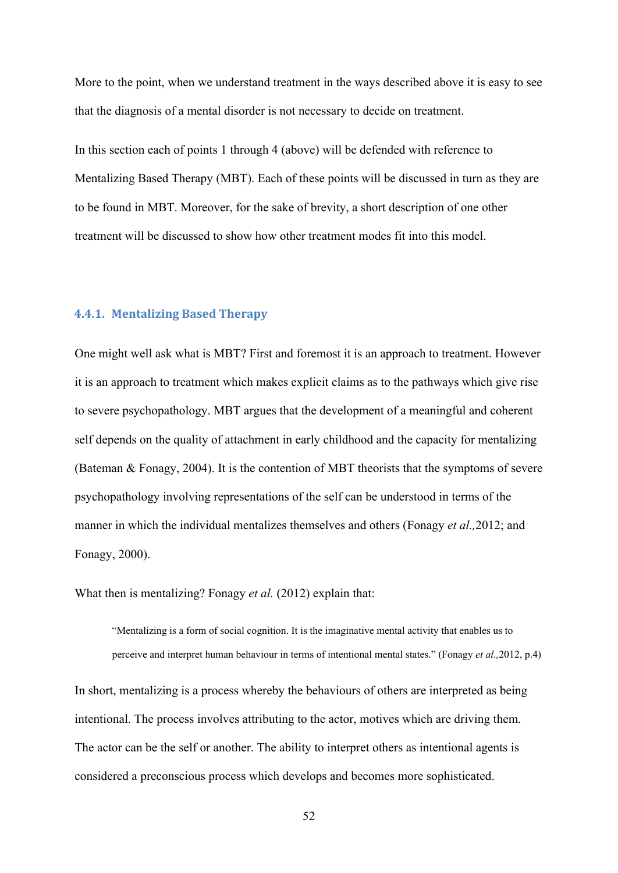More to the point, when we understand treatment in the ways described above it is easy to see that the diagnosis of a mental disorder is not necessary to decide on treatment.

In this section each of points 1 through 4 (above) will be defended with reference to Mentalizing Based Therapy (MBT). Each of these points will be discussed in turn as they are to be found in MBT. Moreover, for the sake of brevity, a short description of one other treatment will be discussed to show how other treatment modes fit into this model.

#### **4.4.1. Mentalizing Based Therapy**

One might well ask what is MBT? First and foremost it is an approach to treatment. However it is an approach to treatment which makes explicit claims as to the pathways which give rise to severe psychopathology. MBT argues that the development of a meaningful and coherent self depends on the quality of attachment in early childhood and the capacity for mentalizing (Bateman & Fonagy, 2004). It is the contention of MBT theorists that the symptoms of severe psychopathology involving representations of the self can be understood in terms of the manner in which the individual mentalizes themselves and others (Fonagy *et al.,*2012; and Fonagy, 2000).

What then is mentalizing? Fonagy *et al.* (2012) explain that:

"Mentalizing is a form of social cognition. It is the imaginative mental activity that enables us to perceive and interpret human behaviour in terms of intentional mental states." (Fonagy *et al.,*2012, p.4) In short, mentalizing is a process whereby the behaviours of others are interpreted as being intentional. The process involves attributing to the actor, motives which are driving them. The actor can be the self or another. The ability to interpret others as intentional agents is considered a preconscious process which develops and becomes more sophisticated.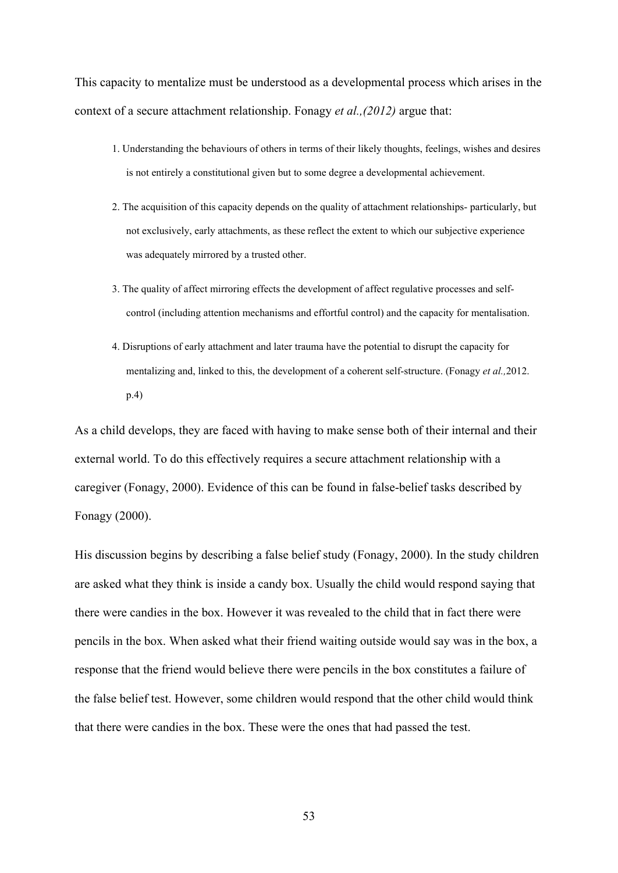This capacity to mentalize must be understood as a developmental process which arises in the context of a secure attachment relationship. Fonagy *et al.,(2012)* argue that:

- 1. Understanding the behaviours of others in terms of their likely thoughts, feelings, wishes and desires is not entirely a constitutional given but to some degree a developmental achievement.
- 2. The acquisition of this capacity depends on the quality of attachment relationships- particularly, but not exclusively, early attachments, as these reflect the extent to which our subjective experience was adequately mirrored by a trusted other.
- 3. The quality of affect mirroring effects the development of affect regulative processes and selfcontrol (including attention mechanisms and effortful control) and the capacity for mentalisation.
- 4. Disruptions of early attachment and later trauma have the potential to disrupt the capacity for mentalizing and, linked to this, the development of a coherent self-structure. (Fonagy *et al.*, 2012. p.4)

As a child develops, they are faced with having to make sense both of their internal and their external world. To do this effectively requires a secure attachment relationship with a caregiver (Fonagy, 2000). Evidence of this can be found in false-belief tasks described by Fonagy (2000).

His discussion begins by describing a false belief study (Fonagy, 2000). In the study children are asked what they think is inside a candy box. Usually the child would respond saying that there were candies in the box. However it was revealed to the child that in fact there were pencils in the box. When asked what their friend waiting outside would say was in the box, a response that the friend would believe there were pencils in the box constitutes a failure of the false belief test. However, some children would respond that the other child would think that there were candies in the box. These were the ones that had passed the test.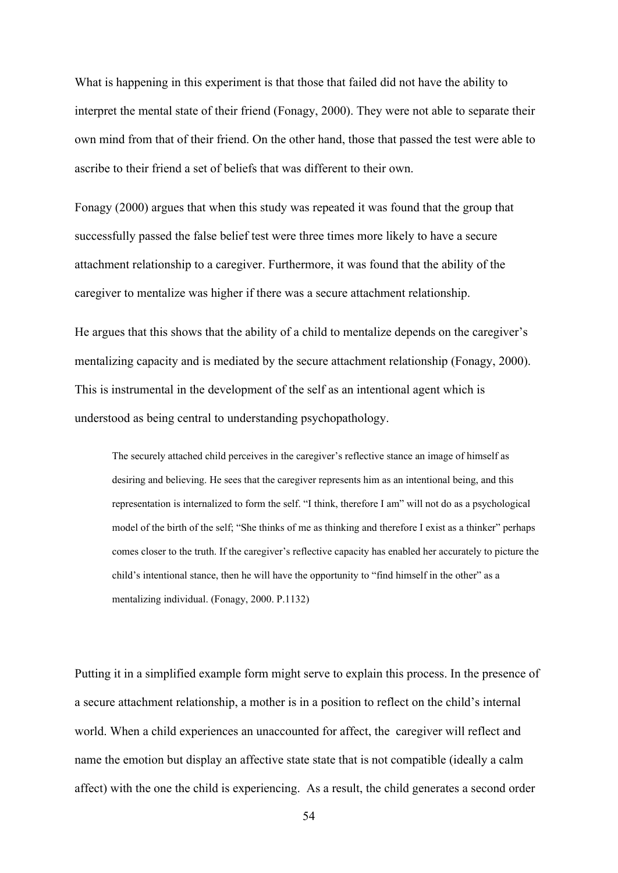What is happening in this experiment is that those that failed did not have the ability to interpret the mental state of their friend (Fonagy, 2000). They were not able to separate their own mind from that of their friend. On the other hand, those that passed the test were able to ascribe to their friend a set of beliefs that was different to their own.

Fonagy (2000) argues that when this study was repeated it was found that the group that successfully passed the false belief test were three times more likely to have a secure attachment relationship to a caregiver. Furthermore, it was found that the ability of the caregiver to mentalize was higher if there was a secure attachment relationship.

He argues that this shows that the ability of a child to mentalize depends on the caregiver's mentalizing capacity and is mediated by the secure attachment relationship (Fonagy, 2000). This is instrumental in the development of the self as an intentional agent which is understood as being central to understanding psychopathology.

The securely attached child perceives in the caregiver's reflective stance an image of himself as desiring and believing. He sees that the caregiver represents him as an intentional being, and this representation is internalized to form the self. "I think, therefore I am" will not do as a psychological model of the birth of the self; "She thinks of me as thinking and therefore I exist as a thinker" perhaps comes closer to the truth. If the caregiver's reflective capacity has enabled her accurately to picture the child's intentional stance, then he will have the opportunity to "find himself in the other" as a mentalizing individual. (Fonagy, 2000. P.1132)

Putting it in a simplified example form might serve to explain this process. In the presence of a secure attachment relationship, a mother is in a position to reflect on the child's internal world. When a child experiences an unaccounted for affect, the caregiver will reflect and name the emotion but display an affective state state that is not compatible (ideally a calm affect) with the one the child is experiencing. As a result, the child generates a second order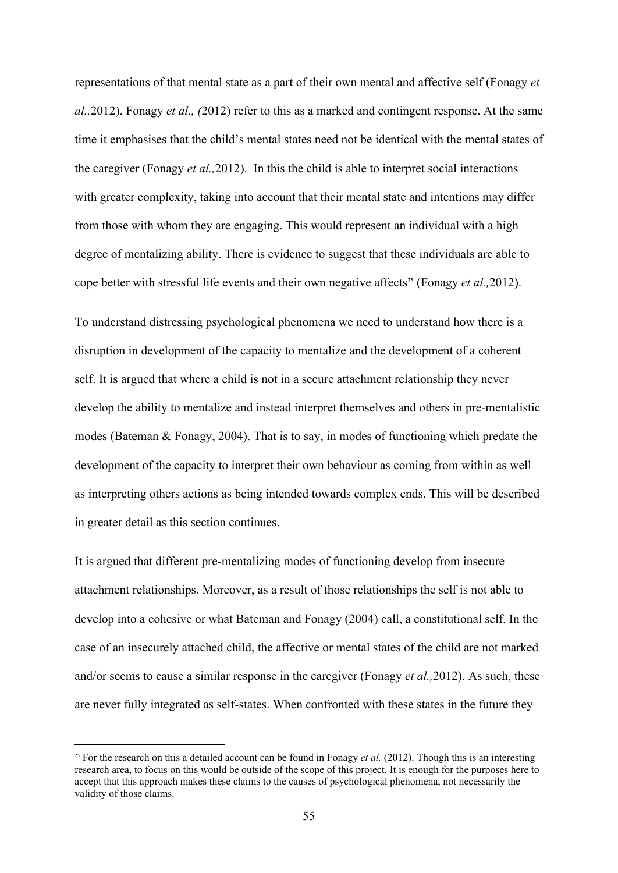representations of that mental state as a part of their own mental and affective self (Fonagy *et al.,*2012). Fonagy *et al., (*2012) refer to this as a marked and contingent response. At the same time it emphasises that the child's mental states need not be identical with the mental states of the caregiver (Fonagy *et al.,*2012). In this the child is able to interpret social interactions with greater complexity, taking into account that their mental state and intentions may differ from those with whom they are engaging. This would represent an individual with a high degree of mentalizing ability. There is evidence to suggest that these individuals are able to cope better with stressful life events and their own negative affects<sup>25</sup> (Fonagy *et al.*, 2012).

To understand distressing psychological phenomena we need to understand how there is a disruption in development of the capacity to mentalize and the development of a coherent self. It is argued that where a child is not in a secure attachment relationship they never develop the ability to mentalize and instead interpret themselves and others in pre-mentalistic modes (Bateman & Fonagy, 2004). That is to say, in modes of functioning which predate the development of the capacity to interpret their own behaviour as coming from within as well as interpreting others actions as being intended towards complex ends. This will be described in greater detail as this section continues.

It is argued that different pre-mentalizing modes of functioning develop from insecure attachment relationships. Moreover, as a result of those relationships the self is not able to develop into a cohesive or what Bateman and Fonagy (2004) call, a constitutional self. In the case of an insecurely attached child, the affective or mental states of the child are not marked and/or seems to cause a similar response in the caregiver (Fonagy *et al.,*2012). As such, these are never fully integrated as self-states. When confronted with these states in the future they

<sup>&</sup>lt;sup>25</sup> For the research on this a detailed account can be found in Fonagy *et al.* (2012). Though this is an interesting research area, to focus on this would be outside of the scope of this project. It is enough for the purposes here to accept that this approach makes these claims to the causes of psychological phenomena, not necessarily the validity of those claims.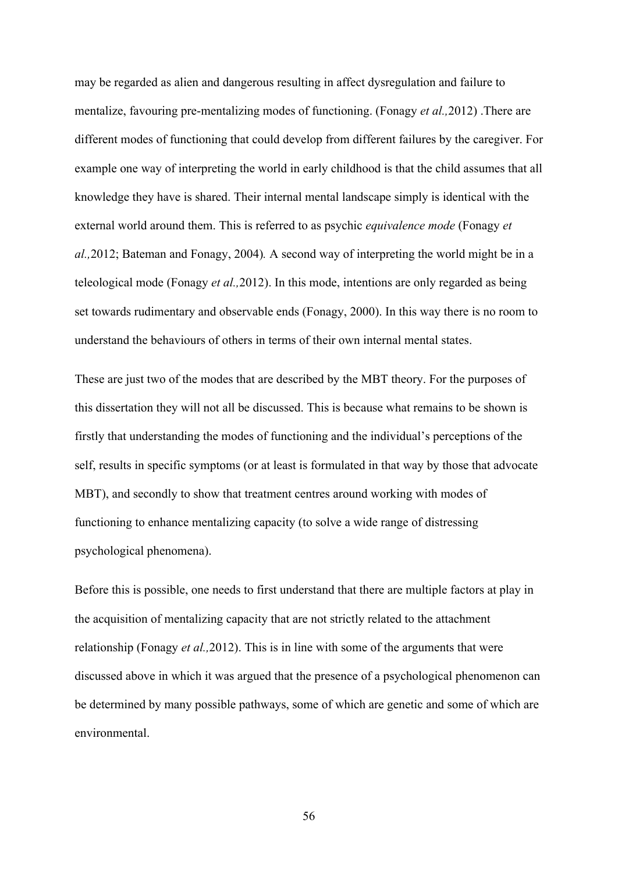may be regarded as alien and dangerous resulting in affect dysregulation and failure to mentalize, favouring pre-mentalizing modes of functioning. (Fonagy *et al.*,2012). There are different modes of functioning that could develop from different failures by the caregiver. For example one way of interpreting the world in early childhood is that the child assumes that all knowledge they have is shared. Their internal mental landscape simply is identical with the external world around them. This is referred to as psychic *equivalence mode* (Fonagy *et al.,*2012; Bateman and Fonagy, 2004)*.* A second way of interpreting the world might be in a teleological mode (Fonagy *et al.,*2012). In this mode, intentions are only regarded as being set towards rudimentary and observable ends (Fonagy, 2000). In this way there is no room to understand the behaviours of others in terms of their own internal mental states.

These are just two of the modes that are described by the MBT theory. For the purposes of this dissertation they will not all be discussed. This is because what remains to be shown is firstly that understanding the modes of functioning and the individual's perceptions of the self, results in specific symptoms (or at least is formulated in that way by those that advocate MBT), and secondly to show that treatment centres around working with modes of functioning to enhance mentalizing capacity (to solve a wide range of distressing psychological phenomena).

Before this is possible, one needs to first understand that there are multiple factors at play in the acquisition of mentalizing capacity that are not strictly related to the attachment relationship (Fonagy *et al.,*2012). This is in line with some of the arguments that were discussed above in which it was argued that the presence of a psychological phenomenon can be determined by many possible pathways, some of which are genetic and some of which are environmental.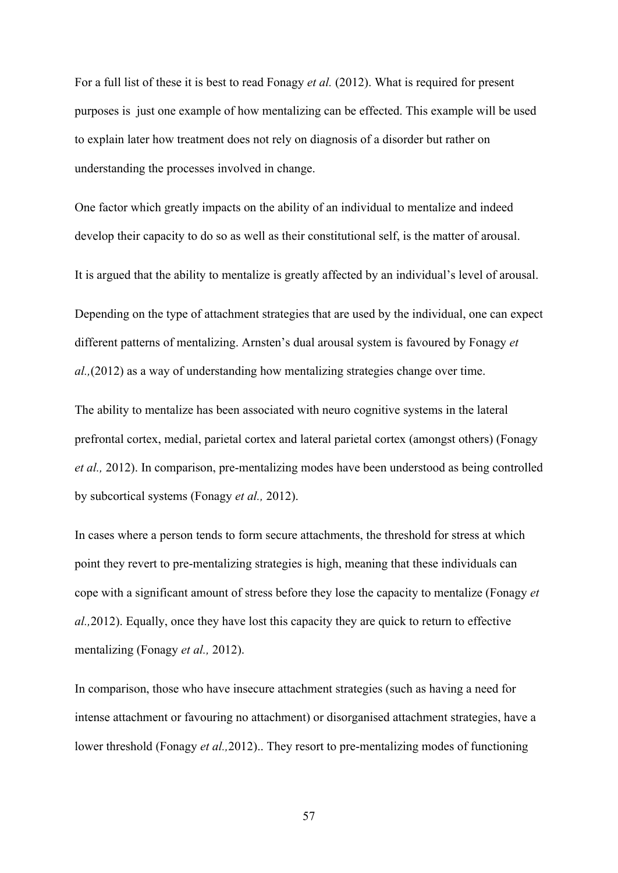For a full list of these it is best to read Fonagy *et al.* (2012). What is required for present purposes is just one example of how mentalizing can be effected. This example will be used to explain later how treatment does not rely on diagnosis of a disorder but rather on understanding the processes involved in change.

One factor which greatly impacts on the ability of an individual to mentalize and indeed develop their capacity to do so as well as their constitutional self, is the matter of arousal.

It is argued that the ability to mentalize is greatly affected by an individual's level of arousal.

Depending on the type of attachment strategies that are used by the individual, one can expect different patterns of mentalizing. Arnsten's dual arousal system is favoured by Fonagy *et al.,*(2012) as a way of understanding how mentalizing strategies change over time.

The ability to mentalize has been associated with neuro cognitive systems in the lateral prefrontal cortex, medial, parietal cortex and lateral parietal cortex (amongst others) (Fonagy *et al.*, 2012). In comparison, pre-mentalizing modes have been understood as being controlled by subcortical systems (Fonagy *et al.,* 2012).

In cases where a person tends to form secure attachments, the threshold for stress at which point they revert to pre-mentalizing strategies is high, meaning that these individuals can cope with a significant amount of stress before they lose the capacity to mentalize (Fonagy *et al.,*2012). Equally, once they have lost this capacity they are quick to return to effective mentalizing (Fonagy *et al.,* 2012).

In comparison, those who have insecure attachment strategies (such as having a need for intense attachment or favouring no attachment) or disorganised attachment strategies, have a lower threshold (Fonagy *et al.*, 2012).. They resort to pre-mentalizing modes of functioning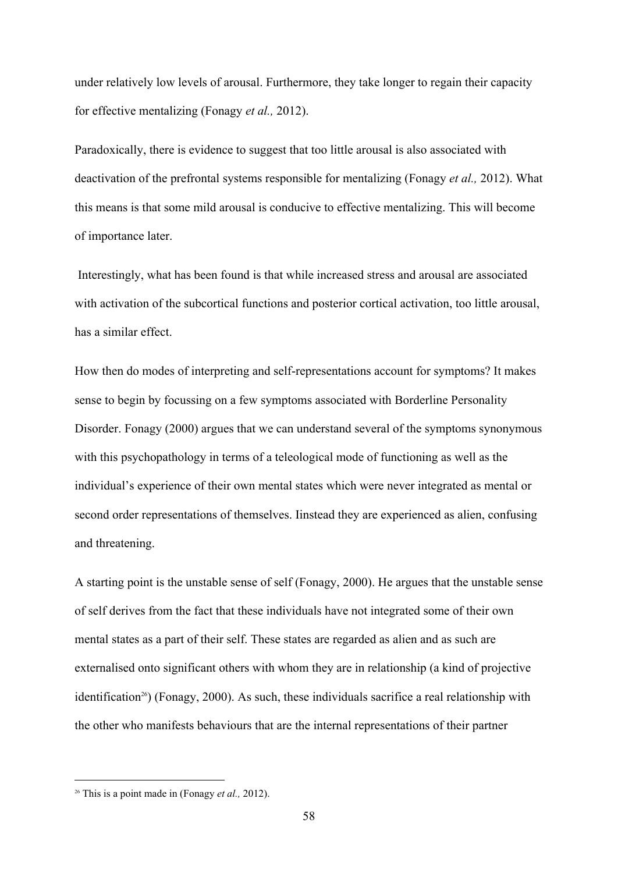under relatively low levels of arousal. Furthermore, they take longer to regain their capacity for effective mentalizing (Fonagy *et al.,* 2012).

Paradoxically, there is evidence to suggest that too little arousal is also associated with deactivation of the prefrontal systems responsible for mentalizing (Fonagy *et al.,* 2012). What this means is that some mild arousal is conducive to effective mentalizing. This will become of importance later.

 Interestingly, what has been found is that while increased stress and arousal are associated with activation of the subcortical functions and posterior cortical activation, too little arousal, has a similar effect.

How then do modes of interpreting and self-representations account for symptoms? It makes sense to begin by focussing on a few symptoms associated with Borderline Personality Disorder. Fonagy (2000) argues that we can understand several of the symptoms synonymous with this psychopathology in terms of a teleological mode of functioning as well as the individual's experience of their own mental states which were never integrated as mental or second order representations of themselves. Iinstead they are experienced as alien, confusing and threatening.

A starting point is the unstable sense of self (Fonagy, 2000). He argues that the unstable sense of self derives from the fact that these individuals have not integrated some of their own mental states as a part of their self. These states are regarded as alien and as such are externalised onto significant others with whom they are in relationship (a kind of projective identification<sup>26</sup>) (Fonagy, 2000). As such, these individuals sacrifice a real relationship with the other who manifests behaviours that are the internal representations of their partner

<sup>26</sup> This is a point made in (Fonagy *et al.,* 2012).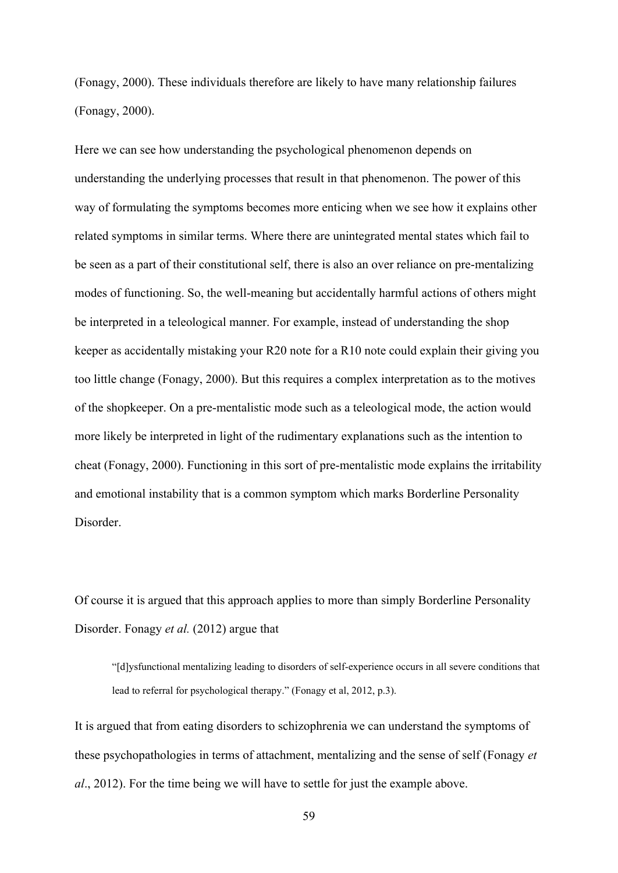(Fonagy, 2000). These individuals therefore are likely to have many relationship failures (Fonagy, 2000).

Here we can see how understanding the psychological phenomenon depends on understanding the underlying processes that result in that phenomenon. The power of this way of formulating the symptoms becomes more enticing when we see how it explains other related symptoms in similar terms. Where there are unintegrated mental states which fail to be seen as a part of their constitutional self, there is also an over reliance on pre-mentalizing modes of functioning. So, the well-meaning but accidentally harmful actions of others might be interpreted in a teleological manner. For example, instead of understanding the shop keeper as accidentally mistaking your R20 note for a R10 note could explain their giving you too little change (Fonagy, 2000). But this requires a complex interpretation as to the motives of the shopkeeper. On a pre-mentalistic mode such as a teleological mode, the action would more likely be interpreted in light of the rudimentary explanations such as the intention to cheat (Fonagy, 2000). Functioning in this sort of pre-mentalistic mode explains the irritability and emotional instability that is a common symptom which marks Borderline Personality **Disorder** 

Of course it is argued that this approach applies to more than simply Borderline Personality Disorder. Fonagy *et al.* (2012) argue that

"[d]ysfunctional mentalizing leading to disorders of selfexperience occurs in all severe conditions that lead to referral for psychological therapy." (Fonagy et al, 2012, p.3).

It is argued that from eating disorders to schizophrenia we can understand the symptoms of these psychopathologies in terms of attachment, mentalizing and the sense of self (Fonagy *et al*., 2012). For the time being we will have to settle for just the example above.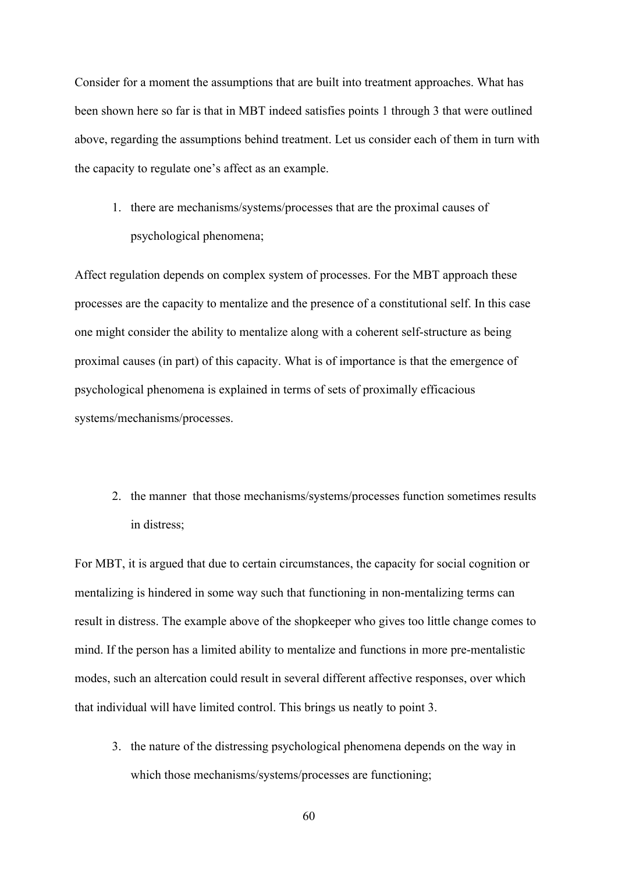Consider for a moment the assumptions that are built into treatment approaches. What has been shown here so far is that in MBT indeed satisfies points 1 through 3 that were outlined above, regarding the assumptions behind treatment. Let us consider each of them in turn with the capacity to regulate one's affect as an example.

1. there are mechanisms/systems/processes that are the proximal causes of psychological phenomena;

Affect regulation depends on complex system of processes. For the MBT approach these processes are the capacity to mentalize and the presence of a constitutional self. In this case one might consider the ability to mentalize along with a coherent self-structure as being proximal causes (in part) of this capacity. What is of importance is that the emergence of psychological phenomena is explained in terms of sets of proximally efficacious systems/mechanisms/processes.

2. the manner that those mechanisms/systems/processes function sometimes results in distress;

For MBT, it is argued that due to certain circumstances, the capacity for social cognition or mentalizing is hindered in some way such that functioning in non-mentalizing terms can result in distress. The example above of the shopkeeper who gives too little change comes to mind. If the person has a limited ability to mentalize and functions in more pre-mentalistic modes, such an altercation could result in several different affective responses, over which that individual will have limited control. This brings us neatly to point 3.

- 3. the nature of the distressing psychological phenomena depends on the way in which those mechanisms/systems/processes are functioning;
	- 60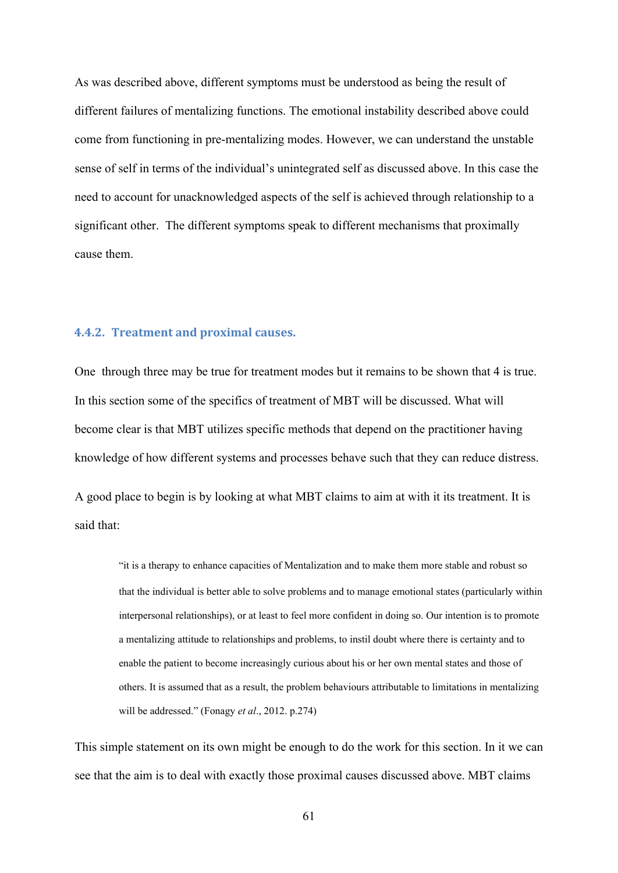As was described above, different symptoms must be understood as being the result of different failures of mentalizing functions. The emotional instability described above could come from functioning in pre-mentalizing modes. However, we can understand the unstable sense of self in terms of the individual's unintegrated self as discussed above. In this case the need to account for unacknowledged aspects of the self is achieved through relationship to a significant other. The different symptoms speak to different mechanisms that proximally cause them.

#### **4.4.2. Treatment and proximal causes.**

One through three may be true for treatment modes but it remains to be shown that 4 is true. In this section some of the specifics of treatment of MBT will be discussed. What will become clear is that MBT utilizes specific methods that depend on the practitioner having knowledge of how different systems and processes behave such that they can reduce distress.

A good place to begin is by looking at what MBT claims to aim at with it its treatment. It is said that:

"it is a therapy to enhance capacities of Mentalization and to make them more stable and robust so that the individual is better able to solve problems and to manage emotional states (particularly within interpersonal relationships), or at least to feel more confident in doing so. Our intention is to promote a mentalizing attitude to relationships and problems, to instil doubt where there is certainty and to enable the patient to become increasingly curious about his or her own mental states and those of others. It is assumed that as a result, the problem behaviours attributable to limitations in mentalizing will be addressed." (Fonagy *et al*., 2012. p.274)

This simple statement on its own might be enough to do the work for this section. In it we can see that the aim is to deal with exactly those proximal causes discussed above. MBT claims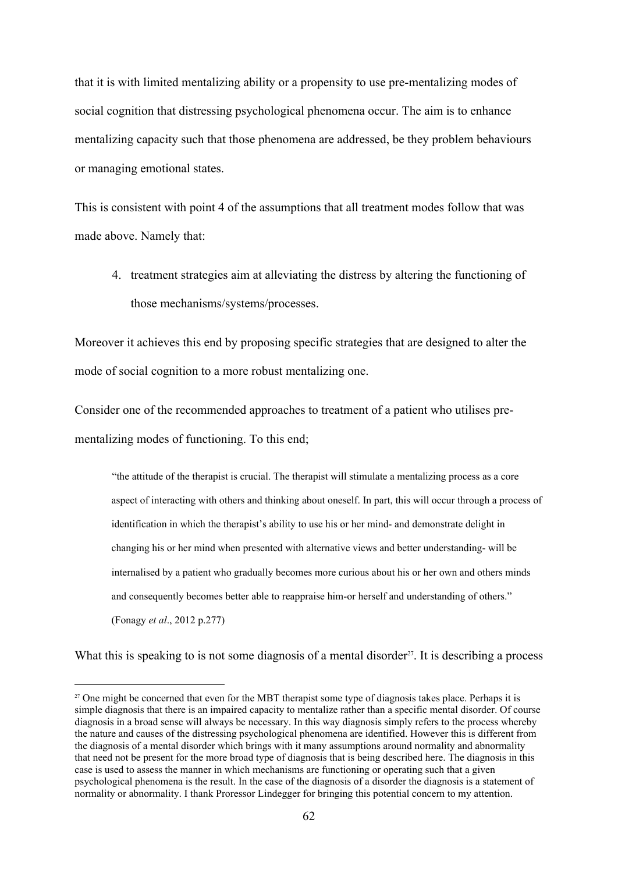that it is with limited mentalizing ability or a propensity to use pre-mentalizing modes of social cognition that distressing psychological phenomena occur. The aim is to enhance mentalizing capacity such that those phenomena are addressed, be they problem behaviours or managing emotional states.

This is consistent with point 4 of the assumptions that all treatment modes follow that was made above. Namely that:

4. treatment strategies aim at alleviating the distress by altering the functioning of those mechanisms/systems/processes.

Moreover it achieves this end by proposing specific strategies that are designed to alter the mode of social cognition to a more robust mentalizing one.

Consider one of the recommended approaches to treatment of a patient who utilises prementalizing modes of functioning. To this end;

"the attitude of the therapist is crucial. The therapist will stimulate a mentalizing process as a core aspect of interacting with others and thinking about oneself. In part, this will occur through a process of identification in which the therapist's ability to use his or her mind- and demonstrate delight in changing his or her mind when presented with alternative views and better understanding-will be internalised by a patient who gradually becomes more curious about his or her own and others minds and consequently becomes better able to reappraise him-or herself and understanding of others." (Fonagy *et al*., 2012 p.277)

What this is speaking to is not some diagnosis of a mental disorder<sup>27</sup>. It is describing a process

<sup>&</sup>lt;sup>27</sup> One might be concerned that even for the MBT therapist some type of diagnosis takes place. Perhaps it is simple diagnosis that there is an impaired capacity to mentalize rather than a specific mental disorder. Of course diagnosis in a broad sense will always be necessary. In this way diagnosis simply refers to the process whereby the nature and causes of the distressing psychological phenomena are identified. However this is different from the diagnosis of a mental disorder which brings with it many assumptions around normality and abnormality that need not be present for the more broad type of diagnosis that is being described here. The diagnosis in this case is used to assess the manner in which mechanisms are functioning or operating such that a given psychological phenomena is the result. In the case of the diagnosis of a disorder the diagnosis is a statement of normality or abnormality. I thank Proressor Lindegger for bringing this potential concern to my attention.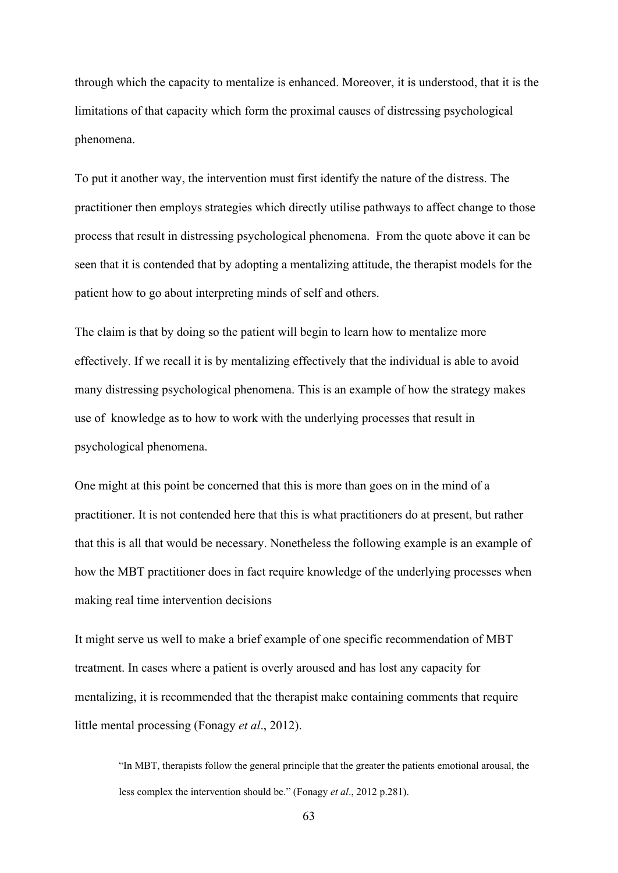through which the capacity to mentalize is enhanced. Moreover, it is understood, that it is the limitations of that capacity which form the proximal causes of distressing psychological phenomena.

To put it another way, the intervention must first identify the nature of the distress. The practitioner then employs strategies which directly utilise pathways to affect change to those process that result in distressing psychological phenomena. From the quote above it can be seen that it is contended that by adopting a mentalizing attitude, the therapist models for the patient how to go about interpreting minds of self and others.

The claim is that by doing so the patient will begin to learn how to mentalize more effectively. If we recall it is by mentalizing effectively that the individual is able to avoid many distressing psychological phenomena. This is an example of how the strategy makes use of knowledge as to how to work with the underlying processes that result in psychological phenomena.

One might at this point be concerned that this is more than goes on in the mind of a practitioner. It is not contended here that this is what practitioners do at present, but rather that this is all that would be necessary. Nonetheless the following example is an example of how the MBT practitioner does in fact require knowledge of the underlying processes when making real time intervention decisions

It might serve us well to make a brief example of one specific recommendation of MBT treatment. In cases where a patient is overly aroused and has lost any capacity for mentalizing, it is recommended that the therapist make containing comments that require little mental processing (Fonagy *et al*., 2012).

"In MBT, therapists follow the general principle that the greater the patients emotional arousal, the less complex the intervention should be." (Fonagy *et al*., 2012 p.281).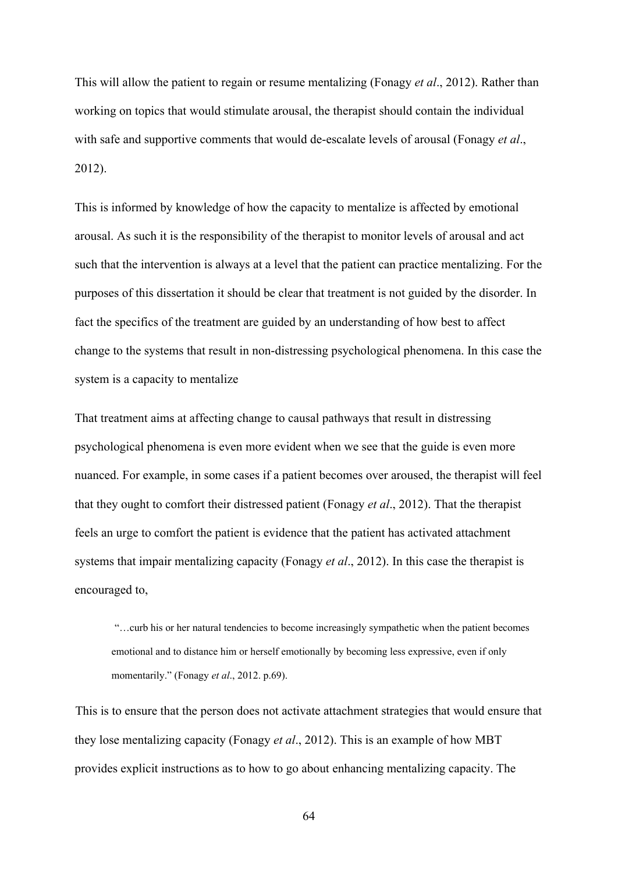This will allow the patient to regain or resume mentalizing (Fonagy *et al*., 2012). Rather than working on topics that would stimulate arousal, the therapist should contain the individual with safe and supportive comments that would de-escalate levels of arousal (Fonagy *et al.*, 2012).

This is informed by knowledge of how the capacity to mentalize is affected by emotional arousal. As such it is the responsibility of the therapist to monitor levels of arousal and act such that the intervention is always at a level that the patient can practice mentalizing. For the purposes of this dissertation it should be clear that treatment is not guided by the disorder. In fact the specifics of the treatment are guided by an understanding of how best to affect change to the systems that result in non-distressing psychological phenomena. In this case the system is a capacity to mentalize

That treatment aims at affecting change to causal pathways that result in distressing psychological phenomena is even more evident when we see that the guide is even more nuanced. For example, in some cases if a patient becomes over aroused, the therapist will feel that they ought to comfort their distressed patient (Fonagy *et al*., 2012). That the therapist feels an urge to comfort the patient is evidence that the patient has activated attachment systems that impair mentalizing capacity (Fonagy *et al*., 2012). In this case the therapist is encouraged to,

 "…curb his or her natural tendencies to become increasingly sympathetic when the patient becomes emotional and to distance him or herself emotionally by becoming less expressive, even if only momentarily." (Fonagy *et al*., 2012. p.69).

This is to ensure that the person does not activate attachment strategies that would ensure that they lose mentalizing capacity (Fonagy *et al*., 2012). This is an example of how MBT provides explicit instructions as to how to go about enhancing mentalizing capacity. The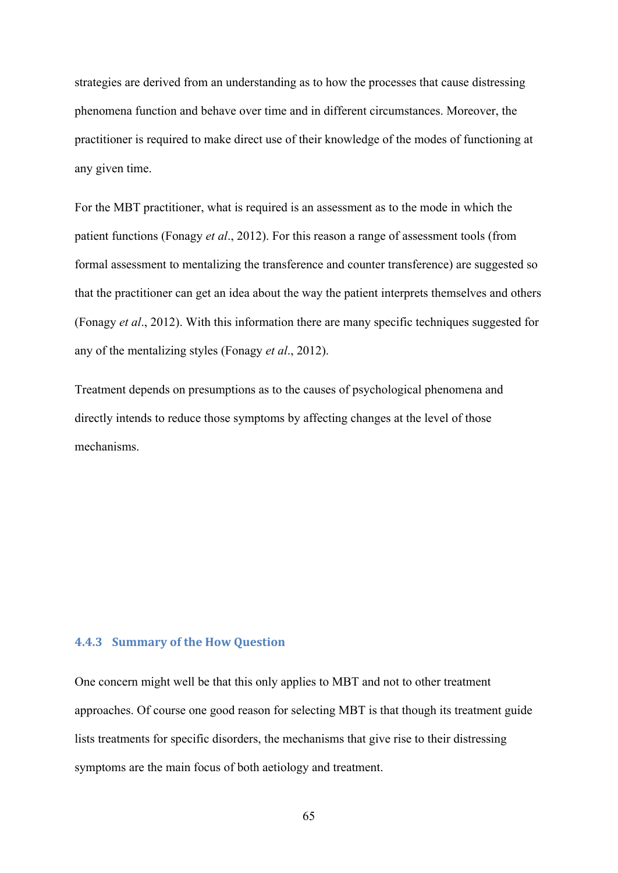strategies are derived from an understanding as to how the processes that cause distressing phenomena function and behave over time and in different circumstances. Moreover, the practitioner is required to make direct use of their knowledge of the modes of functioning at any given time.

For the MBT practitioner, what is required is an assessment as to the mode in which the patient functions (Fonagy *et al*., 2012). For this reason a range of assessment tools (from formal assessment to mentalizing the transference and counter transference) are suggested so that the practitioner can get an idea about the way the patient interprets themselves and others (Fonagy *et al*., 2012). With this information there are many specific techniques suggested for any of the mentalizing styles (Fonagy *et al*., 2012).

Treatment depends on presumptions as to the causes of psychological phenomena and directly intends to reduce those symptoms by affecting changes at the level of those mechanisms.

#### **4.4.3 Summary of the How Question**

One concern might well be that this only applies to MBT and not to other treatment approaches. Of course one good reason for selecting MBT is that though its treatment guide lists treatments for specific disorders, the mechanisms that give rise to their distressing symptoms are the main focus of both aetiology and treatment.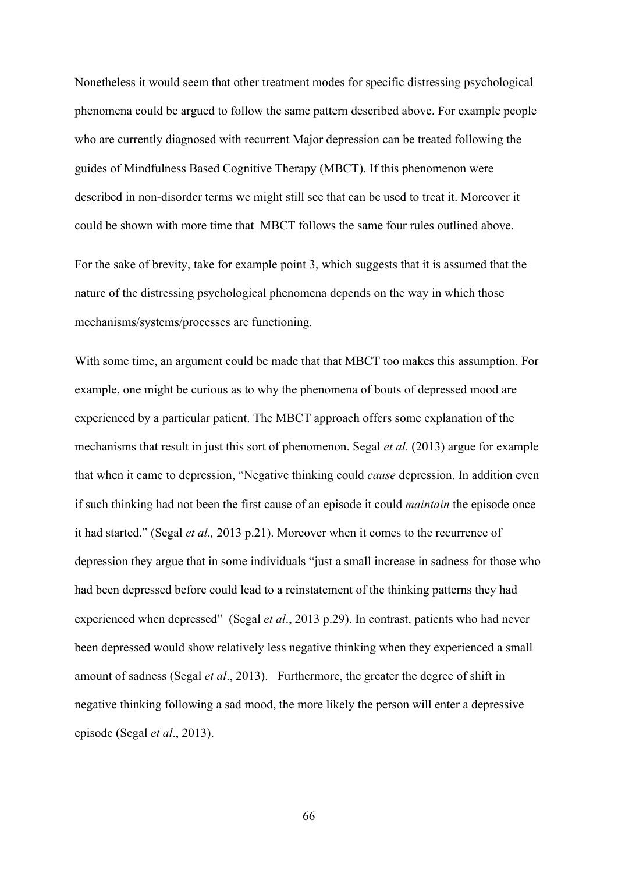Nonetheless it would seem that other treatment modes for specific distressing psychological phenomena could be argued to follow the same pattern described above. For example people who are currently diagnosed with recurrent Major depression can be treated following the guides of Mindfulness Based Cognitive Therapy (MBCT). If this phenomenon were described in non-disorder terms we might still see that can be used to treat it. Moreover it could be shown with more time that MBCT follows the same four rules outlined above.

For the sake of brevity, take for example point 3, which suggests that it is assumed that the nature of the distressing psychological phenomena depends on the way in which those mechanisms/systems/processes are functioning.

With some time, an argument could be made that that MBCT too makes this assumption. For example, one might be curious as to why the phenomena of bouts of depressed mood are experienced by a particular patient. The MBCT approach offers some explanation of the mechanisms that result in just this sort of phenomenon. Segal *et al.* (2013) argue for example that when it came to depression, "Negative thinking could *cause* depression. In addition even if such thinking had not been the first cause of an episode it could *maintain* the episode once it had started." (Segal *et al.,* 2013 p.21). Moreover when it comes to the recurrence of depression they argue that in some individuals "just a small increase in sadness for those who had been depressed before could lead to a reinstatement of the thinking patterns they had experienced when depressed" (Segal *et al*., 2013 p.29). In contrast, patients who had never been depressed would show relatively less negative thinking when they experienced a small amount of sadness (Segal *et al*., 2013). Furthermore, the greater the degree of shift in negative thinking following a sad mood, the more likely the person will enter a depressive episode (Segal *et al*., 2013).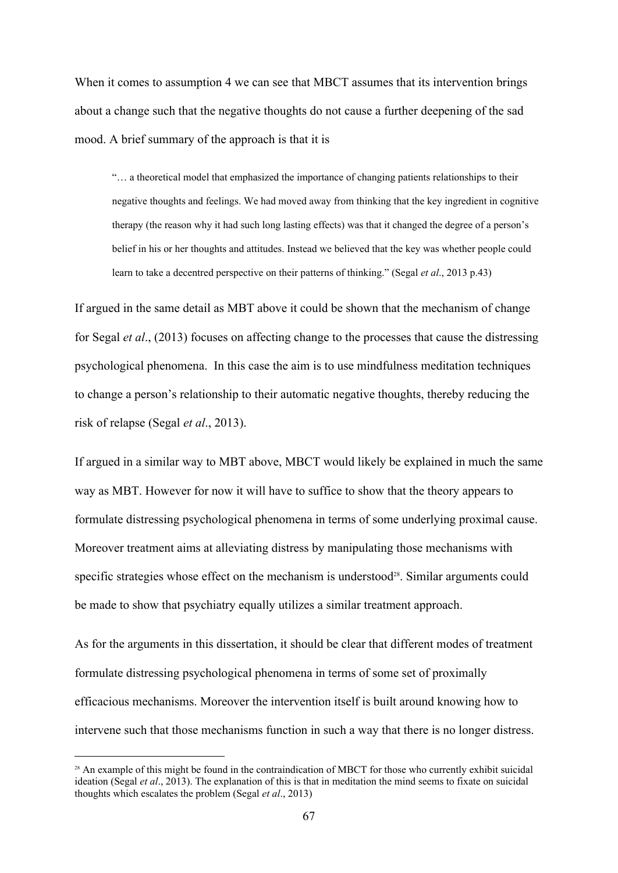When it comes to assumption 4 we can see that MBCT assumes that its intervention brings about a change such that the negative thoughts do not cause a further deepening of the sad mood. A brief summary of the approach is that it is

"… a theoretical model that emphasized the importance of changing patients relationships to their negative thoughts and feelings. We had moved away from thinking that the key ingredient in cognitive therapy (the reason why it had such long lasting effects) was that it changed the degree of a person's belief in his or her thoughts and attitudes. Instead we believed that the key was whether people could learn to take a decentred perspective on their patterns of thinking." (Segal *et al*., 2013 p.43)

If argued in the same detail as MBT above it could be shown that the mechanism of change for Segal *et al*., (2013) focuses on affecting change to the processes that cause the distressing psychological phenomena. In this case the aim is to use mindfulness meditation techniques to change a person's relationship to their automatic negative thoughts, thereby reducing the risk of relapse (Segal *et al*., 2013).

If argued in a similar way to MBT above, MBCT would likely be explained in much the same way as MBT. However for now it will have to suffice to show that the theory appears to formulate distressing psychological phenomena in terms of some underlying proximal cause. Moreover treatment aims at alleviating distress by manipulating those mechanisms with specific strategies whose effect on the mechanism is understood<sup>28</sup>. Similar arguments could be made to show that psychiatry equally utilizes a similar treatment approach.

As for the arguments in this dissertation, it should be clear that different modes of treatment formulate distressing psychological phenomena in terms of some set of proximally efficacious mechanisms. Moreover the intervention itself is built around knowing how to intervene such that those mechanisms function in such a way that there is no longer distress.

<sup>&</sup>lt;sup>28</sup> An example of this might be found in the contraindication of MBCT for those who currently exhibit suicidal ideation (Segal *et al*., 2013). The explanation of this is that in meditation the mind seems to fixate on suicidal thoughts which escalates the problem (Segal *et al*., 2013)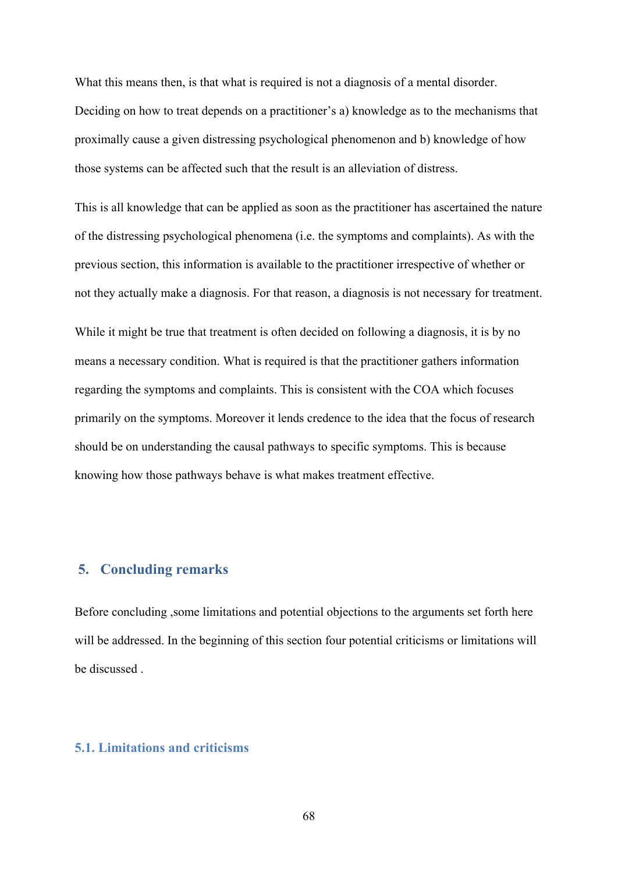What this means then, is that what is required is not a diagnosis of a mental disorder. Deciding on how to treat depends on a practitioner's a) knowledge as to the mechanisms that proximally cause a given distressing psychological phenomenon and b) knowledge of how those systems can be affected such that the result is an alleviation of distress.

This is all knowledge that can be applied as soon as the practitioner has ascertained the nature of the distressing psychological phenomena (i.e. the symptoms and complaints). As with the previous section, this information is available to the practitioner irrespective of whether or not they actually make a diagnosis. For that reason, a diagnosis is not necessary for treatment.

While it might be true that treatment is often decided on following a diagnosis, it is by no means a necessary condition. What is required is that the practitioner gathers information regarding the symptoms and complaints. This is consistent with the COA which focuses primarily on the symptoms. Moreover it lends credence to the idea that the focus of research should be on understanding the causal pathways to specific symptoms. This is because knowing how those pathways behave is what makes treatment effective.

# **5. Concluding remarks**

Before concluding ,some limitations and potential objections to the arguments set forth here will be addressed. In the beginning of this section four potential criticisms or limitations will be discussed .

## **5.1. Limitations and criticisms**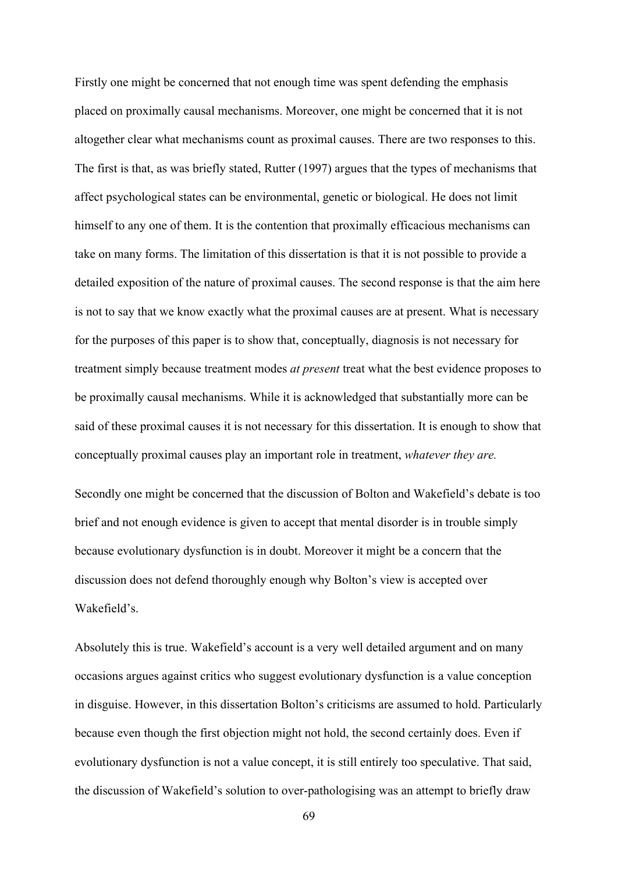Firstly one might be concerned that not enough time was spent defending the emphasis placed on proximally causal mechanisms. Moreover, one might be concerned that it is not altogether clear what mechanisms count as proximal causes. There are two responses to this. The first is that, as was briefly stated, Rutter (1997) argues that the types of mechanisms that affect psychological states can be environmental, genetic or biological. He does not limit himself to any one of them. It is the contention that proximally efficacious mechanisms can take on many forms. The limitation of this dissertation is that it is not possible to provide a detailed exposition of the nature of proximal causes. The second response is that the aim here is not to say that we know exactly what the proximal causes are at present. What is necessary for the purposes of this paper is to show that, conceptually, diagnosis is not necessary for treatment simply because treatment modes *at present* treat what the best evidence proposes to be proximally causal mechanisms. While it is acknowledged that substantially more can be said of these proximal causes it is not necessary for this dissertation. It is enough to show that conceptually proximal causes play an important role in treatment, *whatever they are.*

Secondly one might be concerned that the discussion of Bolton and Wakefield's debate is too brief and not enough evidence is given to accept that mental disorder is in trouble simply because evolutionary dysfunction is in doubt. Moreover it might be a concern that the discussion does not defend thoroughly enough why Bolton's view is accepted over Wakefield's.

Absolutely this is true. Wakefield's account is a very well detailed argument and on many occasions argues against critics who suggest evolutionary dysfunction is a value conception in disguise. However, in this dissertation Bolton's criticisms are assumed to hold. Particularly because even though the first objection might not hold, the second certainly does. Even if evolutionary dysfunction is not a value concept, it is still entirely too speculative. That said, the discussion of Wakefield's solution to over-pathologising was an attempt to briefly draw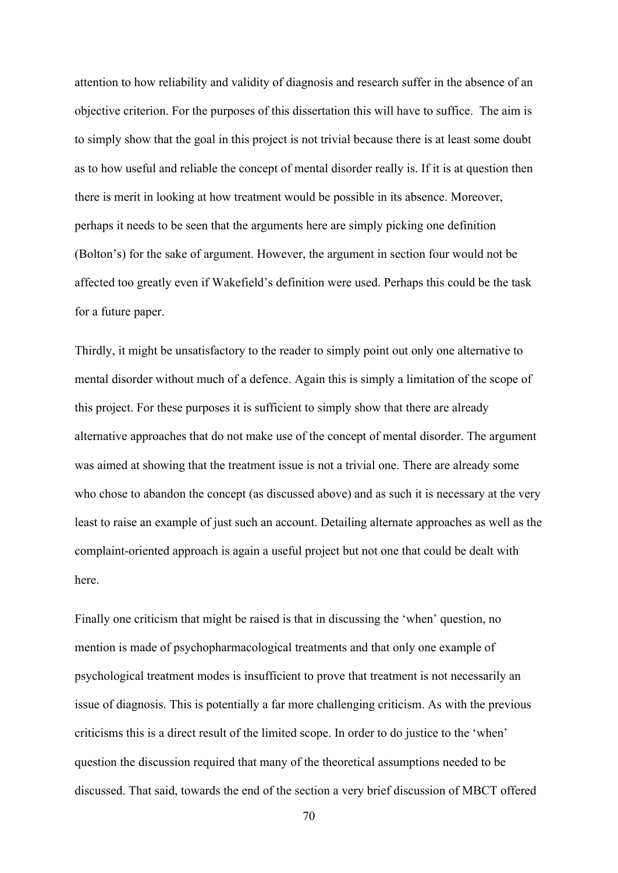attention to how reliability and validity of diagnosis and research suffer in the absence of an objective criterion. For the purposes of this dissertation this will have to suffice. The aim is to simply show that the goal in this project is not trivial because there is at least some doubt as to how useful and reliable the concept of mental disorder really is. If it is at question then there is merit in looking at how treatment would be possible in its absence. Moreover, perhaps it needs to be seen that the arguments here are simply picking one definition (Bolton's) for the sake of argument. However, the argument in section four would not be affected too greatly even if Wakefield's definition were used. Perhaps this could be the task for a future paper.

Thirdly, it might be unsatisfactory to the reader to simply point out only one alternative to mental disorder without much of a defence. Again this is simply a limitation of the scope of this project. For these purposes it is sufficient to simply show that there are already alternative approaches that do not make use of the concept of mental disorder. The argument was aimed at showing that the treatment issue is not a trivial one. There are already some who chose to abandon the concept (as discussed above) and as such it is necessary at the very least to raise an example of just such an account. Detailing alternate approaches as well as the complaint-oriented approach is again a useful project but not one that could be dealt with here.

Finally one criticism that might be raised is that in discussing the 'when' question, no mention is made of psychopharmacological treatments and that only one example of psychological treatment modes is insufficient to prove that treatment is not necessarily an issue of diagnosis. This is potentially a far more challenging criticism. As with the previous criticisms this is a direct result of the limited scope. In order to do justice to the 'when' question the discussion required that many of the theoretical assumptions needed to be discussed. That said, towards the end of the section a very brief discussion of MBCT offered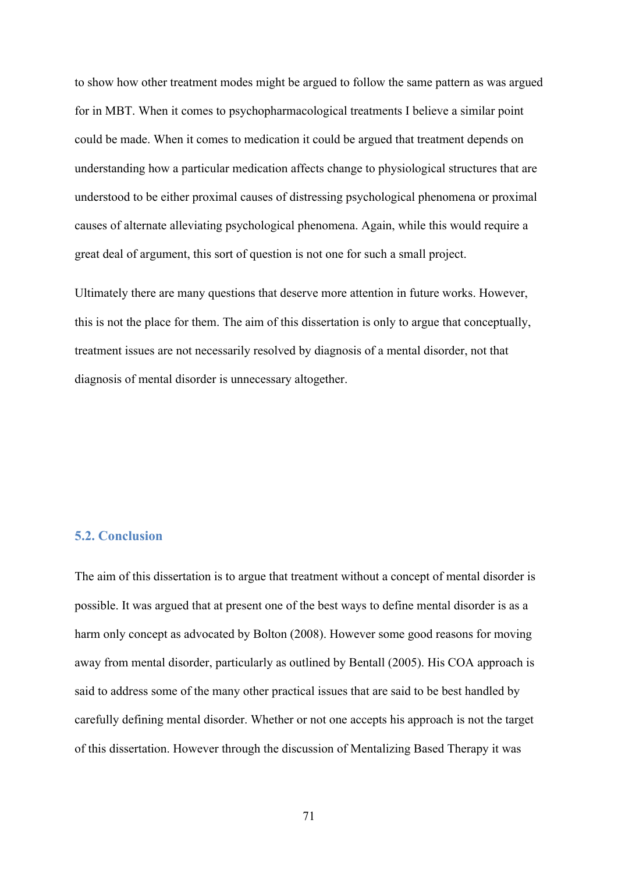to show how other treatment modes might be argued to follow the same pattern as was argued for in MBT. When it comes to psychopharmacological treatments I believe a similar point could be made. When it comes to medication it could be argued that treatment depends on understanding how a particular medication affects change to physiological structures that are understood to be either proximal causes of distressing psychological phenomena or proximal causes of alternate alleviating psychological phenomena. Again, while this would require a great deal of argument, this sort of question is not one for such a small project.

Ultimately there are many questions that deserve more attention in future works. However, this is not the place for them. The aim of this dissertation is only to argue that conceptually, treatment issues are not necessarily resolved by diagnosis of a mental disorder, not that diagnosis of mental disorder is unnecessary altogether.

## **5.2. Conclusion**

The aim of this dissertation is to argue that treatment without a concept of mental disorder is possible. It was argued that at present one of the best ways to define mental disorder is as a harm only concept as advocated by Bolton (2008). However some good reasons for moving away from mental disorder, particularly as outlined by Bentall (2005). His COA approach is said to address some of the many other practical issues that are said to be best handled by carefully defining mental disorder. Whether or not one accepts his approach is not the target of this dissertation. However through the discussion of Mentalizing Based Therapy it was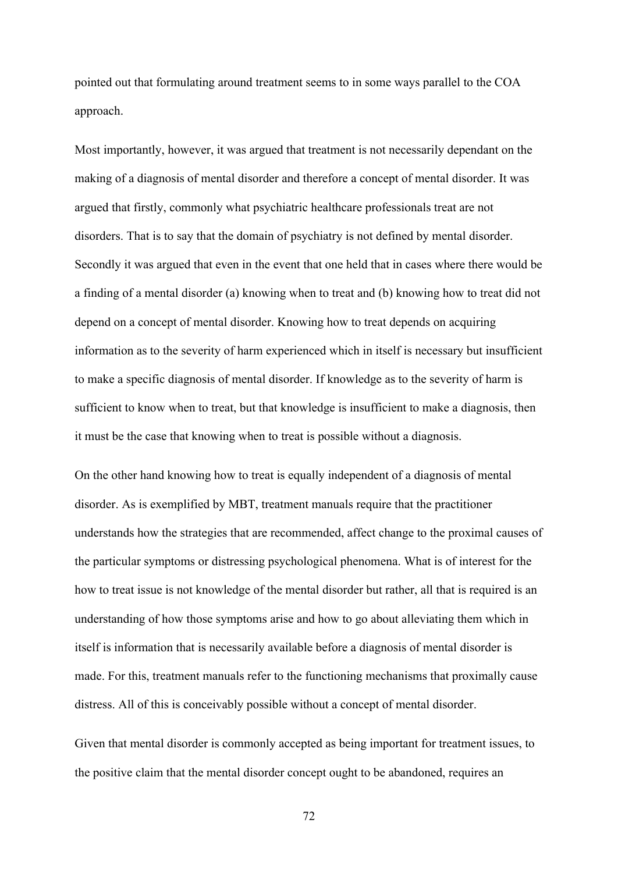pointed out that formulating around treatment seems to in some ways parallel to the COA approach.

Most importantly, however, it was argued that treatment is not necessarily dependant on the making of a diagnosis of mental disorder and therefore a concept of mental disorder. It was argued that firstly, commonly what psychiatric healthcare professionals treat are not disorders. That is to say that the domain of psychiatry is not defined by mental disorder. Secondly it was argued that even in the event that one held that in cases where there would be a finding of a mental disorder (a) knowing when to treat and (b) knowing how to treat did not depend on a concept of mental disorder. Knowing how to treat depends on acquiring information as to the severity of harm experienced which in itself is necessary but insufficient to make a specific diagnosis of mental disorder. If knowledge as to the severity of harm is sufficient to know when to treat, but that knowledge is insufficient to make a diagnosis, then it must be the case that knowing when to treat is possible without a diagnosis.

On the other hand knowing how to treat is equally independent of a diagnosis of mental disorder. As is exemplified by MBT, treatment manuals require that the practitioner understands how the strategies that are recommended, affect change to the proximal causes of the particular symptoms or distressing psychological phenomena. What is of interest for the how to treat issue is not knowledge of the mental disorder but rather, all that is required is an understanding of how those symptoms arise and how to go about alleviating them which in itself is information that is necessarily available before a diagnosis of mental disorder is made. For this, treatment manuals refer to the functioning mechanisms that proximally cause distress. All of this is conceivably possible without a concept of mental disorder.

Given that mental disorder is commonly accepted as being important for treatment issues, to the positive claim that the mental disorder concept ought to be abandoned, requires an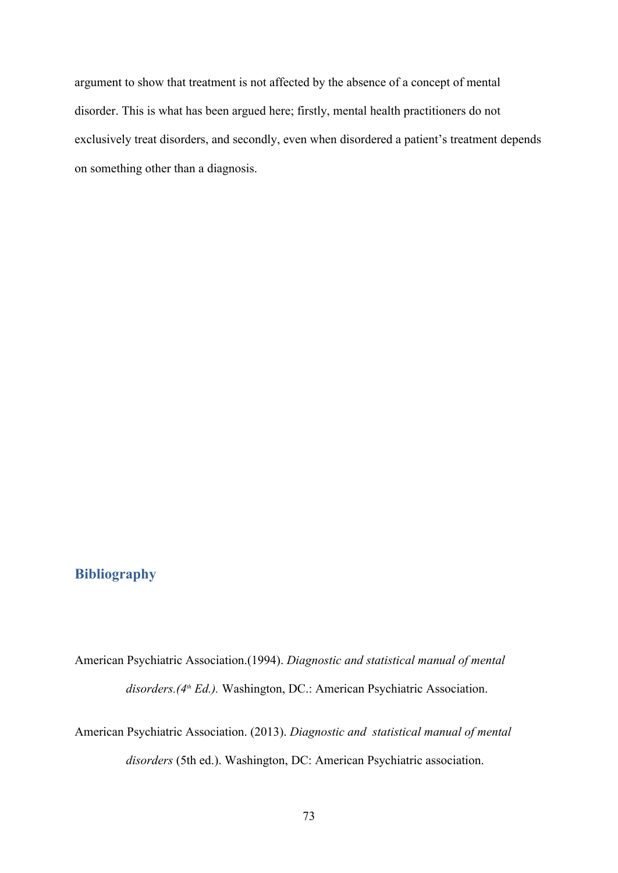argument to show that treatment is not affected by the absence of a concept of mental disorder. This is what has been argued here; firstly, mental health practitioners do not exclusively treat disorders, and secondly, even when disordered a patient's treatment depends on something other than a diagnosis.

## **Bibliography**

American Psychiatric Association.(1994). *Diagnostic and statistical manual of mental disorders.(4th Ed.).* Washington, DC.: American Psychiatric Association.

American Psychiatric Association. (2013). *Diagnostic and statistical manual of mental disorders* (5th ed.). Washington, DC: American Psychiatric association.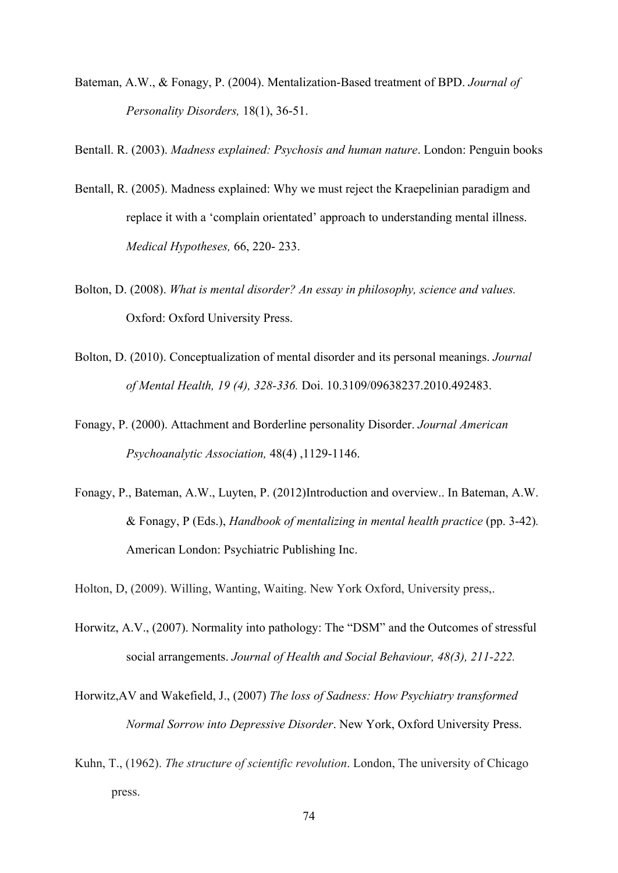Bateman, A.W., & Fonagy, P. (2004). Mentalization-Based treatment of BPD. *Journal of Personality Disorders, 18(1), 36-51.* 

Bentall. R. (2003). *Madness explained: Psychosis and human nature*. London: Penguin books

- Bentall, R. (2005). Madness explained: Why we must reject the Kraepelinian paradigm and replace it with a 'complain orientated' approach to understanding mental illness. *Medical Hypotheses,* 66, 220-233.
- Bolton, D. (2008). *What is mental disorder? An essay in philosophy, science and values.*  Oxford: Oxford University Press.
- Bolton, D. (2010). Conceptualization of mental disorder and its personal meanings. *Journal of Mental Health, 19 (4), 328336.* Doi. 10.3109/09638237.2010.492483.
- Fonagy, P. (2000). Attachment and Borderline personality Disorder. *Journal American Psychoanalytic Association, 48(4) , 1129-1146.*
- Fonagy, P., Bateman, A.W., Luyten, P. (2012)Introduction and overview.. In Bateman, A.W. & Fonagy, P (Eds.), *Handbook of mentalizing in mental health practice* (pp. 342)*.*  American London: Psychiatric Publishing Inc.
- Holton, D, (2009). Willing, Wanting, Waiting. New York Oxford, University press,.
- Horwitz, A.V., (2007). Normality into pathology: The "DSM" and the Outcomes of stressful social arrangements. *Journal of Health and Social Behaviour, 48(3), 211-222.*
- Horwitz,AV and Wakefield, J., (2007) *The loss of Sadness: How Psychiatry transformed Normal Sorrow into Depressive Disorder*. New York, Oxford University Press.
- Kuhn, T., (1962). *The structure of scientific revolution*. London, The university of Chicago press.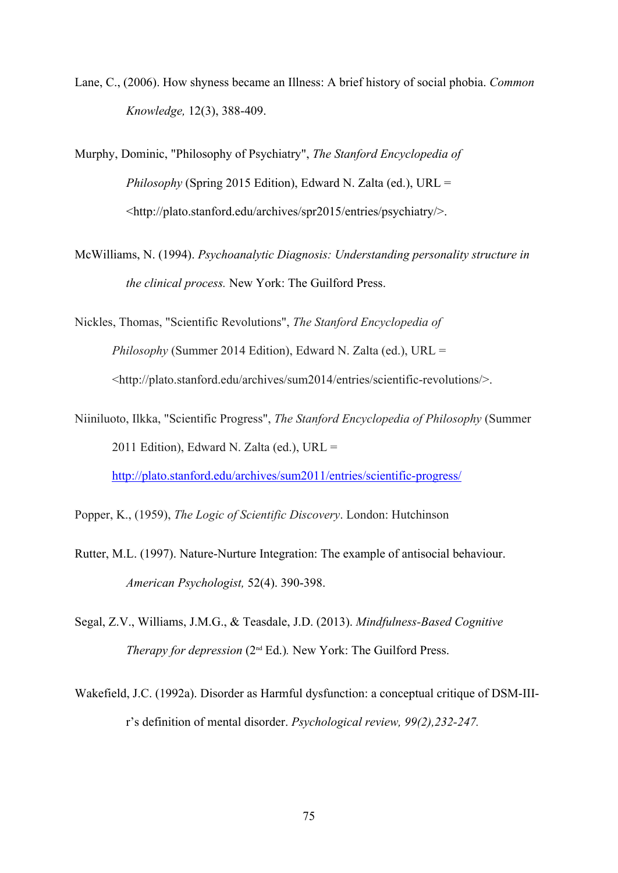Lane, C., (2006). How shyness became an Illness: A brief history of social phobia. *Common Knowledge,* 12(3), 388409.

Murphy, Dominic, "Philosophy of Psychiatry", *The Stanford Encyclopedia of Philosophy* (Spring 2015 Edition), Edward N. Zalta (ed.), URL = <http://plato.stanford.edu/archives/spr2015/entries/psychiatry/>.

McWilliams, N. (1994). *Psychoanalytic Diagnosis: Understanding personality structure in the clinical process.* New York: The Guilford Press.

Nickles, Thomas, "Scientific Revolutions", *The Stanford Encyclopedia of Philosophy* (Summer 2014 Edition), Edward N. Zalta (ed.), URL = <http://plato.stanford.edu/archives/sum2014/entries/scientific-revolutions/>.

Niiniluoto, Ilkka, "Scientific Progress", *The Stanford Encyclopedia of Philosophy* (Summer 2011 Edition), Edward N. Zalta (ed.), URL =

http://plato.stanford.edu/archives/sum2011/entries/scientific-progress/

Popper, K., (1959), *The Logic of Scientific Discovery*. London: Hutchinson

- Rutter, M.L. (1997). Nature-Nurture Integration: The example of antisocial behaviour. *American Psychologist,* 52(4). 390-398.
- Segal, Z.V., Williams, J.M.G., & Teasdale, J.D. (2013). *Mindfulness-Based Cognitive Therapy for depression* (2nd Ed.)*.* New York: The Guilford Press.
- Wakefield, J.C. (1992a). Disorder as Harmful dysfunction: a conceptual critique of DSM-IIIr's definition of mental disorder. *Psychological review, 99(2), 232-247*.